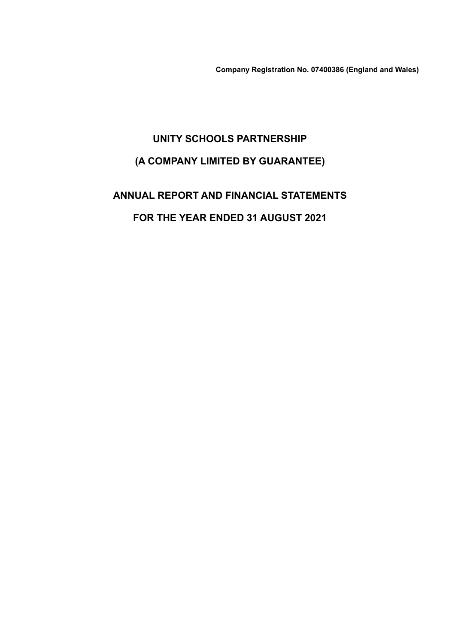**Company Registration No. 07400386 (England and Wales)**

# **UNITY SCHOOLS PARTNERSHIP (A COMPANY LIMITED BY GUARANTEE)**

**ANNUAL REPORT AND FINANCIAL STATEMENTS FOR THE YEAR ENDED 31 AUGUST 2021**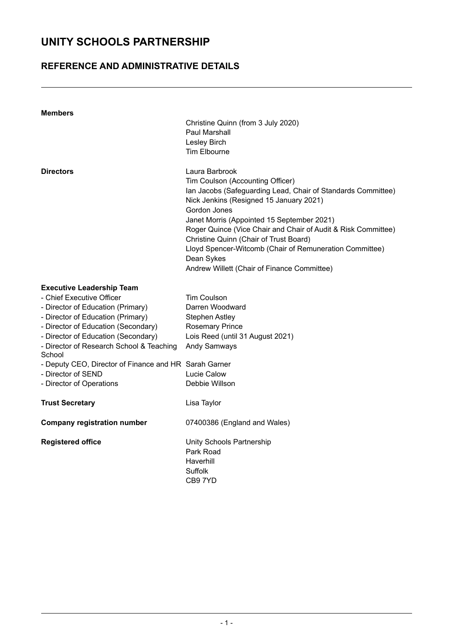### **REFERENCE AND ADMINISTRATIVE DETAILS**

| <b>Members</b>                                        |                                                                       |
|-------------------------------------------------------|-----------------------------------------------------------------------|
|                                                       | Christine Quinn (from 3 July 2020)                                    |
|                                                       | Paul Marshall                                                         |
|                                                       | Lesley Birch                                                          |
|                                                       | <b>Tim Elbourne</b>                                                   |
| <b>Directors</b>                                      | Laura Barbrook                                                        |
|                                                       | Tim Coulson (Accounting Officer)                                      |
|                                                       | Ian Jacobs (Safeguarding Lead, Chair of Standards Committee)          |
|                                                       | Nick Jenkins (Resigned 15 January 2021)                               |
|                                                       | Gordon Jones                                                          |
|                                                       | Janet Morris (Appointed 15 September 2021)                            |
|                                                       | Roger Quince (Vice Chair and Chair of Audit & Risk Committee)         |
|                                                       | Christine Quinn (Chair of Trust Board)                                |
|                                                       | Lloyd Spencer-Witcomb (Chair of Remuneration Committee)<br>Dean Sykes |
|                                                       | Andrew Willett (Chair of Finance Committee)                           |
|                                                       |                                                                       |
| <b>Executive Leadership Team</b>                      |                                                                       |
| - Chief Executive Officer                             | <b>Tim Coulson</b>                                                    |
| - Director of Education (Primary)                     | Darren Woodward                                                       |
| - Director of Education (Primary)                     | <b>Stephen Astley</b>                                                 |
| - Director of Education (Secondary)                   | <b>Rosemary Prince</b>                                                |
| - Director of Education (Secondary)                   | Lois Reed (until 31 August 2021)                                      |
| - Director of Research School & Teaching<br>School    | <b>Andy Samways</b>                                                   |
| - Deputy CEO, Director of Finance and HR Sarah Garner |                                                                       |
| - Director of SEND                                    | Lucie Calow                                                           |
| - Director of Operations                              | Debbie Willson                                                        |
| <b>Trust Secretary</b>                                | Lisa Taylor                                                           |
| <b>Company registration number</b>                    | 07400386 (England and Wales)                                          |
| <b>Registered office</b>                              | Unity Schools Partnership                                             |
|                                                       | Park Road                                                             |
|                                                       | Haverhill                                                             |
|                                                       | Suffolk                                                               |
|                                                       | CB97YD                                                                |
|                                                       |                                                                       |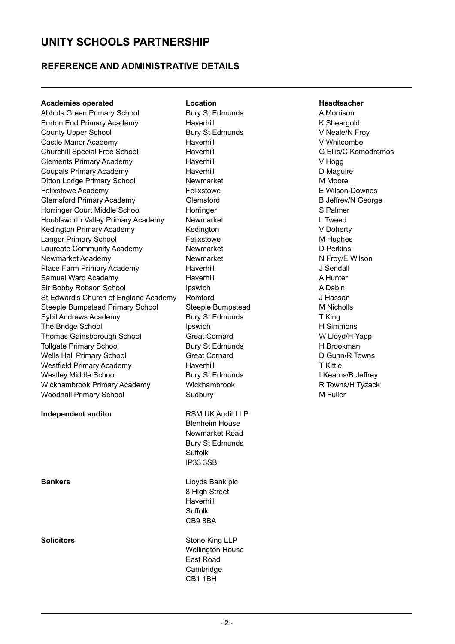### **REFERENCE AND ADMINISTRATIVE DETAILS**

#### **Academies operated Location Location Community Headteacher**

Abbots Green Primary School **Bury St Edmunds** A Morrison Burton End Primary Academy **Haverhill** Haverhill **Haverhill** K Sheargold County Upper School **Bury St Edmunds** V Neale/N Froy Castle Manor Academy Haverhill V Whitcombe Churchill Special Free School Haverhill G Ellis/C Komodromos Clements Primary Academy Haverhill V Hogg Coupals Primary Academy **Example 20** Haverhill **Coupals Primary Academy** Ditton Lodge Primary School Newmarket M Moore Felixstowe Academy Felixstowe E Wilson-Downes Glemsford Primary Academy Glemsford Glemsford B Jeffrey/N George Horringer Court Middle School Horringer S Palmer Houldsworth Valley Primary Academy Newmarket Newmarket L Tweed Kedington Primary Academy **Kedington V** Doherty V Doherty Langer Primary School **Felixstowe** Felixstowe M Hughes Laureate Community Academy Newmarket D Perkins Newmarket Academy **Newmarket** Newmarket Newmarket N Froy/E Wilson Place Farm Primary Academy **Haverhill** Haverhill **Haverhill** J Sendall Samuel Ward Academy **Haverhill** Haverhill **A Hunter** A Hunter Sir Bobby Robson School **Ipswich** Ipswich A Dabin St Edward's Church of England Academy Romford **Statement Control** J Hassan Steeple Bumpstead Primary School Steeple Bumpstead M Nicholls Sybil Andrews Academy Bury St Edmunds T King The Bridge School **Ipswich** Ipswich **Ipswich** Ipswich **H** Simmons Thomas Gainsborough School Great Cornard W Lloyd/H Yapp Tollgate Primary School **Bury St Edmunds** H Brookman Wells Hall Primary School **Great Cornard** Cornard D Gunn/R Towns Westfield Primary Academy **Haverhill** Mestfield Primary Academy Westley Middle School **Bury St Edmunds** I Kearns/B Jeffrey Wickhambrook Primary Academy Mickhambrook **R** Towns/H Tyzack Woodhall Primary School **Sudbury M** Fuller

#### **Independent auditor** RSM UK Audit LLP

Blenheim House Newmarket Road Bury St Edmunds Suffolk IP33 3SB

**Bankers** Lloyds Bank plc 8 High Street Haverhill Suffolk CB9 8BA

**Solicitors** Stone King LLP Wellington House East Road **Cambridge** CB1 1BH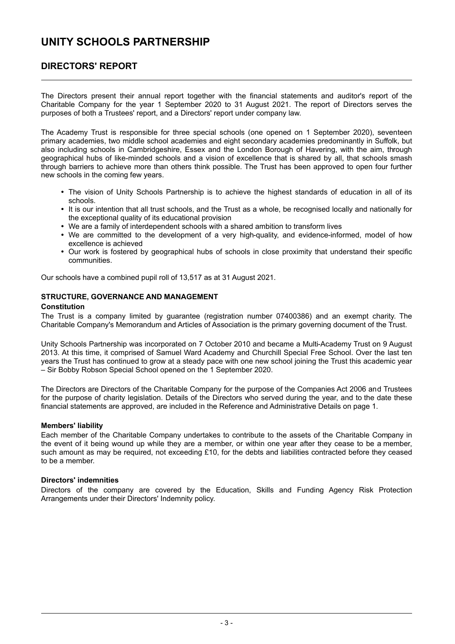### **DIRECTORS' REPORT**

The Directors present their annual report together with the financial statements and auditor's report of the Charitable Company for the year 1 September 2020 to 31 August 2021. The report of Directors serves the purposes of both a Trustees' report, and a Directors' report under company law.

The Academy Trust is responsible for three special schools (one opened on 1 September 2020), seventeen primary academies, two middle school academies and eight secondary academies predominantly in Suffolk, but also including schools in Cambridgeshire, Essex and the London Borough of Havering, with the aim, through geographical hubs of like-minded schools and a vision of excellence that is shared by all, that schools smash through barriers to achieve more than others think possible. The Trust has been approved to open four further new schools in the coming few years.

- The vision of Unity Schools Partnership is to achieve the highest standards of education in all of its schools.
- It is our intention that all trust schools, and the Trust as a whole, be recognised locally and nationally for the exceptional quality of its educational provision
- $\bullet~$  We are a family of interdependent schools with a shared ambition to transform lives
- We are committed to the development of a very high-quality, and evidence-informed, model of how excellence is achieved
- Our work is fostered by geographical hubs of schools in close proximity that understand their specific communities.

Our schools have a combined pupil roll of 13,517 as at 31 August 2021.

#### **STRUCTURE, GOVERNANCE AND MANAGEMENT**

#### **Constitution**

The Trust is a company limited by guarantee (registration number 07400386) and an exempt charity. The Charitable Company's Memorandum and Articles of Association is the primary governing document of the Trust.

Unity Schools Partnership was incorporated on 7 October 2010 and became a Multi-Academy Trust on 9 August 2013. At this time, it comprised of Samuel Ward Academy and Churchill Special Free School. Over the last ten years the Trust has continued to grow at a steady pace with one new school joining the Trust this academic year – Sir Bobby Robson Special School opened on the 1 September 2020.

The Directors are Directors of the Charitable Company for the purpose of the Companies Act 2006 and Trustees for the purpose of charity legislation. Details of the Directors who served during the year, and to the date these financial statements are approved, are included in the Reference and Administrative Details on page 1.

#### **Members' liability**

Each member of the Charitable Company undertakes to contribute to the assets of the Charitable Company in the event of it being wound up while they are a member, or within one year after they cease to be a member, such amount as may be required, not exceeding £10, for the debts and liabilities contracted before they ceased to be a member.

#### **Directors' indemnities**

Directors of the company are covered by the Education, Skills and Funding Agency Risk Protection Arrangements under their Directors' Indemnity policy.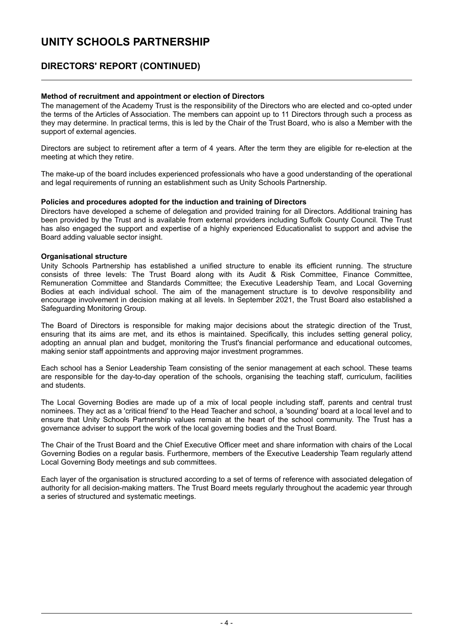### **DIRECTORS' REPORT (CONTINUED)**

#### **Method of recruitment and appointment or election of Directors**

The management of the Academy Trust is the responsibility of the Directors who are elected and co-opted under the terms of the Articles of Association. The members can appoint up to 11 Directors through such a process as they may determine. In practical terms, this is led by the Chair of the Trust Board, who is also a Member with the support of external agencies.

Directors are subject to retirement after a term of 4 years. After the term they are eligible for re-election at the meeting at which they retire.

The make-up of the board includes experienced professionals who have a good understanding of the operational and legal requirements of running an establishment such as Unity Schools Partnership.

#### **Policies and procedures adopted for the induction and training of Directors**

Directors have developed a scheme of delegation and provided training for all Directors. Additional training has been provided by the Trust and is available from external providers including Suffolk County Council. The Trust has also engaged the support and expertise of a highly experienced Educationalist to support and advise the Board adding valuable sector insight.

#### **Organisational structure**

Unity Schools Partnership has established a unified structure to enable its efficient running. The structure consists of three levels: The Trust Board along with its Audit & Risk Committee, Finance Committee, Remuneration Committee and Standards Committee; the Executive Leadership Team, and Local Governing Bodies at each individual school. The aim of the management structure is to devolve responsibility and encourage involvement in decision making at all levels. In September 2021, the Trust Board also established a Safeguarding Monitoring Group.

The Board of Directors is responsible for making major decisions about the strategic direction of the Trust, ensuring that its aims are met, and its ethos is maintained. Specifically, this includes setting general policy, adopting an annual plan and budget, monitoring the Trust's financial performance and educational outcomes, making senior staff appointments and approving major investment programmes.

Each school has a Senior Leadership Team consisting of the senior management at each school. These teams are responsible for the day-to-day operation of the schools, organising the teaching staff, curriculum, facilities and students.

The Local Governing Bodies are made up of a mix of local people including staff, parents and central trust nominees. They act as a 'critical friend' to the Head Teacher and school, a 'sounding' board at a local level and to ensure that Unity Schools Partnership values remain at the heart of the school community. The Trust has a governance adviser to support the work of the local governing bodies and the Trust Board.

The Chair of the Trust Board and the Chief Executive Officer meet and share information with chairs of the Local Governing Bodies on a regular basis. Furthermore, members of the Executive Leadership Team regularly attend Local Governing Body meetings and sub committees.

Each layer of the organisation is structured according to a set of terms of reference with associated delegation of authority for all decision-making matters. The Trust Board meets regularly throughout the academic year through a series of structured and systematic meetings.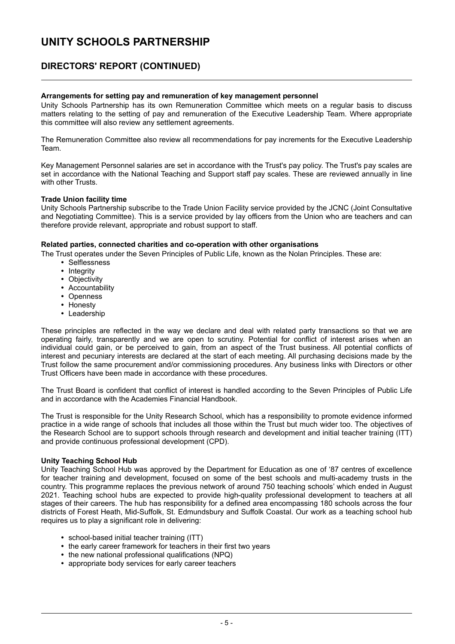### **DIRECTORS' REPORT (CONTINUED)**

#### **Arrangements for setting pay and remuneration of key management personnel**

Unity Schools Partnership has its own Remuneration Committee which meets on a regular basis to discuss matters relating to the setting of pay and remuneration of the Executive Leadership Team. Where appropriate this committee will also review any settlement agreements.

The Remuneration Committee also review all recommendations for pay increments for the Executive Leadership Team.

Key Management Personnel salaries are set in accordance with the Trust's pay policy. The Trust's pay scales are set in accordance with the National Teaching and Support staff pay scales. These are reviewed annually in line with other Trusts.

#### **Trade Union facility time**

Unity Schools Partnership subscribe to the Trade Union Facility service provided by the JCNC (Joint Consultative and Negotiating Committee). This is a service provided by lay officers from the Union who are teachers and can therefore provide relevant, appropriate and robust support to staff.

#### **Related parties, connected charities and co-operation with other organisations**

The Trust operates under the Seven Principles of Public Life, known as the Nolan Principles. These are:

- Selflessness
- Integrity
- Objectivity
- Accountability
- Openness
- Honesty
- Leadership

These principles are reflected in the way we declare and deal with related party transactions so that we are operating fairly, transparently and we are open to scrutiny. Potential for conflict of interest arises when an individual could gain, or be perceived to gain, from an aspect of the Trust business. All potential conflicts of interest and pecuniary interests are declared at the start of each meeting. All purchasing decisions made by the Trust follow the same procurement and/or commissioning procedures. Any business links with Directors or other Trust Officers have been made in accordance with these procedures.

The Trust Board is confident that conflict of interest is handled according to the Seven Principles of Public Life and in accordance with the Academies Financial Handbook.

The Trust is responsible for the Unity Research School, which has a responsibility to promote evidence informed practice in a wide range of schools that includes all those within the Trust but much wider too. The objectives of the Research School are to support schools through research and development and initial teacher training (ITT) and provide continuous professional development (CPD).

#### **Unity Teaching School Hub**

Unity Teaching School Hub was approved by the Department for Education as one of '87 centres of excellence for teacher training and development, focused on some of the best schools and multi-academy trusts in the country. This programme replaces the previous network of around 750 teaching schools' which ended in August 2021. Teaching school hubs are expected to provide high-quality professional development to teachers at all stages of their careers. The hub has responsibility for a defined area encompassing 180 schools across the four districts of Forest Heath, Mid-Suffolk, St. Edmundsbury and Suffolk Coastal. Our work as a teaching school hub requires us to play a significant role in delivering:

- school-based initial teacher training (ITT)
- the early career framework for teachers in their first two years
- the new national professional qualifications (NPQ)
- appropriate body services for early career teachers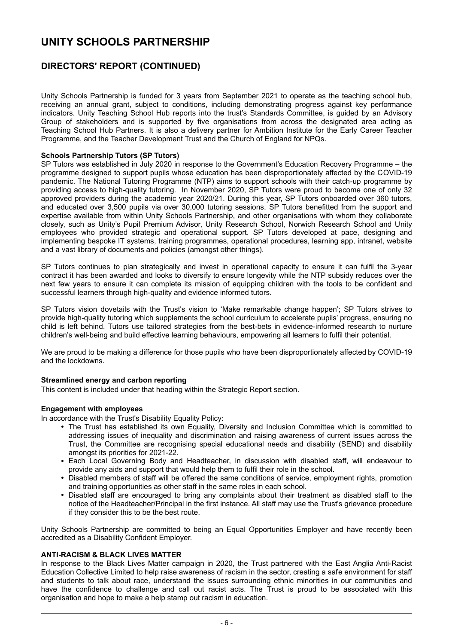### **DIRECTORS' REPORT (CONTINUED)**

Unity Schools Partnership is funded for 3 years from September 2021 to operate as the teaching school hub, receiving an annual grant, subject to conditions, including demonstrating progress against key performance indicators. Unity Teaching School Hub reports into the trust's Standards Committee, is guided by an Advisory Group of stakeholders and is supported by five organisations from across the designated area acting as Teaching School Hub Partners. It is also a delivery partner for Ambition Institute for the Early Career Teacher Programme, and the Teacher Development Trust and the Church of England for NPQs.

#### **Schools Partnership Tutors (SP Tutors)**

SP Tutors was established in July 2020 in response to the Government's Education Recovery Programme – the programme designed to support pupils whose education has been disproportionately affected by the COVID-19 pandemic. The National Tutoring Programme (NTP) aims to support schools with their catch-up programme by providing access to high-quality tutoring. In November 2020, SP Tutors were proud to become one of only 32 approved providers during the academic year 2020/21. During this year, SP Tutors onboarded over 360 tutors, and educated over 3,500 pupils via over 30,000 tutoring sessions. SP Tutors benefitted from the support and expertise available from within Unity Schools Partnership, and other organisations with whom they collaborate closely, such as Unity's Pupil Premium Advisor, Unity Research School, Norwich Research School and Unity employees who provided strategic and operational support. SP Tutors developed at pace, designing and implementing bespoke IT systems, training programmes, operational procedures, learning app, intranet, website and a vast library of documents and policies (amongst other things).

SP Tutors continues to plan strategically and invest in operational capacity to ensure it can fulfil the 3-year contract it has been awarded and looks to diversify to ensure longevity while the NTP subsidy reduces over the next few years to ensure it can complete its mission of equipping children with the tools to be confident and successful learners through high-quality and evidence informed tutors.

SP Tutors vision dovetails with the Trust's vision to 'Make remarkable change happen'; SP Tutors strives to provide high-quality tutoring which supplements the school curriculum to accelerate pupils' progress, ensuring no child is left behind. Tutors use tailored strategies from the best-bets in evidence-informed research to nurture children's well-being and build effective learning behaviours, empowering all learners to fulfil their potential.

We are proud to be making a difference for those pupils who have been disproportionately affected by COVID-19 and the lockdowns.

#### **Streamlined energy and carbon reporting**

This content is included under that heading within the Strategic Report section.

#### **Engagement with employees**

In accordance with the Trust's Disability Equality Policy:

- The Trust has established its own Equality, Diversity and Inclusion Committee which is committed to addressing issues of inequality and discrimination and raising awareness of current issues across the Trust, the Committee are recognising special educational needs and disability (SEND) and disability amongst its priorities for 2021-22.
- Each Local Governing Body and Headteacher, in discussion with disabled staff, will endeavour to provide any aids and support that would help them to fulfil their role in the school.
- Disabled members of staff will be offered the same conditions of service, employment rights, promotion and training opportunities as other staff in the same roles in each school.
- Disabled staff are encouraged to bring any complaints about their treatment as disabled staff to the notice of the Headteacher/Principal in the first instance. All staff may use the Trust's grievance procedure if they consider this to be the best route.

Unity Schools Partnership are committed to being an Equal Opportunities Employer and have recently been accredited as a Disability Confident Employer.

#### **ANTI-RACISM & BLACK LIVES MATTER**

In response to the Black Lives Matter campaign in 2020, the Trust partnered with the East Anglia Anti-Racist Education Collective Limited to help raise awareness of racism in the sector, creating a safe environment for staff and students to talk about race, understand the issues surrounding ethnic minorities in our communities and have the confidence to challenge and call out racist acts. The Trust is proud to be associated with this organisation and hope to make a help stamp out racism in education.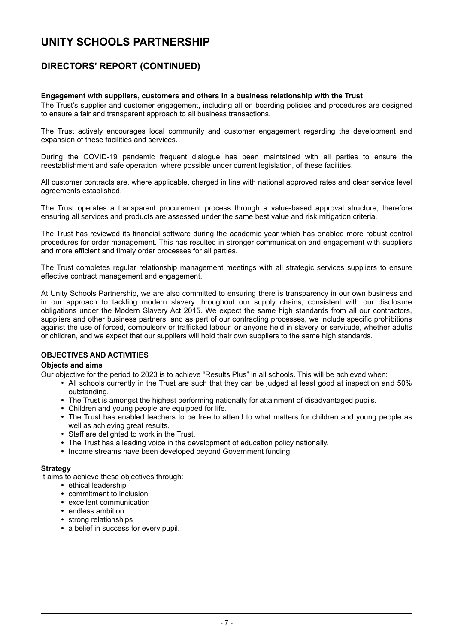### **DIRECTORS' REPORT (CONTINUED)**

#### **Engagement with suppliers, customers and others in a business relationship with the Trust**

The Trust's supplier and customer engagement, including all on boarding policies and procedures are designed to ensure a fair and transparent approach to all business transactions.

The Trust actively encourages local community and customer engagement regarding the development and expansion of these facilities and services.

During the COVID-19 pandemic frequent dialogue has been maintained with all parties to ensure the reestablishment and safe operation, where possible under current legislation, of these facilities.

All customer contracts are, where applicable, charged in line with national approved rates and clear service level agreements established.

The Trust operates a transparent procurement process through a value-based approval structure, therefore ensuring all services and products are assessed under the same best value and risk mitigation criteria.

The Trust has reviewed its financial software during the academic year which has enabled more robust control procedures for order management. This has resulted in stronger communication and engagement with suppliers and more efficient and timely order processes for all parties.

The Trust completes regular relationship management meetings with all strategic services suppliers to ensure effective contract management and engagement.

At Unity Schools Partnership, we are also committed to ensuring there is transparency in our own business and in our approach to tackling modern slavery throughout our supply chains, consistent with our disclosure obligations under the Modern Slavery Act 2015. We expect the same high standards from all our contractors, suppliers and other business partners, and as part of our contracting processes, we include specific prohibitions against the use of forced, compulsory or trafficked labour, or anyone held in slavery or servitude, whether adults or children, and we expect that our suppliers will hold their own suppliers to the same high standards.

#### **OBJECTIVES AND ACTIVITIES**

#### **Objects and aims**

Our objective for the period to 2023 is to achieve "Results Plus" in all schools. This will be achieved when:

- All schools currently in the Trust are such that they can be judged at least good at inspection and 50% outstanding.
- The Trust is amongst the highest performing nationally for attainment of disadvantaged pupils.
- Children and young people are equipped for life.
- The Trust has enabled teachers to be free to attend to what matters for children and young people as well as achieving great results.
- Staff are delighted to work in the Trust.
- The Trust has a leading voice in the development of education policy nationally.
- Income streams have been developed beyond Government funding.

#### **Strategy**

It aims to achieve these objectives through:

- ethical leadership
- commitment to inclusion
- excellent communication
- endless ambition
- strong relationships
- a belief in success for every pupil.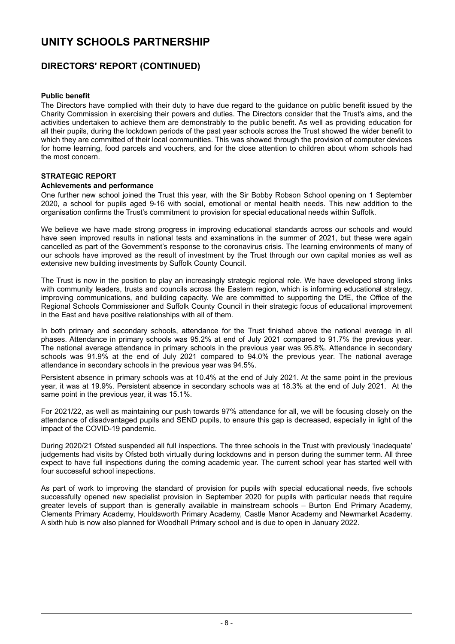### **DIRECTORS' REPORT (CONTINUED)**

#### **Public benefit**

The Directors have complied with their duty to have due regard to the guidance on public benefit issued by the Charity Commission in exercising their powers and duties. The Directors consider that the Trust's aims, and the activities undertaken to achieve them are demonstrably to the public benefit. As well as providing education for all their pupils, during the lockdown periods of the past year schools across the Trust showed the wider benefit to which they are committed of their local communities. This was showed through the provision of computer devices for home learning, food parcels and vouchers, and for the close attention to children about whom schools had the most concern.

#### **STRATEGIC REPORT**

#### **Achievements and performance**

One further new school joined the Trust this year, with the Sir Bobby Robson School opening on 1 September 2020, a school for pupils aged 9-16 with social, emotional or mental health needs. This new addition to the organisation confirms the Trust's commitment to provision for special educational needs within Suffolk.

We believe we have made strong progress in improving educational standards across our schools and would have seen improved results in national tests and examinations in the summer of 2021, but these were again cancelled as part of the Government's response to the coronavirus crisis. The learning environments of many of our schools have improved as the result of investment by the Trust through our own capital monies as well as extensive new building investments by Suffolk County Council.

The Trust is now in the position to play an increasingly strategic regional role. We have developed strong links with community leaders, trusts and councils across the Eastern region, which is informing educational strategy, improving communications, and building capacity. We are committed to supporting the DfE, the Office of the Regional Schools Commissioner and Suffolk County Council in their strategic focus of educational improvement in the East and have positive relationships with all of them.

In both primary and secondary schools, attendance for the Trust finished above the national average in all phases. Attendance in primary schools was 95.2% at end of July 2021 compared to 91.7% the previous year. The national average attendance in primary schools in the previous year was 95.8%. Attendance in secondary schools was 91.9% at the end of July 2021 compared to 94.0% the previous year. The national average attendance in secondary schools in the previous year was 94.5%.

Persistent absence in primary schools was at 10.4% at the end of July 2021. At the same point in the previous year, it was at 19.9%. Persistent absence in secondary schools was at 18.3% at the end of July 2021. At the same point in the previous year, it was 15.1%.

For 2021/22, as well as maintaining our push towards 97% attendance for all, we will be focusing closely on the attendance of disadvantaged pupils and SEND pupils, to ensure this gap is decreased, especially in light of the impact of the COVID-19 pandemic.

During 2020/21 Ofsted suspended all full inspections. The three schools in the Trust with previously 'inadequate' judgements had visits by Ofsted both virtually during lockdowns and in person during the summer term. All three expect to have full inspections during the coming academic year. The current school year has started well with four successful school inspections.

As part of work to improving the standard of provision for pupils with special educational needs, five schools successfully opened new specialist provision in September 2020 for pupils with particular needs that require greater levels of support than is generally available in mainstream schools – Burton End Primary Academy, Clements Primary Academy, Houldsworth Primary Academy, Castle Manor Academy and Newmarket Academy. A sixth hub is now also planned for Woodhall Primary school and is due to open in January 2022.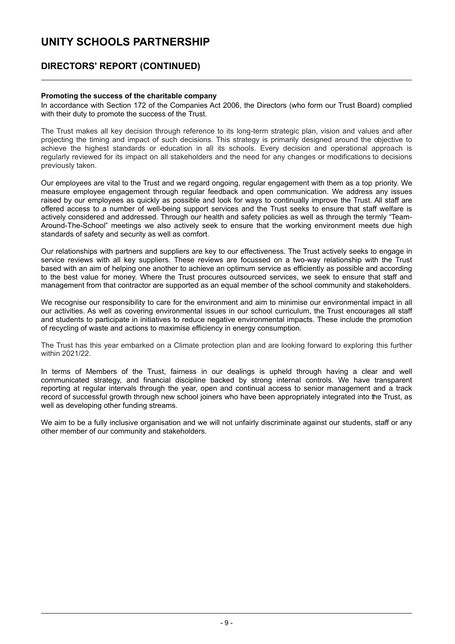### **DIRECTORS' REPORT (CONTINUED)**

#### **Promoting the success of the charitable company**

In accordance with Section 172 of the Companies Act 2006, the Directors (who form our Trust Board) complied with their duty to promote the success of the Trust.

The Trust makes all key decision through reference to its long-term strategic plan, vision and values and after projecting the timing and impact of such decisions. This strategy is primarily designed around the objective to achieve the highest standards or education in all its schools. Every decision and operational approach is regularly reviewed for its impact on all stakeholders and the need for any changes or modifications to decisions previously taken.

Our employees are vital to the Trust and we regard ongoing, regular engagement with them as a top priority. We measure employee engagement through regular feedback and open communication. We address any issues raised by our employees as quickly as possible and look for ways to continually improve the Trust. All staff are offered access to a number of well-being support services and the Trust seeks to ensure that staff welfare is actively considered and addressed. Through our health and safety policies as well as through the termly "Team-Around-The-School" meetings we also actively seek to ensure that the working environment meets due high standards of safety and security as well as comfort.

Our relationships with partners and suppliers are key to our effectiveness. The Trust actively seeks to engage in service reviews with all key suppliers. These reviews are focussed on a two-way relationship with the Trust based with an aim of helping one another to achieve an optimum service as efficiently as possible and according to the best value for money. Where the Trust procures outsourced services, we seek to ensure that staff and management from that contractor are supported as an equal member of the school community and stakeholders.

We recognise our responsibility to care for the environment and aim to minimise our environmental impact in all our activities. As well as covering environmental issues in our school curriculum, the Trust encourages all staff and students to participate in initiatives to reduce negative environmental impacts. These include the promotion of recycling of waste and actions to maximise efficiency in energy consumption.

The Trust has this year embarked on a Climate protection plan and are looking forward to exploring this further within 2021/22.

In terms of Members of the Trust, fairness in our dealings is upheld through having a clear and well communicated strategy, and financial discipline backed by strong internal controls. We have transparent reporting at regular intervals through the year, open and continual access to senior management and a track record of successful growth through new school joiners who have been appropriately integrated into the Trust, as well as developing other funding streams.

We aim to be a fully inclusive organisation and we will not unfairly discriminate against our students, staff or any other member of our community and stakeholders.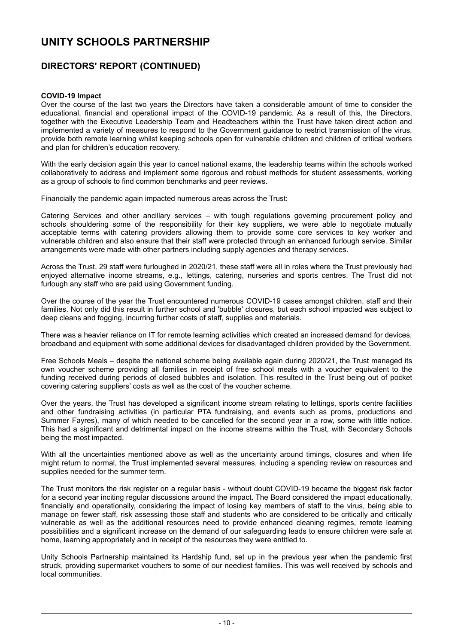### **DIRECTORS' REPORT (CONTINUED)**

#### **COVID-19 Impact**

Over the course of the last two years the Directors have taken a considerable amount of time to consider the educational, financial and operational impact of the COVID-19 pandemic. As a result of this, the Directors, together with the Executive Leadership Team and Headteachers within the Trust have taken direct action and implemented a variety of measures to respond to the Government guidance to restrict transmission of the virus, provide both remote learning whilst keeping schools open for vulnerable children and children of critical workers and plan for children's education recovery.

With the early decision again this year to cancel national exams, the leadership teams within the schools worked collaboratively to address and implement some rigorous and robust methods for student assessments, working as a group of schools to find common benchmarks and peer reviews.

Financially the pandemic again impacted numerous areas across the Trust:

Catering Services and other ancillary services – with tough regulations governing procurement policy and schools shouldering some of the responsibility for their key suppliers, we were able to negotiate mutually acceptable terms with catering providers allowing them to provide some core services to key worker and vulnerable children and also ensure that their staff were protected through an enhanced furlough service. Similar arrangements were made with other partners including supply agencies and therapy services.

Across the Trust, 29 staff were furloughed in 2020/21, these staff were all in roles where the Trust previously had enjoyed alternative income streams, e.g., lettings, catering, nurseries and sports centres. The Trust did not furlough any staff who are paid using Government funding.

Over the course of the year the Trust encountered numerous COVID-19 cases amongst children, staff and their families. Not only did this result in further school and 'bubble' closures, but each school impacted was subject to deep cleans and fogging, incurring further costs of staff, supplies and materials.

There was a heavier reliance on IT for remote learning activities which created an increased demand for devices, broadband and equipment with some additional devices for disadvantaged children provided by the Government.

Free Schools Meals – despite the national scheme being available again during 2020/21, the Trust managed its own voucher scheme providing all families in receipt of free school meals with a voucher equivalent to the funding received during periods of closed bubbles and isolation. This resulted in the Trust being out of pocket covering catering suppliers' costs as well as the cost of the voucher scheme.

Over the years, the Trust has developed a significant income stream relating to lettings, sports centre facilities and other fundraising activities (in particular PTA fundraising, and events such as proms, productions and Summer Fayres), many of which needed to be cancelled for the second year in a row, some with little notice. This had a significant and detrimental impact on the income streams within the Trust, with Secondary Schools being the most impacted.

With all the uncertainties mentioned above as well as the uncertainty around timings, closures and when life might return to normal, the Trust implemented several measures, including a spending review on resources and supplies needed for the summer term.

The Trust monitors the risk register on a regular basis - without doubt COVID-19 became the biggest risk factor for a second year inciting regular discussions around the impact. The Board considered the impact educationally, financially and operationally, considering the impact of losing key members of staff to the virus, being able to manage on fewer staff, risk assessing those staff and students who are considered to be critically and critically vulnerable as well as the additional resources need to provide enhanced cleaning regimes, remote learning possibilities and a significant increase on the demand of our safeguarding leads to ensure children were safe at home, learning appropriately and in receipt of the resources they were entitled to.

Unity Schools Partnership maintained its Hardship fund, set up in the previous year when the pandemic first struck, providing supermarket vouchers to some of our neediest families. This was well received by schools and local communities.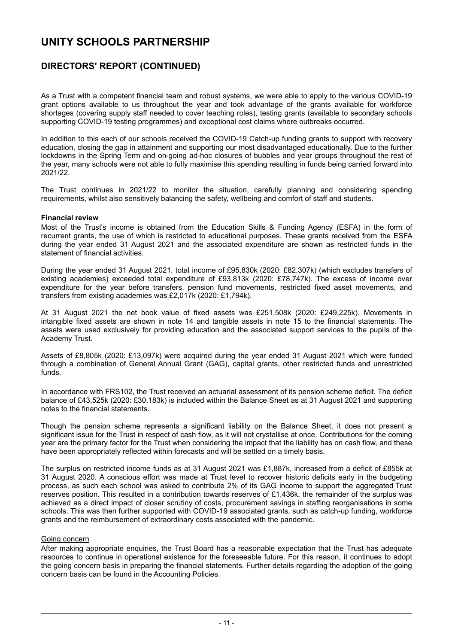### **DIRECTORS' REPORT (CONTINUED)**

As a Trust with a competent financial team and robust systems, we were able to apply to the various COVID-19 grant options available to us throughout the year and took advantage of the grants available for workforce shortages (covering supply staff needed to cover teaching roles), testing grants (available to secondary schools supporting COVID-19 testing programmes) and exceptional cost claims where outbreaks occurred.

In addition to this each of our schools received the COVID-19 Catch-up funding grants to support with recovery education, closing the gap in attainment and supporting our most disadvantaged educationally. Due to the further lockdowns in the Spring Term and on-going ad-hoc closures of bubbles and year groups throughout the rest of the year, many schools were not able to fully maximise this spending resulting in funds being carried forward into 2021/22.

The Trust continues in 2021/22 to monitor the situation, carefully planning and considering spending requirements, whilst also sensitively balancing the safety, wellbeing and comfort of staff and students.

#### **Financial review**

Most of the Trust's income is obtained from the Education Skills & Funding Agency (ESFA) in the form of recurrent grants, the use of which is restricted to educational purposes. These grants received from the ESFA during the year ended 31 August 2021 and the associated expenditure are shown as restricted funds in the statement of financial activities.

During the year ended 31 August 2021, total income of £95,830k (2020: £82,307k) (which excludes transfers of existing academies) exceeded total expenditure of £93,813k (2020: £78,747k). The excess of income over expenditure for the year before transfers, pension fund movements, restricted fixed asset movements, and transfers from existing academies was £2,017k (2020: £1,794k).

At 31 August 2021 the net book value of fixed assets was £251,508k (2020: £249,225k). Movements in intangible fixed assets are shown in note 14 and tangible assets in note 15 to the financial statements. The assets were used exclusively for providing education and the associated support services to the pupils of the Academy Trust.

Assets of £8,805k (2020: £13,097k) were acquired during the year ended 31 August 2021 which were funded through a combination of General Annual Grant (GAG), capital grants, other restricted funds and unrestricted funds.

In accordance with FRS102, the Trust received an actuarial assessment of its pension scheme deficit. The deficit balance of £43,525k (2020: £30,183k) is included within the Balance Sheet as at 31 August 2021 and supporting notes to the financial statements.

Though the pension scheme represents a significant liability on the Balance Sheet, it does not present a significant issue for the Trust in respect of cash flow, as it will not crystallise at once. Contributions for the coming year are the primary factor for the Trust when considering the impact that the liability has on cash flow, and these have been appropriately reflected within forecasts and will be settled on a timely basis.

The surplus on restricted income funds as at 31 August 2021 was £1,887k, increased from a deficit of £855k at 31 August 2020. A conscious effort was made at Trust level to recover historic deficits early in the budgeting process, as such each school was asked to contribute 2% of its GAG income to support the aggregated Trust reserves position. This resulted in a contribution towards reserves of £1,436k, the remainder of the surplus was achieved as a direct impact of closer scrutiny of costs, procurement savings in staffing reorganisations in some schools. This was then further supported with COVID-19 associated grants, such as catch-up funding, workforce grants and the reimbursement of extraordinary costs associated with the pandemic.

#### Going concern

After making appropriate enquiries, the Trust Board has a reasonable expectation that the Trust has adequate resources to continue in operational existence for the foreseeable future. For this reason, it continues to adopt the going concern basis in preparing the financial statements. Further details regarding the adoption of the going concern basis can be found in the Accounting Policies.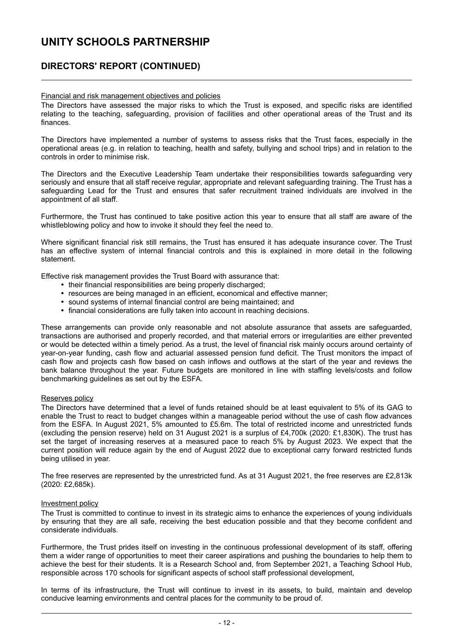### **DIRECTORS' REPORT (CONTINUED)**

#### Financial and risk management objectives and policies

The Directors have assessed the major risks to which the Trust is exposed, and specific risks are identified relating to the teaching, safeguarding, provision of facilities and other operational areas of the Trust and its finances.

The Directors have implemented a number of systems to assess risks that the Trust faces, especially in the operational areas (e.g. in relation to teaching, health and safety, bullying and school trips) and in relation to the controls in order to minimise risk.

The Directors and the Executive Leadership Team undertake their responsibilities towards safeguarding very seriously and ensure that all staff receive regular, appropriate and relevant safeguarding training. The Trust has a safeguarding Lead for the Trust and ensures that safer recruitment trained individuals are involved in the appointment of all staff.

Furthermore, the Trust has continued to take positive action this year to ensure that all staff are aware of the whistleblowing policy and how to invoke it should they feel the need to.

Where significant financial risk still remains, the Trust has ensured it has adequate insurance cover. The Trust has an effective system of internal financial controls and this is explained in more detail in the following statement.

Effective risk management provides the Trust Board with assurance that:

- their financial responsibilities are being properly discharged;
- resources are being managed in an efficient, economical and effective manner;
- sound systems of internal financial control are being maintained; and
- financial considerations are fully taken into account in reaching decisions.

These arrangements can provide only reasonable and not absolute assurance that assets are safeguarded, transactions are authorised and properly recorded, and that material errors or irregularities are either prevented or would be detected within a timely period. As a trust, the level of financial risk mainly occurs around certainty of year-on-year funding, cash flow and actuarial assessed pension fund deficit. The Trust monitors the impact of cash flow and projects cash flow based on cash inflows and outflows at the start of the year and reviews the bank balance throughout the year. Future budgets are monitored in line with staffing levels/costs and follow benchmarking guidelines as set out by the ESFA.

#### Reserves policy

The Directors have determined that a level of funds retained should be at least equivalent to 5% of its GAG to enable the Trust to react to budget changes within a manageable period without the use of cash flow advances from the ESFA. In August 2021, 5% amounted to £5.6m. The total of restricted income and unrestricted funds (excluding the pension reserve) held on 31 August 2021 is a surplus of £4,700k (2020: £1,830K). The trust has set the target of increasing reserves at a measured pace to reach 5% by August 2023. We expect that the current position will reduce again by the end of August 2022 due to exceptional carry forward restricted funds being utilised in year.

The free reserves are represented by the unrestricted fund. As at 31 August 2021, the free reserves are £2,813k (2020: £2,685k).

#### Investment policy

The Trust is committed to continue to invest in its strategic aims to enhance the experiences of young individuals by ensuring that they are all safe, receiving the best education possible and that they become confident and considerate individuals.

Furthermore, the Trust prides itself on investing in the continuous professional development of its staff, offering them a wider range of opportunities to meet their career aspirations and pushing the boundaries to help them to achieve the best for their students. It is a Research School and, from September 2021, a Teaching School Hub, responsible across 170 schools for significant aspects of school staff professional development,

In terms of its infrastructure, the Trust will continue to invest in its assets, to build, maintain and develop conducive learning environments and central places for the community to be proud of.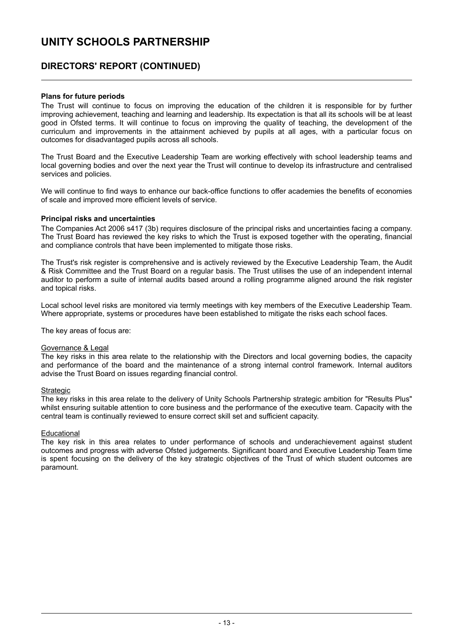### **DIRECTORS' REPORT (CONTINUED)**

#### **Plans for future periods**

The Trust will continue to focus on improving the education of the children it is responsible for by further improving achievement, teaching and learning and leadership. Its expectation is that all its schools will be at least good in Ofsted terms. It will continue to focus on improving the quality of teaching, the development of the curriculum and improvements in the attainment achieved by pupils at all ages, with a particular focus on outcomes for disadvantaged pupils across all schools.

The Trust Board and the Executive Leadership Team are working effectively with school leadership teams and local governing bodies and over the next year the Trust will continue to develop its infrastructure and centralised services and policies.

We will continue to find ways to enhance our back-office functions to offer academies the benefits of economies of scale and improved more efficient levels of service.

#### **Principal risks and uncertainties**

The Companies Act 2006 s417 (3b) requires disclosure of the principal risks and uncertainties facing a company. The Trust Board has reviewed the key risks to which the Trust is exposed together with the operating, financial and compliance controls that have been implemented to mitigate those risks.

The Trust's risk register is comprehensive and is actively reviewed by the Executive Leadership Team, the Audit & Risk Committee and the Trust Board on a regular basis. The Trust utilises the use of an independent internal auditor to perform a suite of internal audits based around a rolling programme aligned around the risk register and topical risks.

Local school level risks are monitored via termly meetings with key members of the Executive Leadership Team. Where appropriate, systems or procedures have been established to mitigate the risks each school faces.

The key areas of focus are:

#### Governance & Legal

The key risks in this area relate to the relationship with the Directors and local governing bodies, the capacity and performance of the board and the maintenance of a strong internal control framework. Internal auditors advise the Trust Board on issues regarding financial control.

#### **Strategic**

The key risks in this area relate to the delivery of Unity Schools Partnership strategic ambition for "Results Plus" whilst ensuring suitable attention to core business and the performance of the executive team. Capacity with the central team is continually reviewed to ensure correct skill set and sufficient capacity.

#### **Educational**

The key risk in this area relates to under performance of schools and underachievement against student outcomes and progress with adverse Ofsted judgements. Significant board and Executive Leadership Team time is spent focusing on the delivery of the key strategic objectives of the Trust of which student outcomes are paramount.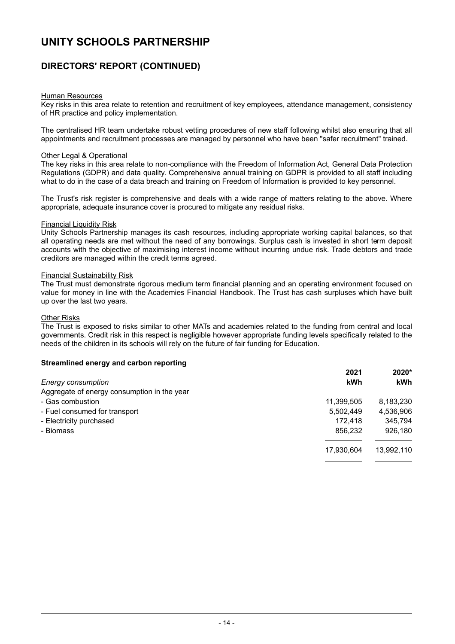### **DIRECTORS' REPORT (CONTINUED)**

#### Human Resources

Key risks in this area relate to retention and recruitment of key employees, attendance management, consistency of HR practice and policy implementation.

The centralised HR team undertake robust vetting procedures of new staff following whilst also ensuring that all appointments and recruitment processes are managed by personnel who have been "safer recruitment" trained.

#### Other Legal & Operational

The key risks in this area relate to non-compliance with the Freedom of Information Act, General Data Protection Regulations (GDPR) and data quality. Comprehensive annual training on GDPR is provided to all staff including what to do in the case of a data breach and training on Freedom of Information is provided to key personnel.

The Trust's risk register is comprehensive and deals with a wide range of matters relating to the above. Where appropriate, adequate insurance cover is procured to mitigate any residual risks.

#### Financial Liquidity Risk

Unity Schools Partnership manages its cash resources, including appropriate working capital balances, so that all operating needs are met without the need of any borrowings. Surplus cash is invested in short term deposit accounts with the objective of maximising interest income without incurring undue risk. Trade debtors and trade creditors are managed within the credit terms agreed.

#### Financial Sustainability Risk

The Trust must demonstrate rigorous medium term financial planning and an operating environment focused on value for money in line with the Academies Financial Handbook. The Trust has cash surpluses which have built up over the last two years.

#### Other Risks

The Trust is exposed to risks similar to other MATs and academies related to the funding from central and local governments. Credit risk in this respect is negligible however appropriate funding levels specifically related to the needs of the children in its schools will rely on the future of fair funding for Education.

#### **Streamlined energy and carbon reporting**

|                                             | 2021       | 2020*      |
|---------------------------------------------|------------|------------|
| <b>Energy consumption</b>                   | kWh        | kWh        |
| Aggregate of energy consumption in the year |            |            |
| - Gas combustion                            | 11,399,505 | 8,183,230  |
| - Fuel consumed for transport               | 5,502,449  | 4,536,906  |
| - Electricity purchased                     | 172.418    | 345,794    |
| - Biomass                                   | 856.232    | 926.180    |
|                                             | 17,930,604 | 13,992,110 |
|                                             |            |            |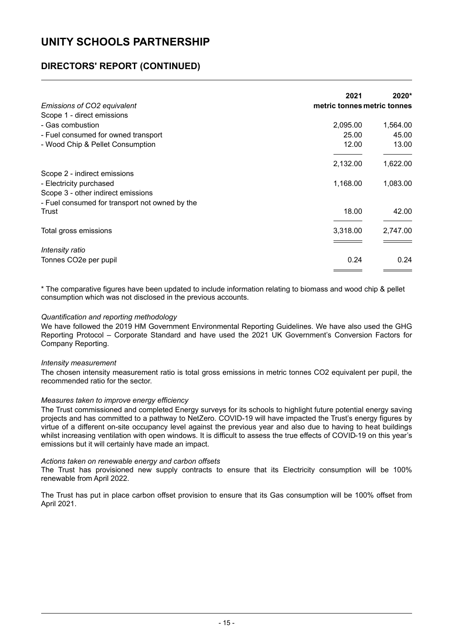### **DIRECTORS' REPORT (CONTINUED)**

| Emissions of CO2 equivalent                    | 2021<br>metric tonnes metric tonnes | 2020*    |
|------------------------------------------------|-------------------------------------|----------|
| Scope 1 - direct emissions<br>- Gas combustion | 2,095.00                            | 1,564.00 |
| - Fuel consumed for owned transport            | 25.00                               | 45.00    |
| - Wood Chip & Pellet Consumption               | 12.00                               | 13.00    |
|                                                | 2,132.00                            | 1,622.00 |
| Scope 2 - indirect emissions                   |                                     |          |
| - Electricity purchased                        | 1,168.00                            | 1,083.00 |
| Scope 3 - other indirect emissions             |                                     |          |
| - Fuel consumed for transport not owned by the |                                     |          |
| Trust                                          | 18.00                               | 42.00    |
| Total gross emissions                          | 3,318.00                            | 2,747.00 |
| Intensity ratio                                |                                     |          |
| Tonnes CO2e per pupil                          | 0.24                                | 0.24     |
|                                                |                                     |          |

\* The comparative figures have been updated to include information relating to biomass and wood chip & pellet consumption which was not disclosed in the previous accounts.

#### *Quantification and reporting methodology*

We have followed the 2019 HM Government Environmental Reporting Guidelines. We have also used the GHG Reporting Protocol – Corporate Standard and have used the 2021 UK Government's Conversion Factors for Company Reporting.

#### *Intensity measurement*

The chosen intensity measurement ratio is total gross emissions in metric tonnes CO2 equivalent per pupil, the recommended ratio for the sector.

#### *Measures taken to improve energy efficiency*

The Trust commissioned and completed Energy surveys for its schools to highlight future potential energy saving projects and has committed to a pathway to NetZero. COVID-19 will have impacted the Trust's energy figures by virtue of a different on-site occupancy level against the previous year and also due to having to heat buildings whilst increasing ventilation with open windows. It is difficult to assess the true effects of COVID-19 on this year's emissions but it will certainly have made an impact.

#### *Actions taken on renewable energy and carbon offsets*

The Trust has provisioned new supply contracts to ensure that its Electricity consumption will be 100% renewable from April 2022.

The Trust has put in place carbon offset provision to ensure that its Gas consumption will be 100% offset from April 2021.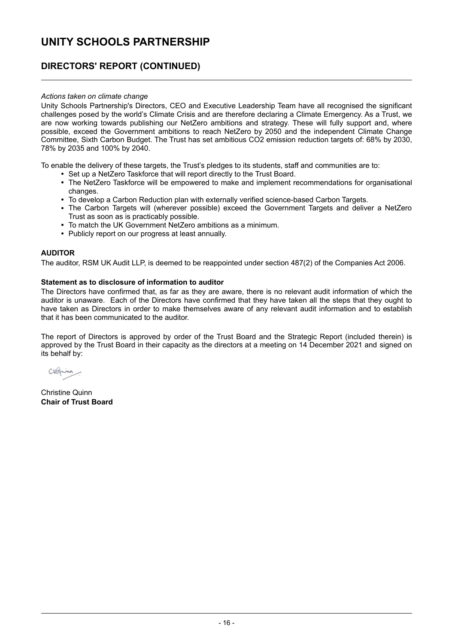### **DIRECTORS' REPORT (CONTINUED)**

#### *Actions taken on climate change*

Unity Schools Partnership's Directors, CEO and Executive Leadership Team have all recognised the significant challenges posed by the world's Climate Crisis and are therefore declaring a Climate Emergency. As a Trust, we are now working towards publishing our NetZero ambitions and strategy. These will fully support and, where possible, exceed the Government ambitions to reach NetZero by 2050 and the independent Climate Change Committee, Sixth Carbon Budget. The Trust has set ambitious CO2 emission reduction targets of: 68% by 2030, 78% by 2035 and 100% by 2040.

To enable the delivery of these targets, the Trust's pledges to its students, staff and communities are to:

- Set up a NetZero Taskforce that will report directly to the Trust Board.
- The NetZero Taskforce will be empowered to make and implement recommendations for organisational changes.
- To develop a Carbon Reduction plan with externally verified science-based Carbon Targets.
- The Carbon Targets will (wherever possible) exceed the Government Targets and deliver a NetZero Trust as soon as is practicably possible.
- To match the UK Government NetZero ambitions as a minimum.
- Publicly report on our progress at least annually.

#### **AUDITOR**

The auditor, RSM UK Audit LLP, is deemed to be reappointed under section 487(2) of the Companies Act 2006.

#### **Statement as to disclosure of information to auditor**

The Directors have confirmed that, as far as they are aware, there is no relevant audit information of which the auditor is unaware. Each of the Directors have confirmed that they have taken all the steps that they ought to have taken as Directors in order to make themselves aware of any relevant audit information and to establish that it has been communicated to the auditor.

The report of Directors is approved by order of the Trust Board and the Strategic Report (included therein) is approved by the Trust Board in their capacity as the directors at a meeting on 14 December 2021 and signed on its behalf by:

Curavian

Christine Quinn **Chair of Trust Board**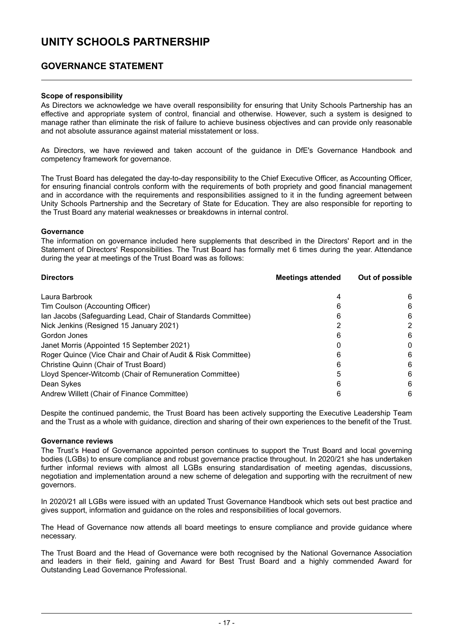### **GOVERNANCE STATEMENT**

#### **Scope of responsibility**

As Directors we acknowledge we have overall responsibility for ensuring that Unity Schools Partnership has an effective and appropriate system of control, financial and otherwise. However, such a system is designed to manage rather than eliminate the risk of failure to achieve business objectives and can provide only reasonable and not absolute assurance against material misstatement or loss.

As Directors, we have reviewed and taken account of the guidance in DfE's Governance Handbook and competency framework for governance.

The Trust Board has delegated the day-to-day responsibility to the Chief Executive Officer, as Accounting Officer, for ensuring financial controls conform with the requirements of both propriety and good financial management and in accordance with the requirements and responsibilities assigned to it in the funding agreement between Unity Schools Partnership and the Secretary of State for Education. They are also responsible for reporting to the Trust Board any material weaknesses or breakdowns in internal control.

#### **Governance**

The information on governance included here supplements that described in the Directors' Report and in the Statement of Directors' Responsibilities. The Trust Board has formally met 6 times during the year. Attendance during the year at meetings of the Trust Board was as follows:

| <b>Directors</b>                                              | <b>Meetings attended</b> | Out of possible |
|---------------------------------------------------------------|--------------------------|-----------------|
| Laura Barbrook                                                |                          | 6               |
| Tim Coulson (Accounting Officer)                              |                          | 6               |
| Ian Jacobs (Safeguarding Lead, Chair of Standards Committee)  | 6                        | 6               |
| Nick Jenkins (Resigned 15 January 2021)                       |                          | 2               |
| Gordon Jones                                                  | 6                        | 6               |
| Janet Morris (Appointed 15 September 2021)                    |                          | 0               |
| Roger Quince (Vice Chair and Chair of Audit & Risk Committee) | h                        | 6               |
| Christine Quinn (Chair of Trust Board)                        | h                        | 6               |
| Lloyd Spencer-Witcomb (Chair of Remuneration Committee)       | 5                        | 6               |
| Dean Sykes                                                    |                          | 6               |
| Andrew Willett (Chair of Finance Committee)                   |                          | 6               |

Despite the continued pandemic, the Trust Board has been actively supporting the Executive Leadership Team and the Trust as a whole with guidance, direction and sharing of their own experiences to the benefit of the Trust.

#### **Governance reviews**

The Trust's Head of Governance appointed person continues to support the Trust Board and local governing bodies (LGBs) to ensure compliance and robust governance practice throughout. In 2020/21 she has undertaken further informal reviews with almost all LGBs ensuring standardisation of meeting agendas, discussions, negotiation and implementation around a new scheme of delegation and supporting with the recruitment of new governors.

In 2020/21 all LGBs were issued with an updated Trust Governance Handbook which sets out best practice and gives support, information and guidance on the roles and responsibilities of local governors.

The Head of Governance now attends all board meetings to ensure compliance and provide guidance where necessary.

The Trust Board and the Head of Governance were both recognised by the National Governance Association and leaders in their field, gaining and Award for Best Trust Board and a highly commended Award for Outstanding Lead Governance Professional.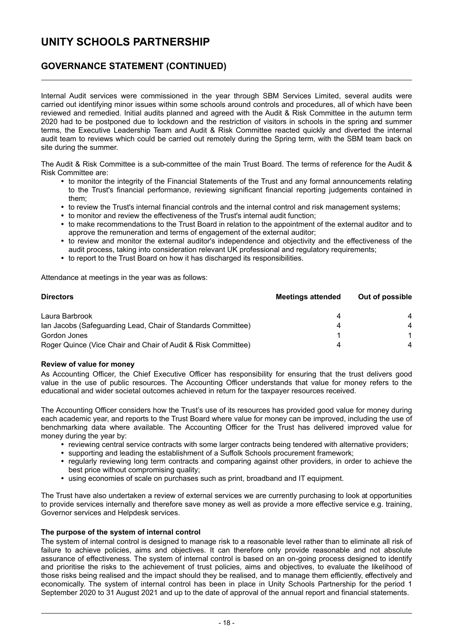### **GOVERNANCE STATEMENT (CONTINUED)**

Internal Audit services were commissioned in the year through SBM Services Limited, several audits were carried out identifying minor issues within some schools around controls and procedures, all of which have been reviewed and remedied. Initial audits planned and agreed with the Audit & Risk Committee in the autumn term 2020 had to be postponed due to lockdown and the restriction of visitors in schools in the spring and summer terms, the Executive Leadership Team and Audit & Risk Committee reacted quickly and diverted the internal audit team to reviews which could be carried out remotely during the Spring term, with the SBM team back on site during the summer.

The Audit & Risk Committee is a sub-committee of the main Trust Board. The terms of reference for the Audit & Risk Committee are:

- to monitor the integrity of the Financial Statements of the Trust and any formal announcements relating to the Trust's financial performance, reviewing significant financial reporting judgements contained in them;
- to review the Trust's internal financial controls and the internal control and risk management systems;
- to monitor and review the effectiveness of the Trust's internal audit function;
- to make recommendations to the Trust Board in relation to the appointment of the external auditor and to approve the remuneration and terms of engagement of the external auditor;
- to review and monitor the external auditor's independence and objectivity and the effectiveness of the audit process, taking into consideration relevant UK professional and regulatory requirements;
- to report to the Trust Board on how it has discharged its responsibilities.

Attendance at meetings in the year was as follows:

| <b>Directors</b>                                              | <b>Meetings attended</b> | Out of possible |
|---------------------------------------------------------------|--------------------------|-----------------|
| Laura Barbrook                                                | 4                        | 4               |
| Ian Jacobs (Safeguarding Lead, Chair of Standards Committee)  | Δ                        | 4               |
| Gordon Jones                                                  |                          |                 |
| Roger Quince (Vice Chair and Chair of Audit & Risk Committee) | Δ                        |                 |

#### **Review of value for money**

As Accounting Officer, the Chief Executive Officer has responsibility for ensuring that the trust delivers good value in the use of public resources. The Accounting Officer understands that value for money refers to the educational and wider societal outcomes achieved in return for the taxpayer resources received.

The Accounting Officer considers how the Trust's use of its resources has provided good value for money during each academic year, and reports to the Trust Board where value for money can be improved, including the use of benchmarking data where available. The Accounting Officer for the Trust has delivered improved value for money during the year by:

- reviewing central service contracts with some larger contracts being tendered with alternative providers;
- supporting and leading the establishment of a Suffolk Schools procurement framework;
- regularly reviewing long term contracts and comparing against other providers, in order to achieve the best price without compromising quality;
- using economies of scale on purchases such as print, broadband and IT equipment.

The Trust have also undertaken a review of external services we are currently purchasing to look at opportunities to provide services internally and therefore save money as well as provide a more effective service e.g. training, Governor services and Helpdesk services.

#### **The purpose of the system of internal control**

The system of internal control is designed to manage risk to a reasonable level rather than to eliminate all risk of failure to achieve policies, aims and objectives. It can therefore only provide reasonable and not absolute assurance of effectiveness. The system of internal control is based on an on-going process designed to identify and prioritise the risks to the achievement of trust policies, aims and objectives, to evaluate the likelihood of those risks being realised and the impact should they be realised, and to manage them efficiently, effectively and economically. The system of internal control has been in place in Unity Schools Partnership for the period 1 September 2020 to 31 August 2021 and up to the date of approval of the annual report and financial statements.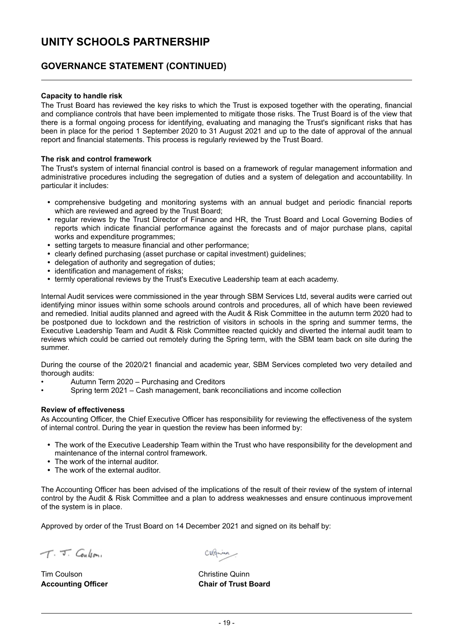### **GOVERNANCE STATEMENT (CONTINUED)**

#### **Capacity to handle risk**

The Trust Board has reviewed the key risks to which the Trust is exposed together with the operating, financial and compliance controls that have been implemented to mitigate those risks. The Trust Board is of the view that there is a formal ongoing process for identifying, evaluating and managing the Trust's significant risks that has been in place for the period 1 September 2020 to 31 August 2021 and up to the date of approval of the annual report and financial statements. This process is regularly reviewed by the Trust Board.

#### **The risk and control framework**

The Trust's system of internal financial control is based on a framework of regular management information and administrative procedures including the segregation of duties and a system of delegation and accountability. In particular it includes:

- comprehensive budgeting and monitoring systems with an annual budget and periodic financial reports which are reviewed and agreed by the Trust Board;
- regular reviews by the Trust Director of Finance and HR, the Trust Board and Local Governing Bodies of reports which indicate financial performance against the forecasts and of major purchase plans, capital works and expenditure programmes;
- setting targets to measure financial and other performance;
- clearly defined purchasing (asset purchase or capital investment) guidelines;
- delegation of authority and segregation of duties;
- identification and management of risks;
- termly operational reviews by the Trust's Executive Leadership team at each academy.

Internal Audit services were commissioned in the year through SBM Services Ltd, several audits were carried out identifying minor issues within some schools around controls and procedures, all of which have been reviewed and remedied. Initial audits planned and agreed with the Audit & Risk Committee in the autumn term 2020 had to be postponed due to lockdown and the restriction of visitors in schools in the spring and summer terms, the Executive Leadership Team and Audit & Risk Committee reacted quickly and diverted the internal audit team to reviews which could be carried out remotely during the Spring term, with the SBM team back on site during the summer.

During the course of the 2020/21 financial and academic year, SBM Services completed two very detailed and thorough audits:

- Autumn Term 2020 Purchasing and Creditors
- Spring term 2021 Cash management, bank reconciliations and income collection

#### **Review of effectiveness**

As Accounting Officer, the Chief Executive Officer has responsibility for reviewing the effectiveness of the system of internal control. During the year in question the review has been informed by:

- The work of the Executive Leadership Team within the Trust who have responsibility for the development and maintenance of the internal control framework.
- The work of the internal auditor.
- The work of the external auditor.

The Accounting Officer has been advised of the implications of the result of their review of the system of internal control by the Audit & Risk Committee and a plan to address weaknesses and ensure continuous improvement of the system is in place.

Approved by order of the Trust Board on 14 December 2021 and signed on its behalf by:

 $\tau$ . J. Coulom

Tim Coulson Christine Quinn

Charina

**Accounting Officer Chair of Trust Board**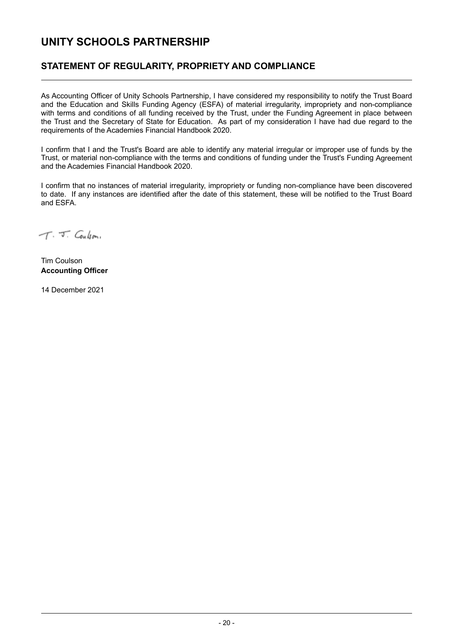### **STATEMENT OF REGULARITY, PROPRIETY AND COMPLIANCE**

As Accounting Officer of Unity Schools Partnership, I have considered my responsibility to notify the Trust Board and the Education and Skills Funding Agency (ESFA) of material irregularity, impropriety and non-compliance with terms and conditions of all funding received by the Trust, under the Funding Agreement in place between the Trust and the Secretary of State for Education. As part of my consideration I have had due regard to the requirements of the Academies Financial Handbook 2020.

I confirm that I and the Trust's Board are able to identify any material irregular or improper use of funds by the Trust, or material non-compliance with the terms and conditions of funding under the Trust's Funding Agreement and the Academies Financial Handbook 2020.

I confirm that no instances of material irregularity, impropriety or funding non-compliance have been discovered to date. If any instances are identified after the date of this statement, these will be notified to the Trust Board and ESFA.

T. J. Coulson

Tim Coulson **Accounting Officer**

14 December 2021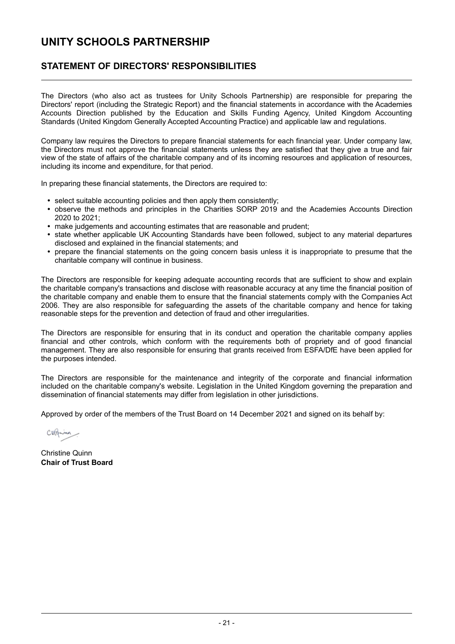### **STATEMENT OF DIRECTORS' RESPONSIBILITIES**

The Directors (who also act as trustees for Unity Schools Partnership) are responsible for preparing the Directors' report (including the Strategic Report) and the financial statements in accordance with the Academies Accounts Direction published by the Education and Skills Funding Agency, United Kingdom Accounting Standards (United Kingdom Generally Accepted Accounting Practice) and applicable law and regulations.

Company law requires the Directors to prepare financial statements for each financial year. Under company law, the Directors must not approve the financial statements unless they are satisfied that they give a true and fair view of the state of affairs of the charitable company and of its incoming resources and application of resources, including its income and expenditure, for that period.

In preparing these financial statements, the Directors are required to:

- select suitable accounting policies and then apply them consistently;
- observe the methods and principles in the Charities SORP 2019 and the Academies Accounts Direction 2020 to 2021;
- make judgements and accounting estimates that are reasonable and prudent;
- state whether applicable UK Accounting Standards have been followed, subject to any material departures disclosed and explained in the financial statements; and
- prepare the financial statements on the going concern basis unless it is inappropriate to presume that the charitable company will continue in business.

The Directors are responsible for keeping adequate accounting records that are sufficient to show and explain the charitable company's transactions and disclose with reasonable accuracy at any time the financial position of the charitable company and enable them to ensure that the financial statements comply with the Companies Act 2006. They are also responsible for safeguarding the assets of the charitable company and hence for taking reasonable steps for the prevention and detection of fraud and other irregularities.

The Directors are responsible for ensuring that in its conduct and operation the charitable company applies financial and other controls, which conform with the requirements both of propriety and of good financial management. They are also responsible for ensuring that grants received from ESFA/DfE have been applied for the purposes intended.

The Directors are responsible for the maintenance and integrity of the corporate and financial information included on the charitable company's website. Legislation in the United Kingdom governing the preparation and dissemination of financial statements may differ from legislation in other jurisdictions.

Approved by order of the members of the Trust Board on 14 December 2021 and signed on its behalf by:

Curainn

Christine Quinn **Chair of Trust Board**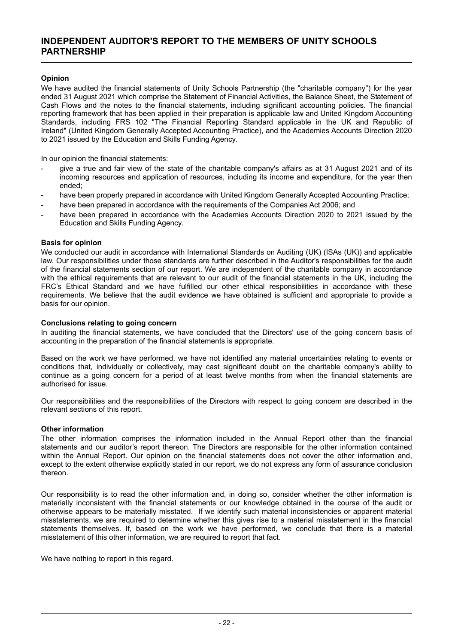### **INDEPENDENT AUDITOR'S REPORT TO THE MEMBERS OF UNITY SCHOOLS PARTNERSHIP**

#### **Opinion**

We have audited the financial statements of Unity Schools Partnership (the "charitable company") for the year ended 31 August 2021 which comprise the Statement of Financial Activities, the Balance Sheet, the Statement of Cash Flows and the notes to the financial statements, including significant accounting policies. The financial reporting framework that has been applied in their preparation is applicable law and United Kingdom Accounting Standards, including FRS 102 "The Financial Reporting Standard applicable in the UK and Republic of Ireland" (United Kingdom Generally Accepted Accounting Practice), and the Academies Accounts Direction 2020 to 2021 issued by the Education and Skills Funding Agency.

In our opinion the financial statements:

- give a true and fair view of the state of the charitable company's affairs as at 31 August 2021 and of its incoming resources and application of resources, including its income and expenditure, for the year then ended;
- have been properly prepared in accordance with United Kingdom Generally Accepted Accounting Practice;
- have been prepared in accordance with the requirements of the Companies Act 2006; and
- have been prepared in accordance with the Academies Accounts Direction 2020 to 2021 issued by the Education and Skills Funding Agency.

#### **Basis for opinion**

We conducted our audit in accordance with International Standards on Auditing (UK) (ISAs (UK)) and applicable law. Our responsibilities under those standards are further described in the Auditor's responsibilities for the audit of the financial statements section of our report. We are independent of the charitable company in accordance with the ethical requirements that are relevant to our audit of the financial statements in the UK, including the FRC's Ethical Standard and we have fulfilled our other ethical responsibilities in accordance with these requirements. We believe that the audit evidence we have obtained is sufficient and appropriate to provide a basis for our opinion.

#### **Conclusions relating to going concern**

In auditing the financial statements, we have concluded that the Directors' use of the going concern basis of accounting in the preparation of the financial statements is appropriate.

Based on the work we have performed, we have not identified any material uncertainties relating to events or conditions that, individually or collectively, may cast significant doubt on the charitable company's ability to continue as a going concern for a period of at least twelve months from when the financial statements are authorised for issue.

Our responsibilities and the responsibilities of the Directors with respect to going concern are described in the relevant sections of this report.

#### **Other information**

The other information comprises the information included in the Annual Report other than the financial statements and our auditor's report thereon. The Directors are responsible for the other information contained within the Annual Report. Our opinion on the financial statements does not cover the other information and, except to the extent otherwise explicitly stated in our report, we do not express any form of assurance conclusion thereon.

Our responsibility is to read the other information and, in doing so, consider whether the other information is materially inconsistent with the financial statements or our knowledge obtained in the course of the audit or otherwise appears to be materially misstated. If we identify such material inconsistencies or apparent material misstatements, we are required to determine whether this gives rise to a material misstatement in the financial statements themselves. If, based on the work we have performed, we conclude that there is a material misstatement of this other information, we are required to report that fact.

We have nothing to report in this regard.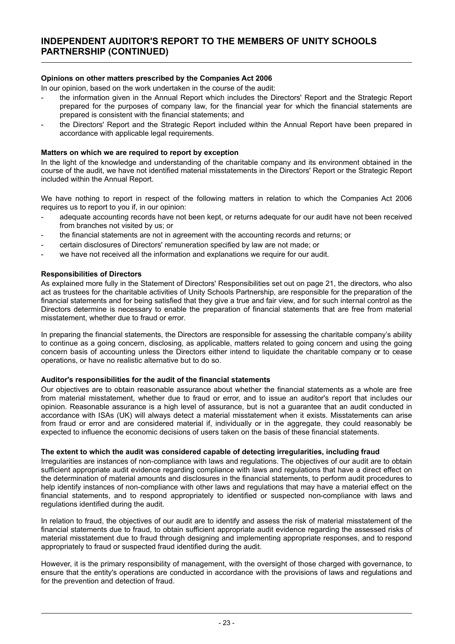#### **Opinions on other matters prescribed by the Companies Act 2006**

In our opinion, based on the work undertaken in the course of the audit:

- the information given in the Annual Report which includes the Directors' Report and the Strategic Report prepared for the purposes of company law, for the financial year for which the financial statements are prepared is consistent with the financial statements; and
- the Directors' Report and the Strategic Report included within the Annual Report have been prepared in accordance with applicable legal requirements.

#### **Matters on which we are required to report by exception**

In the light of the knowledge and understanding of the charitable company and its environment obtained in the course of the audit, we have not identified material misstatements in the Directors' Report or the Strategic Report included within the Annual Report.

We have nothing to report in respect of the following matters in relation to which the Companies Act 2006 requires us to report to you if, in our opinion:

- adequate accounting records have not been kept, or returns adequate for our audit have not been received from branches not visited by us; or
- the financial statements are not in agreement with the accounting records and returns; or
- certain disclosures of Directors' remuneration specified by law are not made; or
- we have not received all the information and explanations we require for our audit.

#### **Responsibilities of Directors**

As explained more fully in the Statement of Directors' Responsibilities set out on page 21, the directors, who also act as trustees for the charitable activities of Unity Schools Partnership, are responsible for the preparation of the financial statements and for being satisfied that they give a true and fair view, and for such internal control as the Directors determine is necessary to enable the preparation of financial statements that are free from material misstatement, whether due to fraud or error.

In preparing the financial statements, the Directors are responsible for assessing the charitable company's ability to continue as a going concern, disclosing, as applicable, matters related to going concern and using the going concern basis of accounting unless the Directors either intend to liquidate the charitable company or to cease operations, or have no realistic alternative but to do so.

#### **Auditor's responsibilities for the audit of the financial statements**

Our objectives are to obtain reasonable assurance about whether the financial statements as a whole are free from material misstatement, whether due to fraud or error, and to issue an auditor's report that includes our opinion. Reasonable assurance is a high level of assurance, but is not a guarantee that an audit conducted in accordance with ISAs (UK) will always detect a material misstatement when it exists. Misstatements can arise from fraud or error and are considered material if, individually or in the aggregate, they could reasonably be expected to influence the economic decisions of users taken on the basis of these financial statements.

#### **The extent to which the audit was considered capable of detecting irregularities, including fraud**

Irregularities are instances of non-compliance with laws and regulations. The objectives of our audit are to obtain sufficient appropriate audit evidence regarding compliance with laws and regulations that have a direct effect on the determination of material amounts and disclosures in the financial statements, to perform audit procedures to help identify instances of non-compliance with other laws and regulations that may have a material effect on the financial statements, and to respond appropriately to identified or suspected non-compliance with laws and regulations identified during the audit.

In relation to fraud, the objectives of our audit are to identify and assess the risk of material misstatement of the financial statements due to fraud, to obtain sufficient appropriate audit evidence regarding the assessed risks of material misstatement due to fraud through designing and implementing appropriate responses, and to respond appropriately to fraud or suspected fraud identified during the audit.

However, it is the primary responsibility of management, with the oversight of those charged with governance, to ensure that the entity's operations are conducted in accordance with the provisions of laws and regulations and for the prevention and detection of fraud.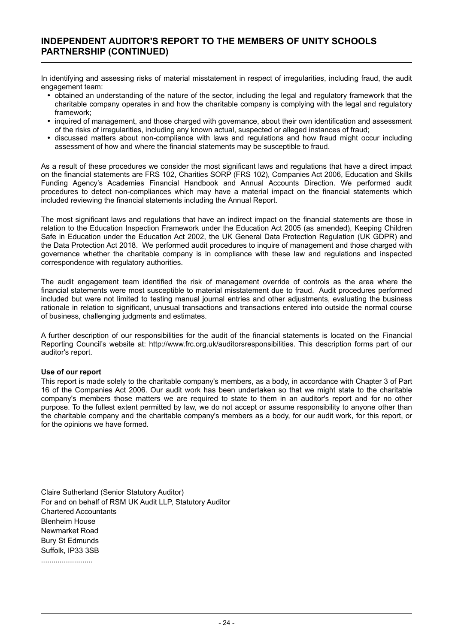In identifying and assessing risks of material misstatement in respect of irregularities, including fraud, the audit engagement team:

- obtained an understanding of the nature of the sector, including the legal and regulatory framework that the charitable company operates in and how the charitable company is complying with the legal and regulatory framework;
- inquired of management, and those charged with governance, about their own identification and assessment of the risks of irregularities, including any known actual, suspected or alleged instances of fraud;
- discussed matters about non-compliance with laws and regulations and how fraud might occur including assessment of how and where the financial statements may be susceptible to fraud.

As a result of these procedures we consider the most significant laws and regulations that have a direct impact on the financial statements are FRS 102, Charities SORP (FRS 102), Companies Act 2006, Education and Skills Funding Agency's Academies Financial Handbook and Annual Accounts Direction. We performed audit procedures to detect non-compliances which may have a material impact on the financial statements which included reviewing the financial statements including the Annual Report.

The most significant laws and regulations that have an indirect impact on the financial statements are those in relation to the Education Inspection Framework under the Education Act 2005 (as amended), Keeping Children Safe in Education under the Education Act 2002, the UK General Data Protection Regulation (UK GDPR) and the Data Protection Act 2018. We performed audit procedures to inquire of management and those charged with governance whether the charitable company is in compliance with these law and regulations and inspected correspondence with regulatory authorities.

The audit engagement team identified the risk of management override of controls as the area where the financial statements were most susceptible to material misstatement due to fraud. Audit procedures performed included but were not limited to testing manual journal entries and other adjustments, evaluating the business rationale in relation to significant, unusual transactions and transactions entered into outside the normal course of business, challenging judgments and estimates.

A further description of our responsibilities for the audit of the financial statements is located on the Financial Reporting Council's website at: http://www.frc.org.uk/auditorsresponsibilities. This description forms part of our auditor's report.

#### **Use of our report**

This report is made solely to the charitable company's members, as a body, in accordance with Chapter 3 of Part 16 of the Companies Act 2006. Our audit work has been undertaken so that we might state to the charitable company's members those matters we are required to state to them in an auditor's report and for no other purpose. To the fullest extent permitted by law, we do not accept or assume responsibility to anyone other than the charitable company and the charitable company's members as a body, for our audit work, for this report, or for the opinions we have formed.

Claire Sutherland (Senior Statutory Auditor) For and on behalf of RSM UK Audit LLP, Statutory Auditor Chartered Accountants Blenheim House Newmarket Road Bury St Edmunds Suffolk, IP33 3SB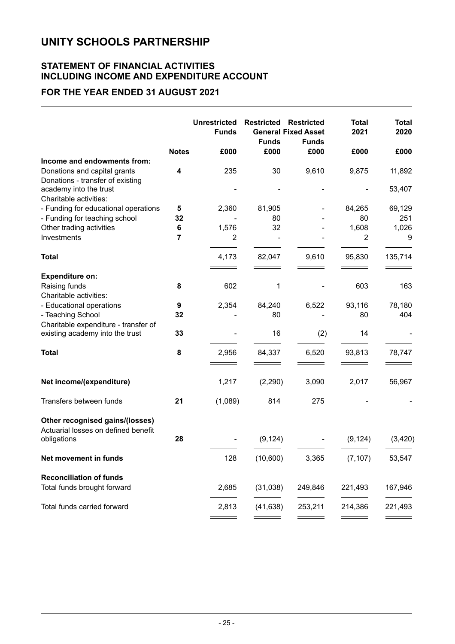### **STATEMENT OF FINANCIAL ACTIVITIES INCLUDING INCOME AND EXPENDITURE ACCOUNT**

### **FOR THE YEAR ENDED 31 AUGUST 2021**

|                                                                                                 |                | <b>Unrestricted</b><br><b>Funds</b> | <b>Restricted</b><br><b>Funds</b> | <b>Restricted</b><br><b>General Fixed Asset</b><br><b>Funds</b> | <b>Total</b><br>2021 | <b>Total</b><br>2020 |
|-------------------------------------------------------------------------------------------------|----------------|-------------------------------------|-----------------------------------|-----------------------------------------------------------------|----------------------|----------------------|
|                                                                                                 | <b>Notes</b>   | £000                                | £000                              | £000                                                            | £000                 | £000                 |
| Income and endowments from:<br>Donations and capital grants<br>Donations - transfer of existing | 4              | 235                                 | 30                                | 9,610                                                           | 9,875                | 11,892               |
| academy into the trust<br>Charitable activities:                                                |                |                                     |                                   |                                                                 |                      | 53,407               |
| - Funding for educational operations                                                            | 5              | 2,360                               | 81,905                            |                                                                 | 84,265               | 69,129               |
| - Funding for teaching school                                                                   | 32             |                                     | 80                                |                                                                 | 80                   | 251                  |
| Other trading activities                                                                        | 6              | 1,576                               | 32                                |                                                                 | 1,608                | 1,026                |
| Investments                                                                                     | $\overline{7}$ | 2                                   |                                   |                                                                 | 2                    | 9                    |
| <b>Total</b>                                                                                    |                | 4,173                               | 82,047                            | 9,610                                                           | 95,830               | 135,714              |
| <b>Expenditure on:</b>                                                                          |                |                                     |                                   |                                                                 |                      |                      |
| Raising funds<br>Charitable activities:                                                         | 8              | 602                                 | 1                                 |                                                                 | 603                  | 163                  |
| - Educational operations                                                                        | 9              | 2,354                               | 84,240                            | 6,522                                                           | 93,116               | 78,180               |
| - Teaching School                                                                               | 32             |                                     | 80                                |                                                                 | 80                   | 404                  |
| Charitable expenditure - transfer of<br>existing academy into the trust                         | 33             |                                     | 16                                | (2)                                                             | 14                   |                      |
| <b>Total</b>                                                                                    | 8              | 2,956                               | 84,337                            | 6,520                                                           | 93,813               | 78,747               |
| Net income/(expenditure)                                                                        |                | 1,217                               | (2,290)                           | 3,090                                                           | 2,017                | 56,967               |
| Transfers between funds                                                                         | 21             | (1,089)                             | 814                               | 275                                                             |                      |                      |
| Other recognised gains/(losses)<br>Actuarial losses on defined benefit                          |                |                                     |                                   |                                                                 |                      |                      |
| obligations                                                                                     | 28             |                                     | (9, 124)                          |                                                                 | (9, 124)             | (3, 420)             |
| Net movement in funds                                                                           |                | 128                                 | (10,600)                          | 3,365                                                           | (7, 107)             | 53,547               |
| <b>Reconciliation of funds</b><br>Total funds brought forward                                   |                | 2,685                               | (31,038)                          | 249,846                                                         | 221,493              | 167,946              |
|                                                                                                 |                |                                     |                                   |                                                                 |                      |                      |
| Total funds carried forward                                                                     |                | 2,813                               | (41, 638)                         | 253,211                                                         | 214,386              | 221,493              |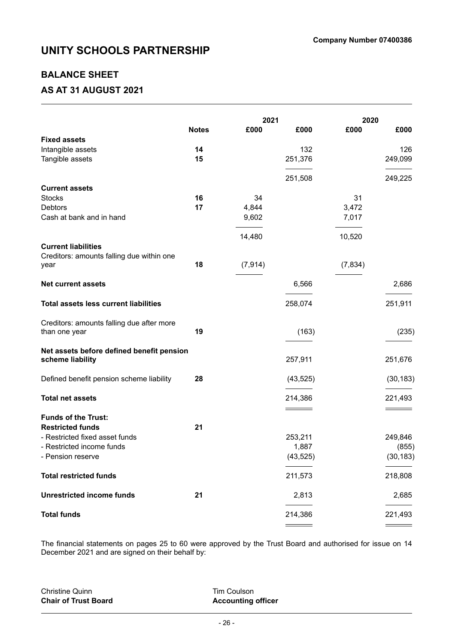### **BALANCE SHEET**

### **AS AT 31 AUGUST 2021**

|                                                   |              | 2021     |                  | 2020     |           |
|---------------------------------------------------|--------------|----------|------------------|----------|-----------|
|                                                   | <b>Notes</b> | £000     | £000             | £000     | £000      |
| <b>Fixed assets</b>                               |              |          |                  |          |           |
| Intangible assets                                 | 14           |          | 132              |          | 126       |
| Tangible assets                                   | 15           |          | 251,376          |          | 249,099   |
|                                                   |              |          | 251,508          |          | 249,225   |
| <b>Current assets</b>                             |              |          |                  |          |           |
| <b>Stocks</b>                                     | 16           | 34       |                  | 31       |           |
| <b>Debtors</b>                                    | 17           | 4,844    |                  | 3,472    |           |
| Cash at bank and in hand                          |              | 9,602    |                  | 7,017    |           |
|                                                   |              | 14,480   |                  | 10,520   |           |
| <b>Current liabilities</b>                        |              |          |                  |          |           |
| Creditors: amounts falling due within one<br>year | 18           | (7, 914) |                  | (7, 834) |           |
|                                                   |              |          |                  |          |           |
| <b>Net current assets</b>                         |              |          | 6,566            |          | 2,686     |
| <b>Total assets less current liabilities</b>      |              |          | 258,074          |          | 251,911   |
| Creditors: amounts falling due after more         |              |          |                  |          |           |
| than one year                                     | 19           |          | (163)            |          | (235)     |
| Net assets before defined benefit pension         |              |          |                  |          |           |
| scheme liability                                  |              |          | 257,911          |          | 251,676   |
| Defined benefit pension scheme liability          | 28           |          | (43, 525)        |          | (30, 183) |
|                                                   |              |          |                  |          |           |
| <b>Total net assets</b>                           |              |          | 214,386<br>_____ |          | 221,493   |
| <b>Funds of the Trust:</b>                        |              |          |                  |          |           |
| <b>Restricted funds</b>                           | 21           |          |                  |          |           |
| - Restricted fixed asset funds                    |              |          | 253,211          |          | 249,846   |
| - Restricted income funds                         |              |          | 1,887            |          | (855)     |
| - Pension reserve                                 |              |          | (43, 525)        |          | (30, 183) |
|                                                   |              |          |                  |          |           |
| <b>Total restricted funds</b>                     |              |          | 211,573          |          | 218,808   |
| <b>Unrestricted income funds</b>                  | 21           |          | 2,813            |          | 2,685     |
| <b>Total funds</b>                                |              |          | 214,386          |          | 221,493   |
|                                                   |              |          |                  |          |           |

The financial statements on pages 25 to 60 were approved by the Trust Board and authorised for issue on 14 December 2021 and are signed on their behalf by:

Christine Quinn **Tim Coulson Chair of Trust Board Chair Chair School Accounting officer**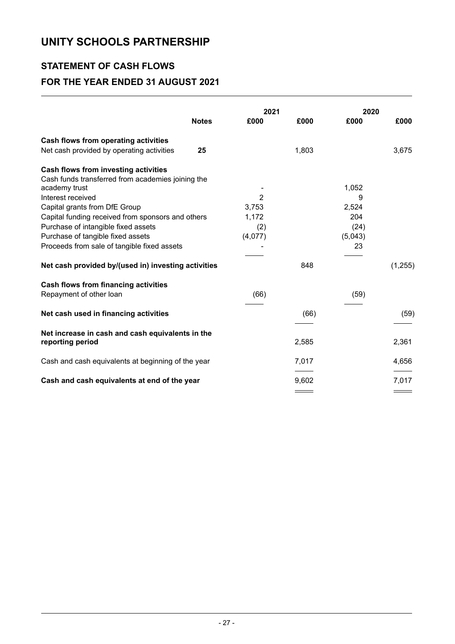# **STATEMENT OF CASH FLOWS**

### **FOR THE YEAR ENDED 31 AUGUST 2021**

|                                                                                                                                                                                                                                                                                                                                                         |              | 2021                                  |       | 2020                                                |         |
|---------------------------------------------------------------------------------------------------------------------------------------------------------------------------------------------------------------------------------------------------------------------------------------------------------------------------------------------------------|--------------|---------------------------------------|-------|-----------------------------------------------------|---------|
|                                                                                                                                                                                                                                                                                                                                                         | <b>Notes</b> | £000                                  | £000  | £000                                                | £000    |
| Cash flows from operating activities<br>Net cash provided by operating activities                                                                                                                                                                                                                                                                       | 25           |                                       | 1,803 |                                                     | 3,675   |
| <b>Cash flows from investing activities</b><br>Cash funds transferred from academies joining the<br>academy trust<br>Interest received<br>Capital grants from DfE Group<br>Capital funding received from sponsors and others<br>Purchase of intangible fixed assets<br>Purchase of tangible fixed assets<br>Proceeds from sale of tangible fixed assets |              | 2<br>3,753<br>1,172<br>(2)<br>(4,077) |       | 1,052<br>9<br>2,524<br>204<br>(24)<br>(5,043)<br>23 |         |
| Net cash provided by/(used in) investing activities                                                                                                                                                                                                                                                                                                     |              |                                       | 848   |                                                     | (1,255) |
| <b>Cash flows from financing activities</b><br>Repayment of other loan<br>Net cash used in financing activities                                                                                                                                                                                                                                         |              | (66)                                  | (66)  | (59)                                                | (59)    |
| Net increase in cash and cash equivalents in the<br>reporting period                                                                                                                                                                                                                                                                                    |              |                                       | 2,585 |                                                     | 2,361   |
| Cash and cash equivalents at beginning of the year                                                                                                                                                                                                                                                                                                      |              |                                       | 7,017 |                                                     | 4,656   |
| Cash and cash equivalents at end of the year                                                                                                                                                                                                                                                                                                            |              |                                       | 9,602 |                                                     | 7,017   |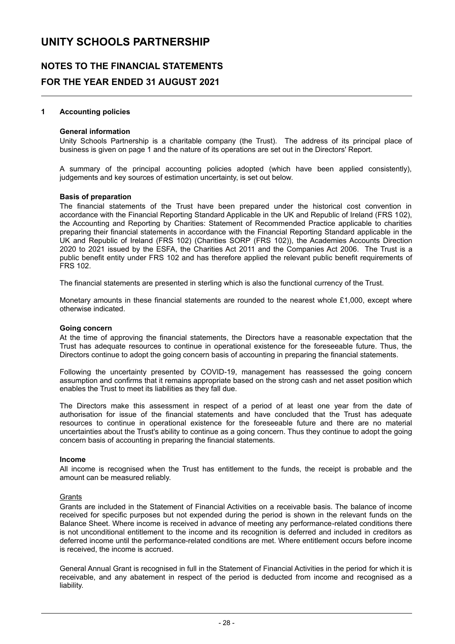## **NOTES TO THE FINANCIAL STATEMENTS FOR THE YEAR ENDED 31 AUGUST 2021**

#### **1 Accounting policies**

#### **General information**

Unity Schools Partnership is a charitable company (the Trust). The address of its principal place of business is given on page 1 and the nature of its operations are set out in the Directors' Report.

A summary of the principal accounting policies adopted (which have been applied consistently), judgements and key sources of estimation uncertainty, is set out below.

#### **Basis of preparation**

The financial statements of the Trust have been prepared under the historical cost convention in accordance with the Financial Reporting Standard Applicable in the UK and Republic of Ireland (FRS 102), the Accounting and Reporting by Charities: Statement of Recommended Practice applicable to charities preparing their financial statements in accordance with the Financial Reporting Standard applicable in the UK and Republic of Ireland (FRS 102) (Charities SORP (FRS 102)), the Academies Accounts Direction 2020 to 2021 issued by the ESFA, the Charities Act 2011 and the Companies Act 2006. The Trust is a public benefit entity under FRS 102 and has therefore applied the relevant public benefit requirements of FRS 102.

The financial statements are presented in sterling which is also the functional currency of the Trust.

Monetary amounts in these financial statements are rounded to the nearest whole £1,000, except where otherwise indicated.

#### **Going concern**

At the time of approving the financial statements, the Directors have a reasonable expectation that the Trust has adequate resources to continue in operational existence for the foreseeable future. Thus, the Directors continue to adopt the going concern basis of accounting in preparing the financial statements.

Following the uncertainty presented by COVID-19, management has reassessed the going concern assumption and confirms that it remains appropriate based on the strong cash and net asset position which enables the Trust to meet its liabilities as they fall due.

The Directors make this assessment in respect of a period of at least one year from the date of authorisation for issue of the financial statements and have concluded that the Trust has adequate resources to continue in operational existence for the foreseeable future and there are no material uncertainties about the Trust's ability to continue as a going concern. Thus they continue to adopt the going concern basis of accounting in preparing the financial statements.

#### **Income**

All income is recognised when the Trust has entitlement to the funds, the receipt is probable and the amount can be measured reliably.

#### **Grants**

Grants are included in the Statement of Financial Activities on a receivable basis. The balance of income received for specific purposes but not expended during the period is shown in the relevant funds on the Balance Sheet. Where income is received in advance of meeting any performance-related conditions there is not unconditional entitlement to the income and its recognition is deferred and included in creditors as deferred income until the performance-related conditions are met. Where entitlement occurs before income is received, the income is accrued.

General Annual Grant is recognised in full in the Statement of Financial Activities in the period for which it is receivable, and any abatement in respect of the period is deducted from income and recognised as a liability.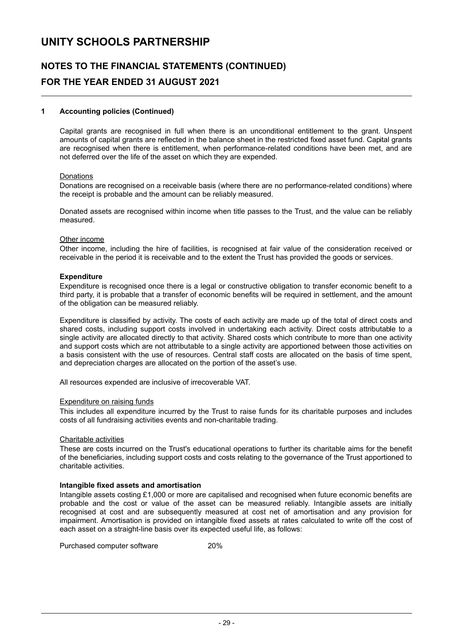# **NOTES TO THE FINANCIAL STATEMENTS (CONTINUED) FOR THE YEAR ENDED 31 AUGUST 2021**

#### **1 Accounting policies (Continued)**

Capital grants are recognised in full when there is an unconditional entitlement to the grant. Unspent amounts of capital grants are reflected in the balance sheet in the restricted fixed asset fund. Capital grants are recognised when there is entitlement, when performance-related conditions have been met, and are not deferred over the life of the asset on which they are expended.

#### Donations

Donations are recognised on a receivable basis (where there are no performance-related conditions) where the receipt is probable and the amount can be reliably measured.

Donated assets are recognised within income when title passes to the Trust, and the value can be reliably measured.

#### Other income

Other income, including the hire of facilities, is recognised at fair value of the consideration received or receivable in the period it is receivable and to the extent the Trust has provided the goods or services.

#### **Expenditure**

Expenditure is recognised once there is a legal or constructive obligation to transfer economic benefit to a third party, it is probable that a transfer of economic benefits will be required in settlement, and the amount of the obligation can be measured reliably.

Expenditure is classified by activity. The costs of each activity are made up of the total of direct costs and shared costs, including support costs involved in undertaking each activity. Direct costs attributable to a single activity are allocated directly to that activity. Shared costs which contribute to more than one activity and support costs which are not attributable to a single activity are apportioned between those activities on a basis consistent with the use of resources. Central staff costs are allocated on the basis of time spent, and depreciation charges are allocated on the portion of the asset's use.

All resources expended are inclusive of irrecoverable VAT.

#### Expenditure on raising funds

This includes all expenditure incurred by the Trust to raise funds for its charitable purposes and includes costs of all fundraising activities events and non-charitable trading.

#### Charitable activities

These are costs incurred on the Trust's educational operations to further its charitable aims for the benefit of the beneficiaries, including support costs and costs relating to the governance of the Trust apportioned to charitable activities.

#### **Intangible fixed assets and amortisation**

Intangible assets costing £1,000 or more are capitalised and recognised when future economic benefits are probable and the cost or value of the asset can be measured reliably. Intangible assets are initially recognised at cost and are subsequently measured at cost net of amortisation and any provision for impairment. Amortisation is provided on intangible fixed assets at rates calculated to write off the cost of each asset on a straight-line basis over its expected useful life, as follows:

Purchased computer software 20%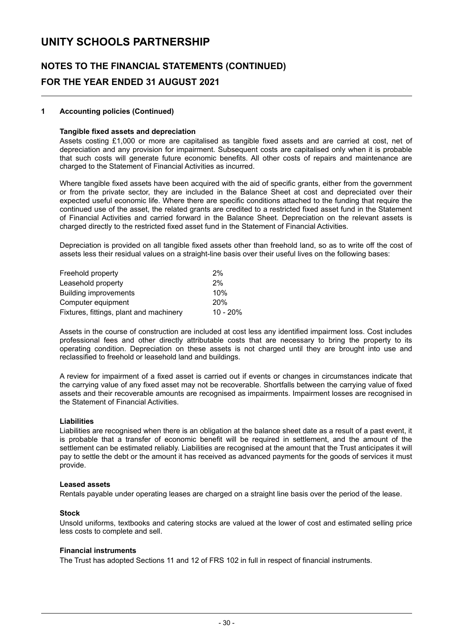### **NOTES TO THE FINANCIAL STATEMENTS (CONTINUED) FOR THE YEAR ENDED 31 AUGUST 2021**

#### **1 Accounting policies (Continued)**

#### **Tangible fixed assets and depreciation**

Assets costing £1,000 or more are capitalised as tangible fixed assets and are carried at cost, net of depreciation and any provision for impairment. Subsequent costs are capitalised only when it is probable that such costs will generate future economic benefits. All other costs of repairs and maintenance are charged to the Statement of Financial Activities as incurred.

Where tangible fixed assets have been acquired with the aid of specific grants, either from the government or from the private sector, they are included in the Balance Sheet at cost and depreciated over their expected useful economic life. Where there are specific conditions attached to the funding that require the continued use of the asset, the related grants are credited to a restricted fixed asset fund in the Statement of Financial Activities and carried forward in the Balance Sheet. Depreciation on the relevant assets is charged directly to the restricted fixed asset fund in the Statement of Financial Activities.

Depreciation is provided on all tangible fixed assets other than freehold land, so as to write off the cost of assets less their residual values on a straight-line basis over their useful lives on the following bases:

| Freehold property                       | 2%         |
|-----------------------------------------|------------|
| Leasehold property                      | 2%         |
| <b>Building improvements</b>            | 10%        |
| Computer equipment                      | <b>20%</b> |
| Fixtures, fittings, plant and machinery | $10 - 20%$ |

Assets in the course of construction are included at cost less any identified impairment loss. Cost includes professional fees and other directly attributable costs that are necessary to bring the property to its operating condition. Depreciation on these assets is not charged until they are brought into use and reclassified to freehold or leasehold land and buildings.

A review for impairment of a fixed asset is carried out if events or changes in circumstances indicate that the carrying value of any fixed asset may not be recoverable. Shortfalls between the carrying value of fixed assets and their recoverable amounts are recognised as impairments. Impairment losses are recognised in the Statement of Financial Activities.

#### **Liabilities**

Liabilities are recognised when there is an obligation at the balance sheet date as a result of a past event, it is probable that a transfer of economic benefit will be required in settlement, and the amount of the settlement can be estimated reliably. Liabilities are recognised at the amount that the Trust anticipates it will pay to settle the debt or the amount it has received as advanced payments for the goods of services it must provide.

#### **Leased assets**

Rentals payable under operating leases are charged on a straight line basis over the period of the lease.

#### **Stock**

Unsold uniforms, textbooks and catering stocks are valued at the lower of cost and estimated selling price less costs to complete and sell.

#### **Financial instruments**

The Trust has adopted Sections 11 and 12 of FRS 102 in full in respect of financial instruments.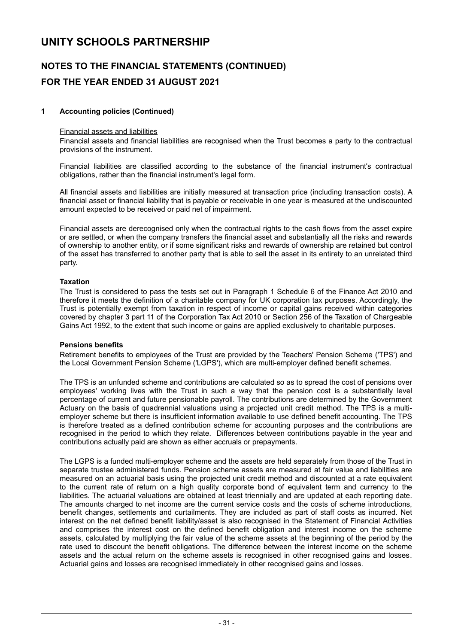# **NOTES TO THE FINANCIAL STATEMENTS (CONTINUED) FOR THE YEAR ENDED 31 AUGUST 2021**

#### **1 Accounting policies (Continued)**

#### Financial assets and liabilities

Financial assets and financial liabilities are recognised when the Trust becomes a party to the contractual provisions of the instrument.

Financial liabilities are classified according to the substance of the financial instrument's contractual obligations, rather than the financial instrument's legal form.

All financial assets and liabilities are initially measured at transaction price (including transaction costs). A financial asset or financial liability that is payable or receivable in one year is measured at the undiscounted amount expected to be received or paid net of impairment.

Financial assets are derecognised only when the contractual rights to the cash flows from the asset expire or are settled, or when the company transfers the financial asset and substantially all the risks and rewards of ownership to another entity, or if some significant risks and rewards of ownership are retained but control of the asset has transferred to another party that is able to sell the asset in its entirety to an unrelated third party.

#### **Taxation**

The Trust is considered to pass the tests set out in Paragraph 1 Schedule 6 of the Finance Act 2010 and therefore it meets the definition of a charitable company for UK corporation tax purposes. Accordingly, the Trust is potentially exempt from taxation in respect of income or capital gains received within categories covered by chapter 3 part 11 of the Corporation Tax Act 2010 or Section 256 of the Taxation of Chargeable Gains Act 1992, to the extent that such income or gains are applied exclusively to charitable purposes.

#### **Pensions benefits**

Retirement benefits to employees of the Trust are provided by the Teachers' Pension Scheme ('TPS') and the Local Government Pension Scheme ('LGPS'), which are multi-employer defined benefit schemes.

The TPS is an unfunded scheme and contributions are calculated so as to spread the cost of pensions over employees' working lives with the Trust in such a way that the pension cost is a substantially level percentage of current and future pensionable payroll. The contributions are determined by the Government Actuary on the basis of quadrennial valuations using a projected unit credit method. The TPS is a multiemployer scheme but there is insufficient information available to use defined benefit accounting. The TPS is therefore treated as a defined contribution scheme for accounting purposes and the contributions are recognised in the period to which they relate. Differences between contributions payable in the year and contributions actually paid are shown as either accruals or prepayments.

The LGPS is a funded multi-employer scheme and the assets are held separately from those of the Trust in separate trustee administered funds. Pension scheme assets are measured at fair value and liabilities are measured on an actuarial basis using the projected unit credit method and discounted at a rate equivalent to the current rate of return on a high quality corporate bond of equivalent term and currency to the liabilities. The actuarial valuations are obtained at least triennially and are updated at each reporting date. The amounts charged to net income are the current service costs and the costs of scheme introductions, benefit changes, settlements and curtailments. They are included as part of staff costs as incurred. Net interest on the net defined benefit liability/asset is also recognised in the Statement of Financial Activities and comprises the interest cost on the defined benefit obligation and interest income on the scheme assets, calculated by multiplying the fair value of the scheme assets at the beginning of the period by the rate used to discount the benefit obligations. The difference between the interest income on the scheme assets and the actual return on the scheme assets is recognised in other recognised gains and losses. Actuarial gains and losses are recognised immediately in other recognised gains and losses.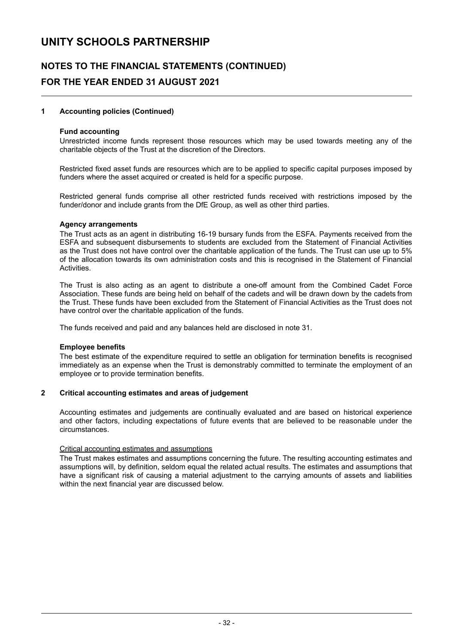## **NOTES TO THE FINANCIAL STATEMENTS (CONTINUED) FOR THE YEAR ENDED 31 AUGUST 2021**

#### **1 Accounting policies (Continued)**

#### **Fund accounting**

Unrestricted income funds represent those resources which may be used towards meeting any of the charitable objects of the Trust at the discretion of the Directors.

Restricted fixed asset funds are resources which are to be applied to specific capital purposes imposed by funders where the asset acquired or created is held for a specific purpose.

Restricted general funds comprise all other restricted funds received with restrictions imposed by the funder/donor and include grants from the DfE Group, as well as other third parties.

#### **Agency arrangements**

The Trust acts as an agent in distributing 16-19 bursary funds from the ESFA. Payments received from the ESFA and subsequent disbursements to students are excluded from the Statement of Financial Activities as the Trust does not have control over the charitable application of the funds. The Trust can use up to 5% of the allocation towards its own administration costs and this is recognised in the Statement of Financial Activities.

The Trust is also acting as an agent to distribute a one-off amount from the Combined Cadet Force Association. These funds are being held on behalf of the cadets and will be drawn down by the cadets from the Trust. These funds have been excluded from the Statement of Financial Activities as the Trust does not have control over the charitable application of the funds.

The funds received and paid and any balances held are disclosed in note 31.

#### **Employee benefits**

The best estimate of the expenditure required to settle an obligation for termination benefits is recognised immediately as an expense when the Trust is demonstrably committed to terminate the employment of an employee or to provide termination benefits.

#### **2 Critical accounting estimates and areas of judgement**

Accounting estimates and judgements are continually evaluated and are based on historical experience and other factors, including expectations of future events that are believed to be reasonable under the circumstances.

#### Critical accounting estimates and assumptions

The Trust makes estimates and assumptions concerning the future. The resulting accounting estimates and assumptions will, by definition, seldom equal the related actual results. The estimates and assumptions that have a significant risk of causing a material adjustment to the carrying amounts of assets and liabilities within the next financial year are discussed below.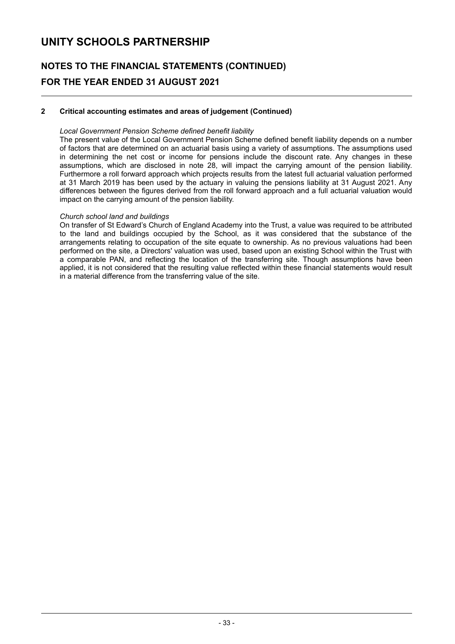# **NOTES TO THE FINANCIAL STATEMENTS (CONTINUED) FOR THE YEAR ENDED 31 AUGUST 2021**

#### **2 Critical accounting estimates and areas of judgement (Continued)**

#### *Local Government Pension Scheme defined benefit liability*

The present value of the Local Government Pension Scheme defined benefit liability depends on a number of factors that are determined on an actuarial basis using a variety of assumptions. The assumptions used in determining the net cost or income for pensions include the discount rate. Any changes in these assumptions, which are disclosed in note 28, will impact the carrying amount of the pension liability. Furthermore a roll forward approach which projects results from the latest full actuarial valuation performed at 31 March 2019 has been used by the actuary in valuing the pensions liability at 31 August 2021. Any differences between the figures derived from the roll forward approach and a full actuarial valuation would impact on the carrying amount of the pension liability.

#### *Church school land and buildings*

On transfer of St Edward's Church of England Academy into the Trust, a value was required to be attributed to the land and buildings occupied by the School, as it was considered that the substance of the arrangements relating to occupation of the site equate to ownership. As no previous valuations had been performed on the site, a Directors' valuation was used, based upon an existing School within the Trust with a comparable PAN, and reflecting the location of the transferring site. Though assumptions have been applied, it is not considered that the resulting value reflected within these financial statements would result in a material difference from the transferring value of the site.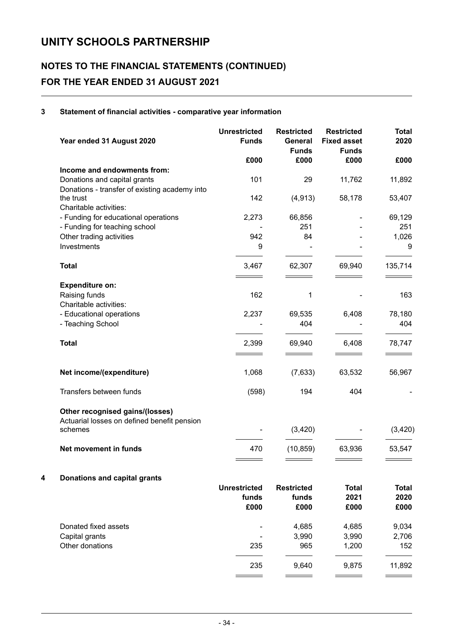# **NOTES TO THE FINANCIAL STATEMENTS (CONTINUED) FOR THE YEAR ENDED 31 AUGUST 2021**

### **3 Statement of financial activities - comparative year information**

| Year ended 31 August 2020                                  | <b>Unrestricted</b><br><b>Funds</b> | <b>Restricted</b><br><b>General</b><br><b>Funds</b> | <b>Restricted</b><br><b>Fixed asset</b><br><b>Funds</b> | <b>Total</b><br>2020 |
|------------------------------------------------------------|-------------------------------------|-----------------------------------------------------|---------------------------------------------------------|----------------------|
|                                                            | £000                                | £000                                                | £000                                                    | £000                 |
| Income and endowments from:                                |                                     |                                                     |                                                         |                      |
| Donations and capital grants                               | 101                                 | 29                                                  | 11,762                                                  | 11,892               |
| Donations - transfer of existing academy into<br>the trust | 142                                 | (4, 913)                                            | 58,178                                                  | 53,407               |
| Charitable activities:                                     |                                     |                                                     |                                                         |                      |
| - Funding for educational operations                       | 2,273                               | 66,856                                              |                                                         | 69,129               |
| - Funding for teaching school                              |                                     | 251                                                 |                                                         | 251                  |
| Other trading activities                                   | 942                                 | 84                                                  |                                                         | 1,026                |
| Investments                                                | 9                                   |                                                     |                                                         | 9                    |
| <b>Total</b>                                               | 3,467                               | 62,307                                              | 69,940                                                  | 135,714              |
| <b>Expenditure on:</b>                                     |                                     |                                                     |                                                         |                      |
| Raising funds                                              | 162                                 | 1                                                   |                                                         | 163                  |
| Charitable activities:                                     |                                     |                                                     |                                                         |                      |
| - Educational operations                                   | 2,237                               | 69,535                                              | 6,408                                                   | 78,180               |
| - Teaching School                                          |                                     | 404                                                 |                                                         | 404                  |
| <b>Total</b>                                               | 2,399                               | 69,940                                              | 6,408                                                   | 78,747               |
| Net income/(expenditure)                                   | 1,068                               | (7,633)                                             | 63,532                                                  | 56,967               |
| Transfers between funds                                    | (598)                               | 194                                                 | 404                                                     |                      |
| Other recognised gains/(losses)                            |                                     |                                                     |                                                         |                      |
| Actuarial losses on defined benefit pension<br>schemes     |                                     | (3,420)                                             |                                                         | (3, 420)             |
| Net movement in funds                                      | 470                                 | (10, 859)                                           | 63,936                                                  | 53,547               |
|                                                            |                                     |                                                     |                                                         |                      |
| Donations and capital grants                               |                                     |                                                     |                                                         |                      |
|                                                            | <b>Unrestricted</b>                 | <b>Restricted</b>                                   | <b>Total</b>                                            | <b>Total</b>         |
|                                                            | funds                               | funds                                               | 2021                                                    | 2020                 |
|                                                            | £000                                | £000                                                | £000                                                    | £000                 |
| Donated fixed assets                                       |                                     | 4,685                                               | 4,685                                                   | 9,034                |
| Capital grants                                             |                                     | 3,990                                               | 3,990                                                   | 2,706                |
| Other donations                                            | 235                                 | 965                                                 | 1,200                                                   | 152                  |
|                                                            | 235                                 | 9,640                                               | 9,875                                                   | 11,892               |
|                                                            |                                     |                                                     |                                                         |                      |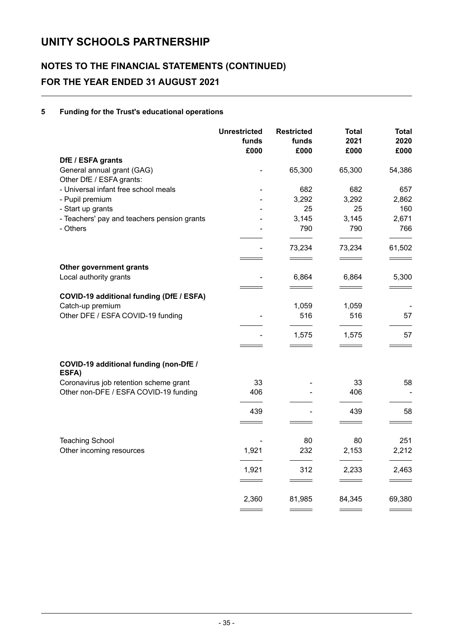# **NOTES TO THE FINANCIAL STATEMENTS (CONTINUED) FOR THE YEAR ENDED 31 AUGUST 2021**

### **5 Funding for the Trust's educational operations**

|                                                        | <b>Unrestricted</b><br>funds<br>£000 | <b>Restricted</b><br>funds<br>£000 | <b>Total</b><br>2021<br>£000 | <b>Total</b><br>2020<br>£000        |
|--------------------------------------------------------|--------------------------------------|------------------------------------|------------------------------|-------------------------------------|
| DfE / ESFA grants                                      |                                      |                                    |                              |                                     |
| General annual grant (GAG)<br>Other DfE / ESFA grants: |                                      | 65,300                             | 65,300                       | 54,386                              |
| - Universal infant free school meals                   |                                      | 682                                | 682                          | 657                                 |
| - Pupil premium                                        |                                      | 3,292                              | 3,292                        | 2,862                               |
| - Start up grants                                      |                                      | 25                                 | 25                           | 160                                 |
| - Teachers' pay and teachers pension grants            |                                      | 3,145                              | 3,145                        | 2,671                               |
| - Others                                               |                                      | 790                                | 790                          | 766                                 |
|                                                        |                                      | 73,234                             | 73,234                       | 61,502                              |
|                                                        |                                      |                                    |                              |                                     |
| Other government grants<br>Local authority grants      |                                      | 6,864                              | 6,864                        | 5,300                               |
|                                                        |                                      | $\equiv$ $\equiv$ $\equiv$         |                              |                                     |
| COVID-19 additional funding (DfE / ESFA)               |                                      |                                    |                              |                                     |
| Catch-up premium                                       |                                      | 1,059                              | 1,059                        |                                     |
| Other DFE / ESFA COVID-19 funding                      |                                      | 516                                | 516                          | 57                                  |
|                                                        |                                      | 1,575                              | 1,575                        | 57                                  |
|                                                        |                                      |                                    |                              |                                     |
| COVID-19 additional funding (non-DfE /<br>ESFA)        |                                      |                                    |                              |                                     |
| Coronavirus job retention scheme grant                 | 33                                   |                                    | 33                           | 58                                  |
| Other non-DFE / ESFA COVID-19 funding                  | 406                                  |                                    | 406                          |                                     |
|                                                        | 439                                  |                                    | 439                          | 58                                  |
|                                                        |                                      |                                    |                              |                                     |
| <b>Teaching School</b>                                 |                                      | 80                                 | 80                           | 251                                 |
| Other incoming resources                               | 1,921                                | 232                                | 2,153                        | 2,212                               |
|                                                        | 1,921<br>____                        | 312<br>____                        | 2,233<br>$\qquad \qquad =$   | 2,463<br>$\equiv$ $\equiv$ $\equiv$ |
|                                                        | 2,360                                | 81,985                             | 84,345                       | 69,380                              |
|                                                        |                                      |                                    |                              |                                     |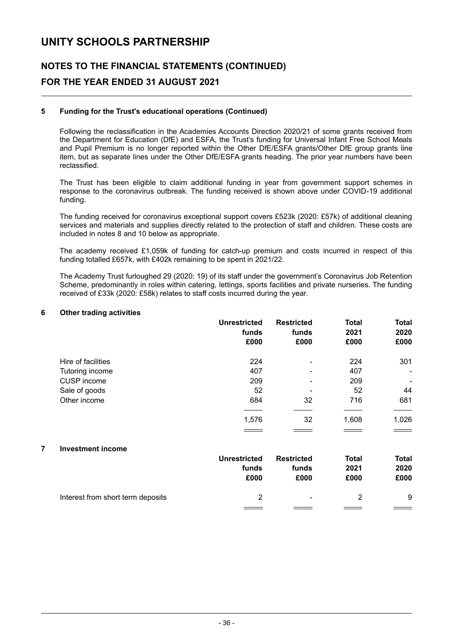# **NOTES TO THE FINANCIAL STATEMENTS (CONTINUED) FOR THE YEAR ENDED 31 AUGUST 2021**

#### **5 Funding for the Trust's educational operations (Continued)**

Following the reclassification in the Academies Accounts Direction 2020/21 of some grants received from the Department for Education (DfE) and ESFA, the Trust's funding for Universal Infant Free School Meals and Pupil Premium is no longer reported within the Other DfE/ESFA grants/Other DfE group grants line item, but as separate lines under the Other DfE/ESFA grants heading. The prior year numbers have been reclassified.

The Trust has been eligible to claim additional funding in year from government support schemes in response to the coronavirus outbreak. The funding received is shown above under COVID-19 additional funding.

The funding received for coronavirus exceptional support covers £523k (2020: £57k) of additional cleaning services and materials and supplies directly related to the protection of staff and children. These costs are included in notes 8 and 10 below as appropriate.

The academy received £1,059k of funding for catch-up premium and costs incurred in respect of this funding totalled £657k, with £402k remaining to be spent in 2021/22.

The Academy Trust furloughed 29 (2020: 19) of its staff under the government's Coronavirus Job Retention Scheme, predominantly in roles within catering, lettings, sports facilities and private nurseries. The funding received of £33k (2020: £58k) relates to staff costs incurred during the year.

#### **6 Other trading activities**

|                                   | <b>Unrestricted</b><br>funds<br>£000 | <b>Restricted</b><br>funds<br>£000 | <b>Total</b><br>2021<br>£000 | <b>Total</b><br>2020<br>£000 |
|-----------------------------------|--------------------------------------|------------------------------------|------------------------------|------------------------------|
| Hire of facilities                | 224                                  |                                    | 224                          | 301                          |
| Tutoring income                   | 407                                  |                                    | 407                          |                              |
| CUSP income                       | 209                                  |                                    | 209                          |                              |
| Sale of goods                     | 52                                   |                                    | 52                           | 44                           |
| Other income                      | 684                                  | 32                                 | 716                          | 681                          |
|                                   | 1,576                                | 32                                 | 1,608                        | 1,026                        |
|                                   |                                      |                                    |                              |                              |
| 7<br><b>Investment income</b>     |                                      |                                    |                              |                              |
|                                   | <b>Unrestricted</b>                  | <b>Restricted</b>                  | <b>Total</b>                 | <b>Total</b>                 |
|                                   | funds                                | funds                              | 2021                         | 2020                         |
|                                   | £000                                 | £000                               | £000                         | £000                         |
| Interest from short term deposits | $\overline{2}$                       |                                    | $\overline{2}$               | 9                            |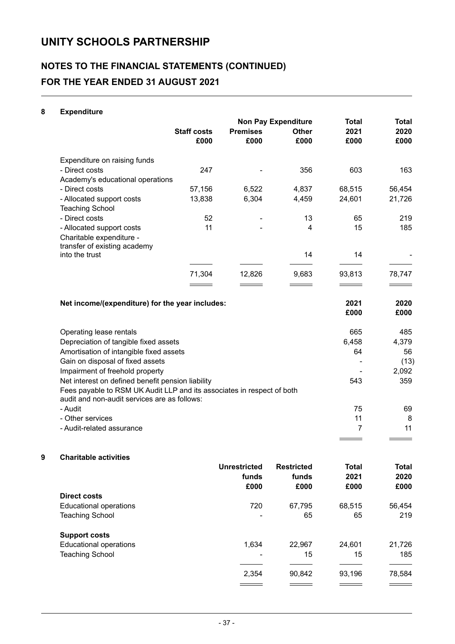# **NOTES TO THE FINANCIAL STATEMENTS (CONTINUED) FOR THE YEAR ENDED 31 AUGUST 2021**

### **8 Expenditure**

|                                                                        |                    | <b>Non Pay Expenditure</b> |              | <b>Total</b> | <b>Total</b> |
|------------------------------------------------------------------------|--------------------|----------------------------|--------------|--------------|--------------|
|                                                                        | <b>Staff costs</b> | <b>Premises</b>            | <b>Other</b> | 2021         | 2020         |
|                                                                        | £000               | £000                       | £000         | £000         | £000         |
| Expenditure on raising funds                                           |                    |                            |              |              |              |
| - Direct costs                                                         | 247                |                            | 356          | 603          | 163          |
| Academy's educational operations                                       |                    |                            |              |              |              |
| - Direct costs                                                         | 57,156             | 6,522                      | 4,837        | 68,515       | 56,454       |
| - Allocated support costs                                              | 13,838             | 6,304                      | 4,459        | 24,601       | 21,726       |
| <b>Teaching School</b>                                                 |                    |                            |              |              |              |
| - Direct costs                                                         | 52                 |                            | 13           | 65           | 219          |
| - Allocated support costs                                              | 11                 |                            | 4            | 15           | 185          |
| Charitable expenditure -                                               |                    |                            |              |              |              |
| transfer of existing academy                                           |                    |                            |              |              |              |
| into the trust                                                         |                    |                            | 14           | 14           |              |
|                                                                        | 71,304             | 12,826                     | 9,683        | 93,813       | 78,747       |
|                                                                        |                    |                            |              |              |              |
| Net income/(expenditure) for the year includes:                        |                    |                            |              | 2021         | 2020         |
|                                                                        |                    |                            |              | £000         | £000         |
| Operating lease rentals                                                |                    |                            |              | 665          | 485          |
| Depreciation of tangible fixed assets                                  |                    |                            |              | 6,458        | 4,379        |
| Amortisation of intangible fixed assets                                |                    |                            |              | 64           | 56           |
| Gain on disposal of fixed assets                                       |                    |                            |              |              | (13)         |
| Impairment of freehold property                                        |                    |                            |              |              | 2,092        |
| Net interest on defined benefit pension liability                      |                    |                            |              | 543          | 359          |
| Fees payable to RSM UK Audit LLP and its associates in respect of both |                    |                            |              |              |              |
| audit and non-audit services are as follows:<br>- Audit                |                    |                            |              |              |              |
|                                                                        |                    |                            |              | 75           | 69           |
| - Other services<br>- Audit-related assurance                          |                    |                            |              | 11<br>7      | 8<br>11      |
|                                                                        |                    |                            |              |              |              |
|                                                                        |                    |                            |              |              |              |

### **9 Charitable activities**

|                               | <b>Unrestricted</b><br>funds<br>£000 | <b>Restricted</b><br>funds<br>£000 | <b>Total</b><br>2021<br>£000 | <b>Total</b><br>2020<br>£000 |
|-------------------------------|--------------------------------------|------------------------------------|------------------------------|------------------------------|
| <b>Direct costs</b>           |                                      |                                    |                              |                              |
| <b>Educational operations</b> | 720                                  | 67,795                             | 68,515                       | 56,454                       |
| <b>Teaching School</b>        |                                      | 65                                 | 65                           | 219                          |
| <b>Support costs</b>          |                                      |                                    |                              |                              |
| <b>Educational operations</b> | 1,634                                | 22,967                             | 24,601                       | 21,726                       |
| <b>Teaching School</b>        | ۰                                    | 15                                 | 15                           | 185                          |
|                               |                                      |                                    |                              |                              |
|                               | 2,354                                | 90,842                             | 93,196                       | 78,584                       |
|                               |                                      |                                    |                              |                              |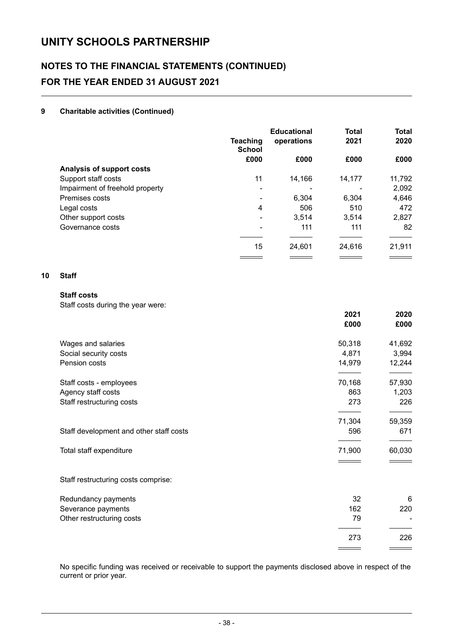# **NOTES TO THE FINANCIAL STATEMENTS (CONTINUED) FOR THE YEAR ENDED 31 AUGUST 2021**

#### **9 Charitable activities (Continued)**

|                                 | <b>Teaching</b><br><b>School</b> | <b>Educational</b><br>operations | <b>Total</b><br>2021 | <b>Total</b><br>2020 |
|---------------------------------|----------------------------------|----------------------------------|----------------------|----------------------|
|                                 | £000                             | £000                             | £000                 | £000                 |
| Analysis of support costs       |                                  |                                  |                      |                      |
| Support staff costs             | 11                               | 14,166                           | 14,177               | 11,792               |
| Impairment of freehold property | ۰                                |                                  |                      | 2,092                |
| Premises costs                  | -                                | 6,304                            | 6,304                | 4,646                |
| Legal costs                     | 4                                | 506                              | 510                  | 472                  |
| Other support costs             | ۰                                | 3.514                            | 3.514                | 2,827                |
| Governance costs                |                                  | 111                              | 111                  | 82                   |
|                                 | 15                               | 24,601                           | 24,616               | 21,911               |
|                                 |                                  |                                  |                      |                      |

#### **10 Staff**

#### **Staff costs**

Staff costs during the year were:

|                                         | 2021<br>£000 | 2020<br>£000 |
|-----------------------------------------|--------------|--------------|
| Wages and salaries                      | 50,318       | 41,692       |
| Social security costs                   | 4,871        | 3,994        |
| Pension costs                           | 14,979       | 12,244       |
| Staff costs - employees                 | 70,168       | 57,930       |
| Agency staff costs                      | 863          | 1,203        |
| Staff restructuring costs               | 273          | 226          |
|                                         | 71,304       | 59,359       |
| Staff development and other staff costs | 596          | 671          |
| Total staff expenditure                 | 71,900       | 60,030       |
|                                         |              |              |
| Staff restructuring costs comprise:     |              |              |
| Redundancy payments                     | 32           | 6            |
| Severance payments                      | 162          | 220          |
| Other restructuring costs               | 79           |              |

No specific funding was received or receivable to support the payments disclosed above in respect of the current or prior year.

273 226

 $\overline{\phantom{a}}$ 

 $\overline{\phantom{a}}$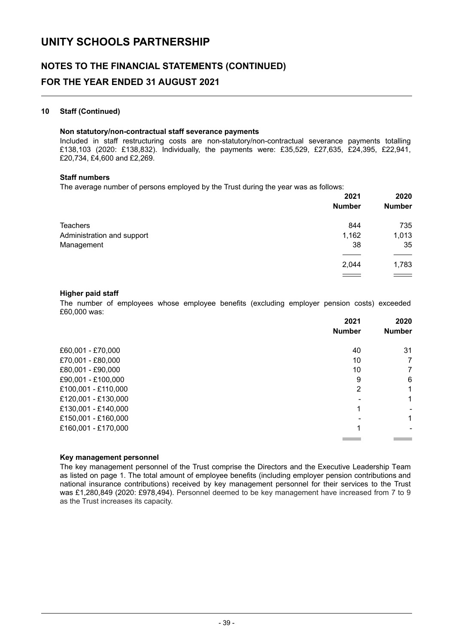### **NOTES TO THE FINANCIAL STATEMENTS (CONTINUED) FOR THE YEAR ENDED 31 AUGUST 2021**

#### **10 Staff (Continued)**

#### **Non statutory/non-contractual staff severance payments**

Included in staff restructuring costs are non-statutory/non-contractual severance payments totalling £138,103 (2020: £138,832). Individually, the payments were: £35,529, £27,635, £24,395, £22,941, £20,734, £4,600 and £2,269.

#### **Staff numbers**

The average number of persons employed by the Trust during the year was as follows:

|                            | 2021          | 2020<br><b>Number</b> |
|----------------------------|---------------|-----------------------|
|                            | <b>Number</b> |                       |
| Teachers                   | 844           | 735                   |
| Administration and support | 1,162         | 1,013                 |
| Management                 | 38            | 35                    |
|                            |               |                       |
|                            | 2,044         | 1,783                 |
|                            |               | _____                 |

#### **Higher paid staff**

The number of employees whose employee benefits (excluding employer pension costs) exceeded £60,000 was:

|                     | 2021          | 2020<br><b>Number</b> |
|---------------------|---------------|-----------------------|
|                     | <b>Number</b> |                       |
| £60,001 - £70,000   | 40            | 31                    |
| £70,001 - £80,000   | 10            | 7                     |
| £80,001 - £90,000   | 10            | 7                     |
| £90,001 - £100,000  | 9             | 6                     |
| £100,001 - £110,000 | 2             | 1                     |
| £120,001 - £130,000 |               | 1                     |
| £130,001 - £140,000 |               |                       |
| £150,001 - £160,000 |               | 1                     |
| £160,001 - £170,000 |               |                       |
|                     |               |                       |

#### **Key management personnel**

The key management personnel of the Trust comprise the Directors and the Executive Leadership Team as listed on page 1. The total amount of employee benefits (including employer pension contributions and national insurance contributions) received by key management personnel for their services to the Trust was £1,280,849 (2020: £978,494). Personnel deemed to be key management have increased from 7 to 9 as the Trust increases its capacity.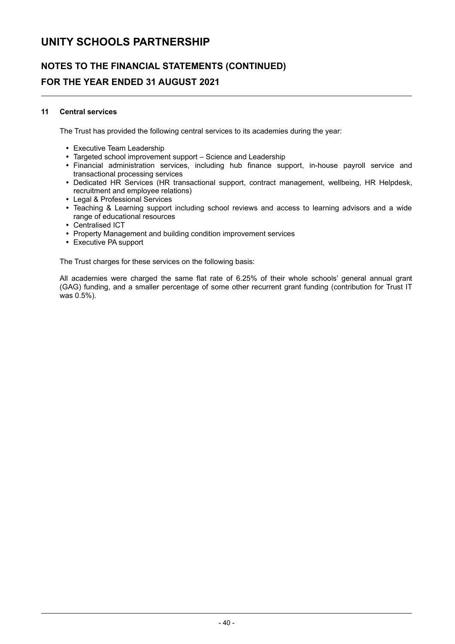# **NOTES TO THE FINANCIAL STATEMENTS (CONTINUED) FOR THE YEAR ENDED 31 AUGUST 2021**

#### **11 Central services**

The Trust has provided the following central services to its academies during the year:

- Executive Team Leadership
- Targeted school improvement support Science and Leadership
- Financial administration services, including hub finance support, in-house payroll service and transactional processing services
- Dedicated HR Services (HR transactional support, contract management, wellbeing, HR Helpdesk, recruitment and employee relations)
- Legal & Professional Services
- Teaching & Learning support including school reviews and access to learning advisors and a wide range of educational resources
- Centralised ICT
- Property Management and building condition improvement services
- Executive PA support

The Trust charges for these services on the following basis:

All academies were charged the same flat rate of 6.25% of their whole schools' general annual grant (GAG) funding, and a smaller percentage of some other recurrent grant funding (contribution for Trust IT was 0.5%).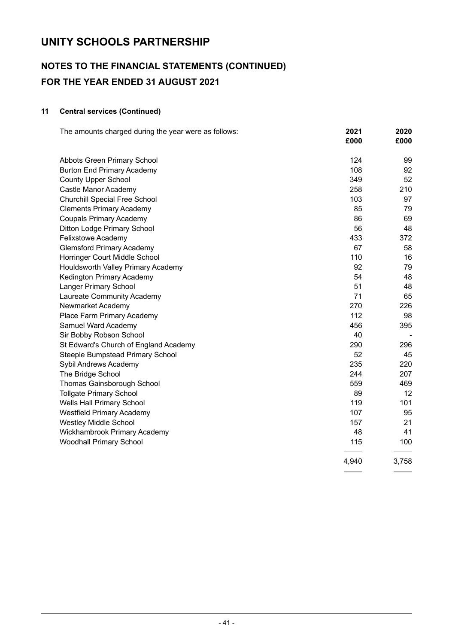# **NOTES TO THE FINANCIAL STATEMENTS (CONTINUED) FOR THE YEAR ENDED 31 AUGUST 2021**

#### **11 Central services (Continued)**

| The amounts charged during the year were as follows: | 2021<br>£000 | 2020<br>£000 |
|------------------------------------------------------|--------------|--------------|
|                                                      |              |              |
| Abbots Green Primary School                          | 124          | 99           |
| <b>Burton End Primary Academy</b>                    | 108          | 92           |
| <b>County Upper School</b>                           | 349          | 52           |
| Castle Manor Academy                                 | 258          | 210          |
| <b>Churchill Special Free School</b>                 | 103          | 97           |
| <b>Clements Primary Academy</b>                      | 85           | 79           |
| <b>Coupals Primary Academy</b>                       | 86           | 69           |
| Ditton Lodge Primary School                          | 56           | 48           |
| Felixstowe Academy                                   | 433          | 372          |
| <b>Glemsford Primary Academy</b>                     | 67           | 58           |
| Horringer Court Middle School                        | 110          | 16           |
| Houldsworth Valley Primary Academy                   | 92           | 79           |
| Kedington Primary Academy                            | 54           | 48           |
| <b>Langer Primary School</b>                         | 51           | 48           |
| Laureate Community Academy                           | 71           | 65           |
| Newmarket Academy                                    | 270          | 226          |
| Place Farm Primary Academy                           | 112          | 98           |
| Samuel Ward Academy                                  | 456          | 395          |
| Sir Bobby Robson School                              | 40           |              |
| St Edward's Church of England Academy                | 290          | 296          |
| Steeple Bumpstead Primary School                     | 52           | 45           |
| Sybil Andrews Academy                                | 235          | 220          |
| The Bridge School                                    | 244          | 207          |
| Thomas Gainsborough School                           | 559          | 469          |
| <b>Tollgate Primary School</b>                       | 89           | 12           |
| Wells Hall Primary School                            | 119          | 101          |
| <b>Westfield Primary Academy</b>                     | 107          | 95           |
| <b>Westley Middle School</b>                         | 157          | 21           |
| Wickhambrook Primary Academy                         | 48           | 41           |
| <b>Woodhall Primary School</b>                       | 115          | 100          |
|                                                      | 4,940        | 3,758        |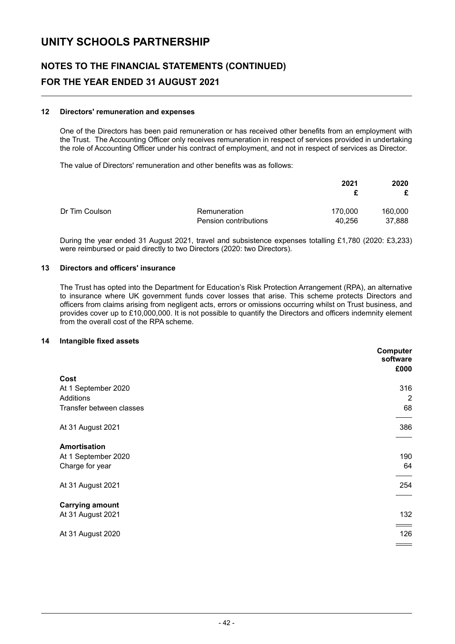# **NOTES TO THE FINANCIAL STATEMENTS (CONTINUED) FOR THE YEAR ENDED 31 AUGUST 2021**

#### **12 Directors' remuneration and expenses**

One of the Directors has been paid remuneration or has received other benefits from an employment with the Trust. The Accounting Officer only receives remuneration in respect of services provided in undertaking the role of Accounting Officer under his contract of employment, and not in respect of services as Director.

The value of Directors' remuneration and other benefits was as follows:

| Dr Tim Coulson | Remuneration          | 170.000 | 160,000 |
|----------------|-----------------------|---------|---------|
|                | Pension contributions | 40.256  | 37,888  |

During the year ended 31 August 2021, travel and subsistence expenses totalling £1,780 (2020: £3,233) were reimbursed or paid directly to two Directors (2020: two Directors).

#### **13 Directors and officers' insurance**

The Trust has opted into the Department for Education's Risk Protection Arrangement (RPA), an alternative to insurance where UK government funds cover losses that arise. This scheme protects Directors and officers from claims arising from negligent acts, errors or omissions occurring whilst on Trust business, and provides cover up to £10,000,000. It is not possible to quantify the Directors and officers indemnity element from the overall cost of the RPA scheme.

#### **14 Intangible fixed assets**

| <b>Computer</b><br>software |
|-----------------------------|
| £000                        |
| 316                         |
| 2                           |
| 68                          |
| 386                         |
|                             |
| 190                         |
| 64                          |
| 254                         |
|                             |
| 132                         |
| 126                         |
|                             |
|                             |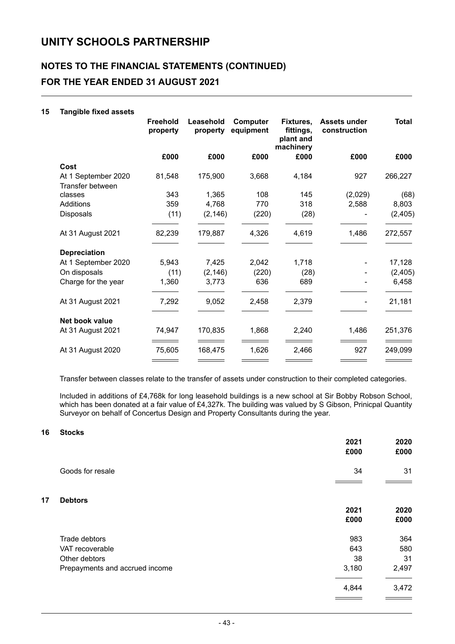### **NOTES TO THE FINANCIAL STATEMENTS (CONTINUED) FOR THE YEAR ENDED 31 AUGUST 2021**

#### **15 Tangible fixed assets**

|                     | Freehold<br>property | Leasehold<br>property | <b>Computer</b><br>equipment | Fixtures,<br>fittings,<br>plant and<br>machinery | <b>Assets under</b><br>construction | <b>Total</b> |
|---------------------|----------------------|-----------------------|------------------------------|--------------------------------------------------|-------------------------------------|--------------|
|                     | £000                 | £000                  | £000                         | £000                                             | £000                                | £000         |
| Cost                |                      |                       |                              |                                                  |                                     |              |
| At 1 September 2020 | 81,548               | 175,900               | 3,668                        | 4,184                                            | 927                                 | 266,227      |
| Transfer between    |                      |                       |                              |                                                  |                                     |              |
| classes             | 343                  | 1,365                 | 108                          | 145                                              | (2,029)                             | (68)         |
| Additions           | 359                  | 4,768                 | 770                          | 318                                              | 2,588                               | 8,803        |
| Disposals           | (11)                 | (2, 146)              | (220)                        | (28)                                             |                                     | (2, 405)     |
| At 31 August 2021   | 82,239               | 179,887               | 4,326                        | 4,619                                            | 1,486                               | 272,557      |
| <b>Depreciation</b> |                      |                       |                              |                                                  |                                     |              |
| At 1 September 2020 | 5,943                | 7,425                 | 2,042                        | 1,718                                            |                                     | 17,128       |
| On disposals        | (11)                 | (2, 146)              | (220)                        | (28)                                             |                                     | (2, 405)     |
| Charge for the year | 1,360                | 3,773                 | 636                          | 689                                              |                                     | 6,458        |
| At 31 August 2021   | 7,292                | 9,052                 | 2,458                        | 2,379                                            |                                     | 21,181       |
| Net book value      |                      |                       |                              |                                                  |                                     |              |
| At 31 August 2021   | 74,947               | 170,835               | 1,868                        | 2,240                                            | 1,486                               | 251,376      |
| At 31 August 2020   | 75,605               | 168,475               | 1,626                        | 2,466                                            | 927                                 | 249,099      |
|                     |                      |                       |                              |                                                  |                                     |              |

Transfer between classes relate to the transfer of assets under construction to their completed categories.

Included in additions of £4,768k for long leasehold buildings is a new school at Sir Bobby Robson School, which has been donated at a fair value of £4,327k. The building was valued by S Gibson, Prinicpal Quantity Surveyor on behalf of Concertus Design and Property Consultants during the year.

#### **16 Stocks**

|    |                                | 2021<br>£000 | 2020<br>£000 |
|----|--------------------------------|--------------|--------------|
|    | Goods for resale               | 34           | 31           |
| 17 | <b>Debtors</b>                 |              |              |
|    |                                | 2021         | 2020         |
|    |                                | £000         | £000         |
|    | Trade debtors                  | 983          | 364          |
|    | VAT recoverable                | 643          | 580          |
|    | Other debtors                  | 38           | 31           |
|    | Prepayments and accrued income | 3,180        | 2,497        |
|    |                                | 4,844        | 3,472        |
|    |                                |              |              |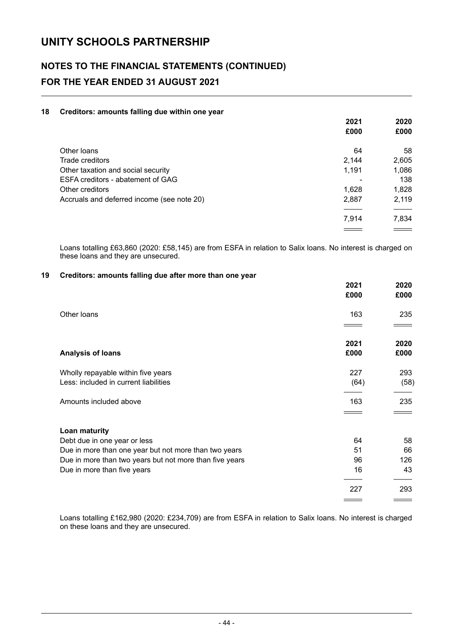# **NOTES TO THE FINANCIAL STATEMENTS (CONTINUED) FOR THE YEAR ENDED 31 AUGUST 2021**

#### **18 Creditors: amounts falling due within one year**

|                                            | 2021  | 2020  |
|--------------------------------------------|-------|-------|
|                                            | £000  | £000  |
| Other loans                                | 64    | 58    |
| Trade creditors                            | 2,144 | 2,605 |
| Other taxation and social security         | 1,191 | 1,086 |
| ESFA creditors - abatement of GAG          |       | 138   |
| Other creditors                            | 1,628 | 1,828 |
| Accruals and deferred income (see note 20) | 2,887 | 2,119 |
|                                            |       |       |
|                                            | 7,914 | 7,834 |
|                                            |       |       |

Loans totalling £63,860 (2020: £58,145) are from ESFA in relation to Salix loans. No interest is charged on these loans and they are unsecured.

#### **19 Creditors: amounts falling due after more than one year**

|                                                         | 2021<br>£000 | 2020<br>£000 |
|---------------------------------------------------------|--------------|--------------|
| Other loans                                             | 163          | 235          |
|                                                         |              |              |
| <b>Analysis of loans</b>                                | 2021<br>£000 | 2020<br>£000 |
| Wholly repayable within five years                      | 227          | 293          |
| Less: included in current liabilities                   | (64)         | (58)         |
| Amounts included above                                  | 163          | 235          |
| Loan maturity                                           |              |              |
| Debt due in one year or less                            | 64           | 58           |
| Due in more than one year but not more than two years   | 51           | 66           |
| Due in more than two years but not more than five years | 96           | 126          |
| Due in more than five years                             | 16           | 43           |
|                                                         | 227          | 293          |

Loans totalling £162,980 (2020: £234,709) are from ESFA in relation to Salix loans. No interest is charged on these loans and they are unsecured.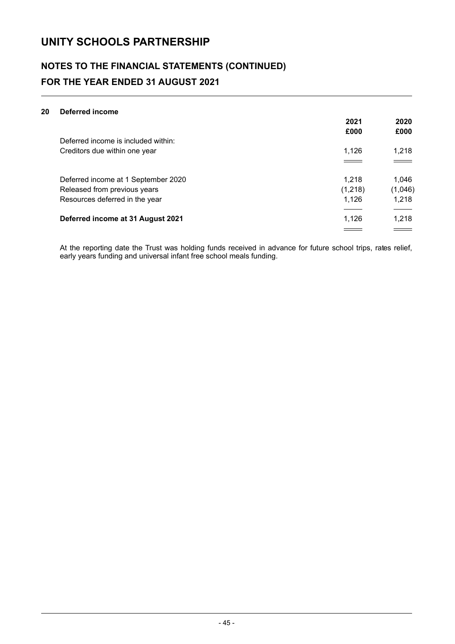# **NOTES TO THE FINANCIAL STATEMENTS (CONTINUED) FOR THE YEAR ENDED 31 AUGUST 2021**

#### **20 Deferred income**

|                                     | 2021    | 2020    |
|-------------------------------------|---------|---------|
|                                     | £000    | £000    |
| Deferred income is included within: |         |         |
| Creditors due within one year       | 1,126   | 1,218   |
|                                     |         |         |
| Deferred income at 1 September 2020 | 1.218   | 1,046   |
| Released from previous years        | (1,218) | (1,046) |
| Resources deferred in the year      | 1,126   | 1,218   |
|                                     |         |         |
| Deferred income at 31 August 2021   | 1,126   | 1,218   |
|                                     |         |         |

At the reporting date the Trust was holding funds received in advance for future school trips, rates relief, early years funding and universal infant free school meals funding.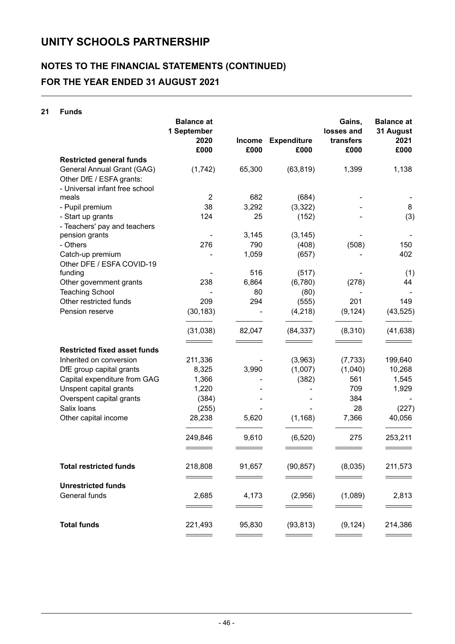# **NOTES TO THE FINANCIAL STATEMENTS (CONTINUED) FOR THE YEAR ENDED 31 AUGUST 2021**

| <b>Funds</b> |                                                                                                                                                                                                                                                                                                                                                                                                                                                                                                                                                                                                                                                                                                                                          |                                                                              |                                                                                                     |                                                                                                                               |                                                   |
|--------------|------------------------------------------------------------------------------------------------------------------------------------------------------------------------------------------------------------------------------------------------------------------------------------------------------------------------------------------------------------------------------------------------------------------------------------------------------------------------------------------------------------------------------------------------------------------------------------------------------------------------------------------------------------------------------------------------------------------------------------------|------------------------------------------------------------------------------|-----------------------------------------------------------------------------------------------------|-------------------------------------------------------------------------------------------------------------------------------|---------------------------------------------------|
|              | <b>Balance</b> at<br>1 September<br>2020                                                                                                                                                                                                                                                                                                                                                                                                                                                                                                                                                                                                                                                                                                 | <b>Income</b>                                                                | <b>Expenditure</b>                                                                                  | Gains,<br>losses and<br>transfers                                                                                             | <b>Balance at</b><br>31 August<br>2021            |
|              |                                                                                                                                                                                                                                                                                                                                                                                                                                                                                                                                                                                                                                                                                                                                          |                                                                              |                                                                                                     |                                                                                                                               | £000                                              |
|              |                                                                                                                                                                                                                                                                                                                                                                                                                                                                                                                                                                                                                                                                                                                                          |                                                                              |                                                                                                     |                                                                                                                               |                                                   |
|              |                                                                                                                                                                                                                                                                                                                                                                                                                                                                                                                                                                                                                                                                                                                                          |                                                                              |                                                                                                     |                                                                                                                               | 1,138                                             |
|              |                                                                                                                                                                                                                                                                                                                                                                                                                                                                                                                                                                                                                                                                                                                                          |                                                                              |                                                                                                     |                                                                                                                               |                                                   |
|              |                                                                                                                                                                                                                                                                                                                                                                                                                                                                                                                                                                                                                                                                                                                                          |                                                                              |                                                                                                     |                                                                                                                               | 8                                                 |
|              |                                                                                                                                                                                                                                                                                                                                                                                                                                                                                                                                                                                                                                                                                                                                          |                                                                              |                                                                                                     |                                                                                                                               | (3)                                               |
|              |                                                                                                                                                                                                                                                                                                                                                                                                                                                                                                                                                                                                                                                                                                                                          |                                                                              |                                                                                                     |                                                                                                                               |                                                   |
|              |                                                                                                                                                                                                                                                                                                                                                                                                                                                                                                                                                                                                                                                                                                                                          |                                                                              |                                                                                                     |                                                                                                                               |                                                   |
|              |                                                                                                                                                                                                                                                                                                                                                                                                                                                                                                                                                                                                                                                                                                                                          |                                                                              |                                                                                                     |                                                                                                                               | 150                                               |
|              |                                                                                                                                                                                                                                                                                                                                                                                                                                                                                                                                                                                                                                                                                                                                          |                                                                              |                                                                                                     |                                                                                                                               | 402                                               |
|              |                                                                                                                                                                                                                                                                                                                                                                                                                                                                                                                                                                                                                                                                                                                                          |                                                                              |                                                                                                     |                                                                                                                               |                                                   |
|              |                                                                                                                                                                                                                                                                                                                                                                                                                                                                                                                                                                                                                                                                                                                                          |                                                                              |                                                                                                     |                                                                                                                               | (1)                                               |
|              |                                                                                                                                                                                                                                                                                                                                                                                                                                                                                                                                                                                                                                                                                                                                          |                                                                              |                                                                                                     |                                                                                                                               | 44                                                |
|              |                                                                                                                                                                                                                                                                                                                                                                                                                                                                                                                                                                                                                                                                                                                                          |                                                                              |                                                                                                     |                                                                                                                               |                                                   |
|              |                                                                                                                                                                                                                                                                                                                                                                                                                                                                                                                                                                                                                                                                                                                                          |                                                                              |                                                                                                     |                                                                                                                               | 149                                               |
|              | (30, 183)                                                                                                                                                                                                                                                                                                                                                                                                                                                                                                                                                                                                                                                                                                                                |                                                                              | (4,218)                                                                                             | (9, 124)                                                                                                                      | (43, 525)                                         |
|              | (31,038)                                                                                                                                                                                                                                                                                                                                                                                                                                                                                                                                                                                                                                                                                                                                 | 82,047                                                                       | (84, 337)                                                                                           | (8,310)                                                                                                                       | (41, 638)                                         |
|              |                                                                                                                                                                                                                                                                                                                                                                                                                                                                                                                                                                                                                                                                                                                                          |                                                                              |                                                                                                     |                                                                                                                               |                                                   |
|              |                                                                                                                                                                                                                                                                                                                                                                                                                                                                                                                                                                                                                                                                                                                                          |                                                                              |                                                                                                     |                                                                                                                               |                                                   |
|              | 211,336                                                                                                                                                                                                                                                                                                                                                                                                                                                                                                                                                                                                                                                                                                                                  |                                                                              | (3,963)                                                                                             | (7, 733)                                                                                                                      | 199,640                                           |
|              | 8,325                                                                                                                                                                                                                                                                                                                                                                                                                                                                                                                                                                                                                                                                                                                                    | 3,990                                                                        | (1,007)                                                                                             | (1,040)                                                                                                                       | 10,268                                            |
|              | 1,366                                                                                                                                                                                                                                                                                                                                                                                                                                                                                                                                                                                                                                                                                                                                    |                                                                              | (382)                                                                                               | 561                                                                                                                           | 1,545                                             |
|              | 1,220                                                                                                                                                                                                                                                                                                                                                                                                                                                                                                                                                                                                                                                                                                                                    |                                                                              |                                                                                                     | 709                                                                                                                           | 1,929                                             |
|              | (384)                                                                                                                                                                                                                                                                                                                                                                                                                                                                                                                                                                                                                                                                                                                                    |                                                                              |                                                                                                     | 384                                                                                                                           |                                                   |
|              | (255)                                                                                                                                                                                                                                                                                                                                                                                                                                                                                                                                                                                                                                                                                                                                    |                                                                              |                                                                                                     | 28                                                                                                                            | (227)                                             |
|              | 28,238                                                                                                                                                                                                                                                                                                                                                                                                                                                                                                                                                                                                                                                                                                                                   | 5,620                                                                        | (1, 168)                                                                                            | 7,366                                                                                                                         | 40,056                                            |
|              | 249,846                                                                                                                                                                                                                                                                                                                                                                                                                                                                                                                                                                                                                                                                                                                                  | 9,610                                                                        | (6, 520)                                                                                            | 275                                                                                                                           | 253,211                                           |
|              |                                                                                                                                                                                                                                                                                                                                                                                                                                                                                                                                                                                                                                                                                                                                          |                                                                              |                                                                                                     |                                                                                                                               |                                                   |
|              | 218,808                                                                                                                                                                                                                                                                                                                                                                                                                                                                                                                                                                                                                                                                                                                                  | 91,657                                                                       | (90, 857)                                                                                           | (8,035)                                                                                                                       | 211,573                                           |
|              |                                                                                                                                                                                                                                                                                                                                                                                                                                                                                                                                                                                                                                                                                                                                          |                                                                              |                                                                                                     |                                                                                                                               |                                                   |
|              |                                                                                                                                                                                                                                                                                                                                                                                                                                                                                                                                                                                                                                                                                                                                          |                                                                              |                                                                                                     |                                                                                                                               | 2,813                                             |
|              | 221,493                                                                                                                                                                                                                                                                                                                                                                                                                                                                                                                                                                                                                                                                                                                                  | 95,830                                                                       | (93, 813)                                                                                           | (9, 124)                                                                                                                      | 214,386                                           |
|              | <b>Restricted general funds</b><br>General Annual Grant (GAG)<br>Other DfE / ESFA grants:<br>- Universal infant free school<br>meals<br>- Pupil premium<br>- Start up grants<br>- Teachers' pay and teachers<br>pension grants<br>- Others<br>Catch-up premium<br>Other DFE / ESFA COVID-19<br>funding<br>Other government grants<br><b>Teaching School</b><br>Other restricted funds<br>Pension reserve<br><b>Restricted fixed asset funds</b><br>Inherited on conversion<br>DfE group capital grants<br>Capital expenditure from GAG<br>Unspent capital grants<br>Overspent capital grants<br>Salix Ioans<br>Other capital income<br><b>Total restricted funds</b><br><b>Unrestricted funds</b><br>General funds<br><b>Total funds</b> | £000<br>(1,742)<br>$\overline{2}$<br>38<br>124<br>276<br>238<br>209<br>2,685 | £000<br>65,300<br>682<br>3,292<br>25<br>3,145<br>790<br>1,059<br>516<br>6,864<br>80<br>294<br>4,173 | £000<br>(63, 819)<br>(684)<br>(3, 322)<br>(152)<br>(3, 145)<br>(408)<br>(657)<br>(517)<br>(6,780)<br>(80)<br>(555)<br>(2,956) | £000<br>1,399<br>(508)<br>(278)<br>201<br>(1,089) |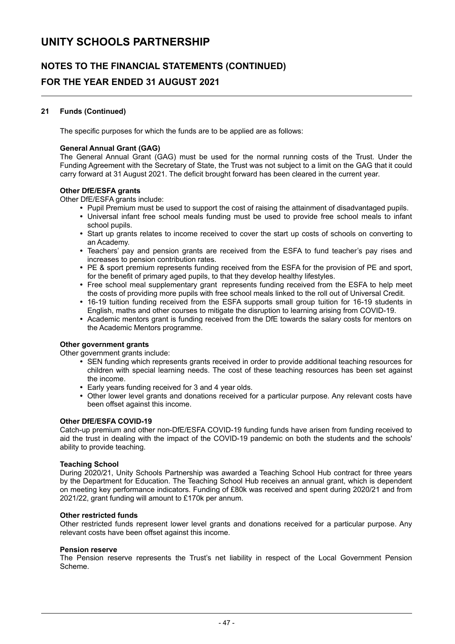# **NOTES TO THE FINANCIAL STATEMENTS (CONTINUED) FOR THE YEAR ENDED 31 AUGUST 2021**

#### **21 Funds (Continued)**

The specific purposes for which the funds are to be applied are as follows:

#### **General Annual Grant (GAG)**

The General Annual Grant (GAG) must be used for the normal running costs of the Trust. Under the Funding Agreement with the Secretary of State, the Trust was not subject to a limit on the GAG that it could carry forward at 31 August 2021. The deficit brought forward has been cleared in the current year.

#### **Other DfE/ESFA grants**

Other DfE/ESFA grants include:

- Pupil Premium must be used to support the cost of raising the attainment of disadvantaged pupils.
- Universal infant free school meals funding must be used to provide free school meals to infant school pupils.
- Start up grants relates to income received to cover the start up costs of schools on converting to an Academy.
- Teachers' pay and pension grants are received from the ESFA to fund teacher's pay rises and increases to pension contribution rates.
- PE & sport premium represents funding received from the ESFA for the provision of PE and sport, for the benefit of primary aged pupils, to that they develop healthy lifestyles.
- Free school meal supplementary grant represents funding received from the ESFA to help meet the costs of providing more pupils with free school meals linked to the roll out of Universal Credit.
- 16-19 tuition funding received from the ESFA supports small group tuition for 16-19 students in English, maths and other courses to mitigate the disruption to learning arising from COVID-19.
- Academic mentors grant is funding received from the DfE towards the salary costs for mentors on the Academic Mentors programme.

#### **Other government grants**

Other government grants include:

- SEN funding which represents grants received in order to provide additional teaching resources for children with special learning needs. The cost of these teaching resources has been set against the income.
- Early years funding received for 3 and 4 year olds.
- Other lower level grants and donations received for a particular purpose. Any relevant costs have been offset against this income.

#### **Other DfE/ESFA COVID-19**

Catch-up premium and other non-DfE/ESFA COVID-19 funding funds have arisen from funding received to aid the trust in dealing with the impact of the COVID-19 pandemic on both the students and the schools' ability to provide teaching.

#### **Teaching School**

During 2020/21, Unity Schools Partnership was awarded a Teaching School Hub contract for three years by the Department for Education. The Teaching School Hub receives an annual grant, which is dependent on meeting key performance indicators. Funding of £80k was received and spent during 2020/21 and from 2021/22, grant funding will amount to £170k per annum.

#### **Other restricted funds**

Other restricted funds represent lower level grants and donations received for a particular purpose. Any relevant costs have been offset against this income.

#### **Pension reserve**

The Pension reserve represents the Trust's net liability in respect of the Local Government Pension Scheme.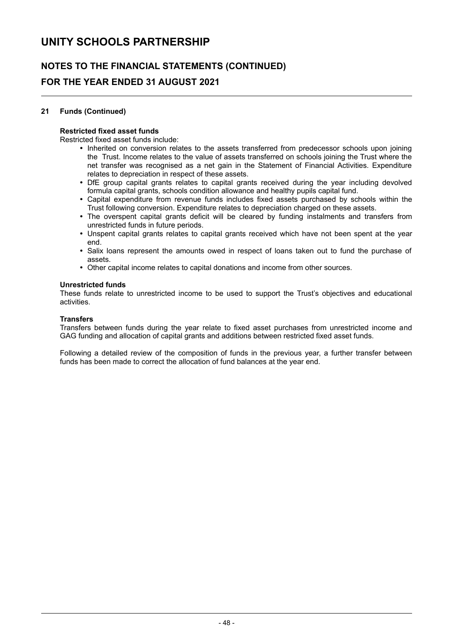### **NOTES TO THE FINANCIAL STATEMENTS (CONTINUED) FOR THE YEAR ENDED 31 AUGUST 2021**

#### **21 Funds (Continued)**

#### **Restricted fixed asset funds**

Restricted fixed asset funds include:

- Inherited on conversion relates to the assets transferred from predecessor schools upon joining the Trust. Income relates to the value of assets transferred on schools joining the Trust where the net transfer was recognised as a net gain in the Statement of Financial Activities. Expenditure relates to depreciation in respect of these assets.
- DfE group capital grants relates to capital grants received during the year including devolved formula capital grants, schools condition allowance and healthy pupils capital fund.
- Capital expenditure from revenue funds includes fixed assets purchased by schools within the Trust following conversion. Expenditure relates to depreciation charged on these assets.
- The overspent capital grants deficit will be cleared by funding instalments and transfers from unrestricted funds in future periods.
- Unspent capital grants relates to capital grants received which have not been spent at the year end.
- Salix loans represent the amounts owed in respect of loans taken out to fund the purchase of assets.
- Other capital income relates to capital donations and income from other sources.

#### **Unrestricted funds**

These funds relate to unrestricted income to be used to support the Trust's objectives and educational activities.

#### **Transfers**

Transfers between funds during the year relate to fixed asset purchases from unrestricted income and GAG funding and allocation of capital grants and additions between restricted fixed asset funds.

Following a detailed review of the composition of funds in the previous year, a further transfer between funds has been made to correct the allocation of fund balances at the year end.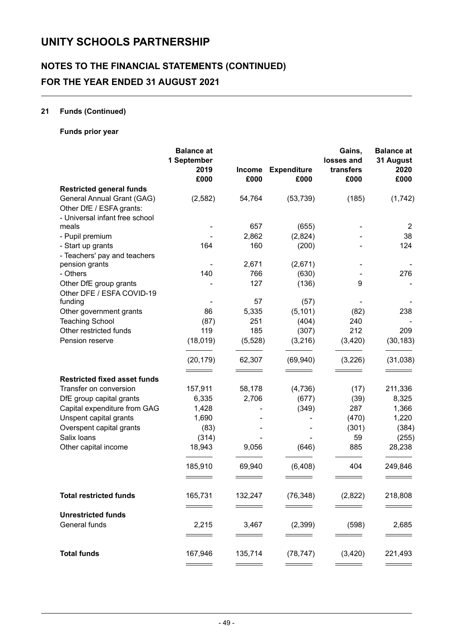# **NOTES TO THE FINANCIAL STATEMENTS (CONTINUED) FOR THE YEAR ENDED 31 AUGUST 2021**

### **21 Funds (Continued)**

### **Funds prior year**

|                                                        | <b>Balance</b> at<br>1 September<br>2019<br>£000 | <b>Income</b><br>£000       | <b>Expenditure</b><br>£000 | Gains,<br>losses and<br>transfers<br>£000 | <b>Balance at</b><br>31 August<br>2020<br>£000 |
|--------------------------------------------------------|--------------------------------------------------|-----------------------------|----------------------------|-------------------------------------------|------------------------------------------------|
| <b>Restricted general funds</b>                        |                                                  |                             |                            |                                           |                                                |
| General Annual Grant (GAG)<br>Other DfE / ESFA grants: | (2, 582)                                         | 54,764                      | (53, 739)                  | (185)                                     | (1, 742)                                       |
| - Universal infant free school                         |                                                  |                             |                            |                                           |                                                |
| meals                                                  |                                                  | 657                         | (655)                      |                                           | 2                                              |
| - Pupil premium                                        |                                                  | 2,862                       | (2,824)                    |                                           | 38                                             |
| - Start up grants                                      | 164                                              | 160                         | (200)                      |                                           | 124                                            |
| - Teachers' pay and teachers                           |                                                  |                             |                            |                                           |                                                |
| pension grants                                         |                                                  | 2,671                       | (2,671)                    |                                           |                                                |
| - Others                                               | 140                                              | 766                         | (630)                      |                                           | 276                                            |
| Other DfE group grants<br>Other DFE / ESFA COVID-19    |                                                  | 127                         | (136)                      | 9                                         |                                                |
| funding                                                |                                                  | 57                          | (57)                       |                                           |                                                |
| Other government grants                                | 86                                               | 5,335                       | (5, 101)                   | (82)                                      | 238                                            |
| <b>Teaching School</b>                                 | (87)                                             | 251                         | (404)                      | 240                                       |                                                |
| Other restricted funds                                 | 119                                              | 185                         | (307)                      | 212                                       | 209                                            |
| Pension reserve                                        | (18, 019)                                        | (5,528)                     | (3,216)                    | (3, 420)                                  | (30, 183)                                      |
|                                                        | (20, 179)                                        | 62,307                      | (69, 940)                  | (3,226)                                   | (31, 038)                                      |
| <b>Restricted fixed asset funds</b>                    |                                                  |                             |                            |                                           |                                                |
| Transfer on conversion                                 | 157,911                                          | 58,178                      | (4,736)                    | (17)                                      | 211,336                                        |
| DfE group capital grants                               | 6,335                                            | 2,706                       | (677)                      | (39)                                      | 8,325                                          |
| Capital expenditure from GAG                           | 1,428                                            |                             | (349)                      | 287                                       | 1,366                                          |
| Unspent capital grants                                 | 1,690                                            |                             |                            | (470)                                     | 1,220                                          |
| Overspent capital grants                               | (83)                                             |                             |                            | (301)                                     | (384)                                          |
| Salix loans                                            | (314)                                            |                             |                            | 59                                        | (255)                                          |
| Other capital income                                   | 18,943                                           | 9,056                       | (646)                      | 885                                       | 28,238                                         |
|                                                        | 185,910                                          | 69,940                      | (6, 408)                   | 404                                       | 249,846                                        |
| <b>Total restricted funds</b>                          | 165,731                                          | 132,247                     | (76, 348)                  | (2,822)                                   | 218,808                                        |
|                                                        |                                                  | $\sim$ $\sim$ $\sim$ $\sim$ |                            |                                           |                                                |
| <b>Unrestricted funds</b>                              |                                                  |                             |                            |                                           |                                                |
| General funds                                          | 2,215                                            | 3,467                       | (2, 399)                   | (598)                                     | 2,685                                          |
| <b>Total funds</b>                                     | 167,946                                          | 135,714                     | (78, 747)                  | (3,420)                                   | 221,493                                        |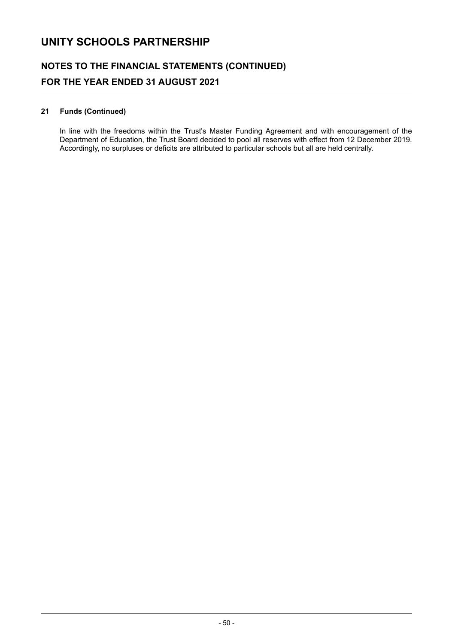# **NOTES TO THE FINANCIAL STATEMENTS (CONTINUED) FOR THE YEAR ENDED 31 AUGUST 2021**

#### **21 Funds (Continued)**

In line with the freedoms within the Trust's Master Funding Agreement and with encouragement of the Department of Education, the Trust Board decided to pool all reserves with effect from 12 December 2019. Accordingly, no surpluses or deficits are attributed to particular schools but all are held centrally.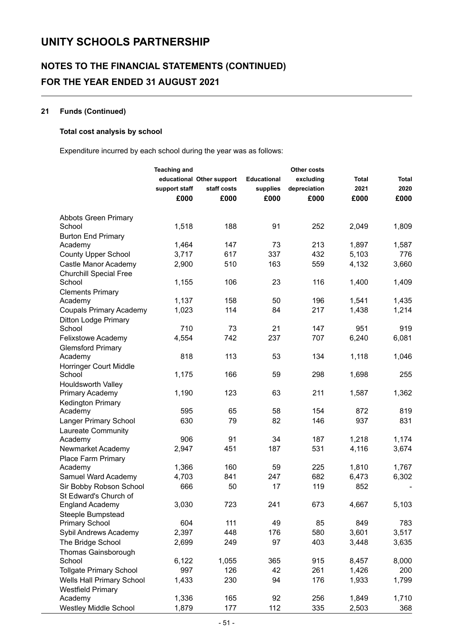# **NOTES TO THE FINANCIAL STATEMENTS (CONTINUED) FOR THE YEAR ENDED 31 AUGUST 2021**

### **21 Funds (Continued)**

#### **Total cost analysis by school**

Expenditure incurred by each school during the year was as follows:

|                                      | <b>Teaching and</b> |                           | <b>Other costs</b> |              |              |              |  |
|--------------------------------------|---------------------|---------------------------|--------------------|--------------|--------------|--------------|--|
|                                      |                     | educational Other support | <b>Educational</b> | excluding    | <b>Total</b> | <b>Total</b> |  |
|                                      | support staff       | staff costs               | supplies           | depreciation | 2021         | 2020         |  |
|                                      | £000                | £000                      | £000               | £000         | £000         | £000         |  |
| <b>Abbots Green Primary</b>          |                     |                           |                    |              |              |              |  |
| School                               | 1,518               | 188                       | 91                 | 252          | 2,049        | 1,809        |  |
| <b>Burton End Primary</b>            |                     |                           |                    |              |              |              |  |
| Academy                              | 1,464               | 147                       | 73                 | 213          | 1,897        | 1,587        |  |
| <b>County Upper School</b>           | 3,717               | 617                       | 337                | 432          | 5,103        | 776          |  |
| Castle Manor Academy                 | 2,900               | 510                       | 163                | 559          | 4,132        | 3,660        |  |
| <b>Churchill Special Free</b>        |                     |                           |                    |              |              |              |  |
| School                               | 1,155               | 106                       | 23                 | 116          | 1,400        | 1,409        |  |
| <b>Clements Primary</b>              |                     |                           |                    |              |              |              |  |
| Academy                              | 1,137               | 158                       | 50                 | 196          | 1,541        | 1,435        |  |
| <b>Coupals Primary Academy</b>       | 1,023               | 114                       | 84                 | 217          | 1,438        | 1,214        |  |
| <b>Ditton Lodge Primary</b>          |                     |                           |                    |              |              |              |  |
| School                               | 710                 | 73                        | 21                 | 147          | 951          | 919          |  |
| Felixstowe Academy                   | 4,554               | 742                       | 237                | 707          | 6,240        | 6,081        |  |
| <b>Glemsford Primary</b>             |                     |                           |                    |              |              |              |  |
| Academy                              | 818                 | 113                       | 53                 | 134          | 1,118        | 1,046        |  |
| Horringer Court Middle               |                     |                           |                    |              |              |              |  |
| School                               | 1,175               | 166                       | 59                 | 298          | 1,698        | 255          |  |
| <b>Houldsworth Valley</b>            |                     |                           |                    |              |              |              |  |
| <b>Primary Academy</b>               | 1,190               | 123                       | 63                 | 211          | 1,587        | 1,362        |  |
| <b>Kedington Primary</b>             | 595                 | 65                        | 58                 |              |              |              |  |
| Academy                              |                     |                           |                    | 154          | 872          | 819          |  |
| Langer Primary School                | 630                 | 79                        | 82                 | 146          | 937          | 831          |  |
| Laureate Community                   | 906                 | 91                        | 34                 | 187          | 1,218        | 1,174        |  |
| Academy                              |                     | 451                       | 187                | 531          |              |              |  |
| Newmarket Academy                    | 2,947               |                           |                    |              | 4,116        | 3,674        |  |
| <b>Place Farm Primary</b><br>Academy | 1,366               | 160                       | 59                 | 225          | 1,810        | 1,767        |  |
| Samuel Ward Academy                  | 4,703               | 841                       | 247                | 682          | 6,473        | 6,302        |  |
| Sir Bobby Robson School              | 666                 | 50                        | 17                 | 119          | 852          |              |  |
| St Edward's Church of                |                     |                           |                    |              |              |              |  |
| <b>England Academy</b>               | 3,030               | 723                       | 241                | 673          | 4,667        | 5,103        |  |
| Steeple Bumpstead                    |                     |                           |                    |              |              |              |  |
| <b>Primary School</b>                | 604                 | 111                       | 49                 | 85           | 849          | 783          |  |
| Sybil Andrews Academy                | 2,397               | 448                       | 176                | 580          | 3,601        | 3,517        |  |
| The Bridge School                    | 2,699               | 249                       | 97                 | 403          | 3,448        | 3,635        |  |
| Thomas Gainsborough                  |                     |                           |                    |              |              |              |  |
| School                               | 6,122               | 1,055                     | 365                | 915          | 8,457        | 8,000        |  |
| <b>Tollgate Primary School</b>       | 997                 | 126                       | 42                 | 261          | 1,426        | 200          |  |
| <b>Wells Hall Primary School</b>     | 1,433               | 230                       | 94                 | 176          | 1,933        | 1,799        |  |
| <b>Westfield Primary</b>             |                     |                           |                    |              |              |              |  |
| Academy                              | 1,336               | 165                       | 92                 | 256          | 1,849        | 1,710        |  |
| Westley Middle School                | 1,879               | 177                       | 112                | 335          | 2,503        | 368          |  |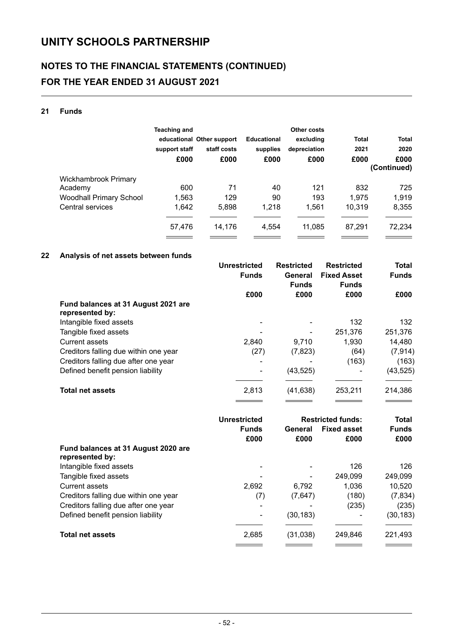# **NOTES TO THE FINANCIAL STATEMENTS (CONTINUED) FOR THE YEAR ENDED 31 AUGUST 2021**

#### **21 Funds**

|                                | <b>Teaching and</b><br>support staff<br>£000 | educational Other support<br>staff costs<br>£000 | <b>Educational</b><br>supplies<br>£000 | Other costs<br>excluding<br>depreciation<br>£000 | Total<br>2021<br>£000 | Total<br>2020<br>£000<br>(Continued) |
|--------------------------------|----------------------------------------------|--------------------------------------------------|----------------------------------------|--------------------------------------------------|-----------------------|--------------------------------------|
| Wickhambrook Primary           |                                              |                                                  |                                        |                                                  |                       |                                      |
| Academy                        | 600                                          | 71                                               | 40                                     | 121                                              | 832                   | 725                                  |
| <b>Woodhall Primary School</b> | 1,563                                        | 129                                              | 90                                     | 193                                              | 1.975                 | 1,919                                |
| Central services               | 1.642                                        | 5,898                                            | 1.218                                  | 1,561                                            | 10.319                | 8,355                                |
|                                | 57,476                                       | 14,176                                           | 4.554                                  | 11,085                                           | 87,291                | 72,234                               |

#### **22 Analysis of net assets between funds**

|                                                        | <b>Unrestricted</b><br><b>Funds</b> | <b>Restricted</b><br>General<br><b>Funds</b> | <b>Restricted</b><br><b>Fixed Asset</b><br><b>Funds</b> | Total<br><b>Funds</b> |
|--------------------------------------------------------|-------------------------------------|----------------------------------------------|---------------------------------------------------------|-----------------------|
|                                                        | £000                                | £000                                         | £000                                                    | £000                  |
| Fund balances at 31 August 2021 are<br>represented by: |                                     |                                              |                                                         |                       |
| Intangible fixed assets                                |                                     |                                              | 132                                                     | 132                   |
| Tangible fixed assets                                  |                                     |                                              | 251.376                                                 | 251,376               |
| <b>Current assets</b>                                  | 2.840                               | 9.710                                        | 1.930                                                   | 14.480                |
| Creditors falling due within one year                  | (27)                                | (7, 823)                                     | (64)                                                    | (7, 914)              |
| Creditors falling due after one year                   |                                     |                                              | (163)                                                   | (163)                 |
| Defined benefit pension liability                      | ۰                                   | (43, 525)                                    |                                                         | (43, 525)             |
| <b>Total net assets</b>                                | 2,813                               | (41,638)                                     | 253,211                                                 | 214,386               |
|                                                        |                                     |                                              |                                                         |                       |

|                                                        | Unrestricted |          | <b>Restricted funds:</b> | <b>Total</b> |  |
|--------------------------------------------------------|--------------|----------|--------------------------|--------------|--|
|                                                        | <b>Funds</b> | General  | <b>Fixed asset</b>       | <b>Funds</b> |  |
|                                                        | £000         | £000     | £000                     | £000         |  |
| Fund balances at 31 August 2020 are<br>represented by: |              |          |                          |              |  |
| Intangible fixed assets                                | ۰            |          | 126                      | 126          |  |
| Tangible fixed assets                                  |              |          | 249.099                  | 249,099      |  |
| <b>Current assets</b>                                  | 2.692        | 6.792    | 1.036                    | 10,520       |  |
| Creditors falling due within one year                  | (7)          | (7,647)  | (180)                    | (7, 834)     |  |
| Creditors falling due after one year                   |              |          | (235)                    | (235)        |  |
| Defined benefit pension liability                      |              | (30,183) |                          | (30, 183)    |  |
| <b>Total net assets</b>                                | 2.685        | (31,038) | 249.846                  | 221,493      |  |
|                                                        |              |          |                          |              |  |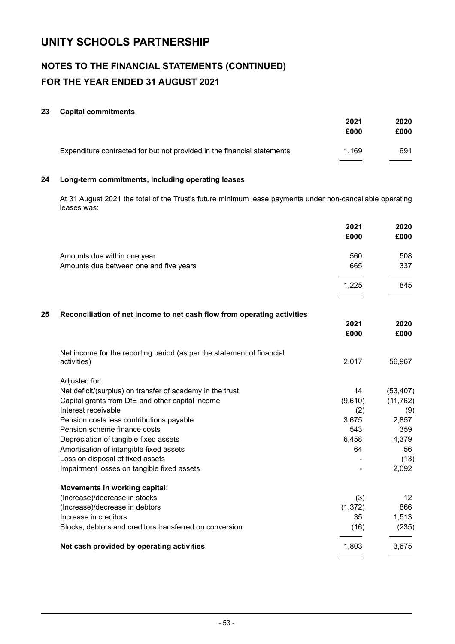# **NOTES TO THE FINANCIAL STATEMENTS (CONTINUED) FOR THE YEAR ENDED 31 AUGUST 2021**

#### **23 Capital commitments**

|                                                                         | 2021<br>£000 | 2020<br>£000 |
|-------------------------------------------------------------------------|--------------|--------------|
| Expenditure contracted for but not provided in the financial statements | 1.169        | 691          |

#### **24 Long-term commitments, including operating leases**

At 31 August 2021 the total of the Trust's future minimum lease payments under non-cancellable operating leases was:

|    |                                                                         | 2021         | 2020         |
|----|-------------------------------------------------------------------------|--------------|--------------|
|    |                                                                         | £000         | £000         |
|    | Amounts due within one year                                             | 560          | 508          |
|    | Amounts due between one and five years                                  | 665          | 337          |
|    |                                                                         | 1,225        | 845          |
| 25 | Reconciliation of net income to net cash flow from operating activities |              |              |
|    |                                                                         | 2021<br>£000 | 2020<br>£000 |
|    | Net income for the reporting period (as per the statement of financial  |              |              |
|    | activities)                                                             | 2,017        | 56,967       |
|    | Adjusted for:                                                           |              |              |
|    | Net deficit/(surplus) on transfer of academy in the trust               | 14           | (53, 407)    |
|    | Capital grants from DfE and other capital income                        | (9,610)      | (11, 762)    |
|    | Interest receivable                                                     | (2)          | (9)          |
|    | Pension costs less contributions payable                                | 3,675        | 2,857        |
|    | Pension scheme finance costs                                            | 543          | 359          |
|    | Depreciation of tangible fixed assets                                   | 6,458        | 4,379        |
|    | Amortisation of intangible fixed assets                                 | 64           | 56           |
|    | Loss on disposal of fixed assets                                        |              | (13)         |
|    | Impairment losses on tangible fixed assets                              |              | 2,092        |
|    | Movements in working capital:                                           |              |              |
|    | (Increase)/decrease in stocks                                           | (3)          | 12           |
|    | (Increase)/decrease in debtors                                          | (1, 372)     | 866          |
|    | Increase in creditors                                                   | 35           | 1,513        |
|    | Stocks, debtors and creditors transferred on conversion                 | (16)         | (235)        |
|    | Net cash provided by operating activities                               | 1,803        | 3,675        |
|    |                                                                         |              |              |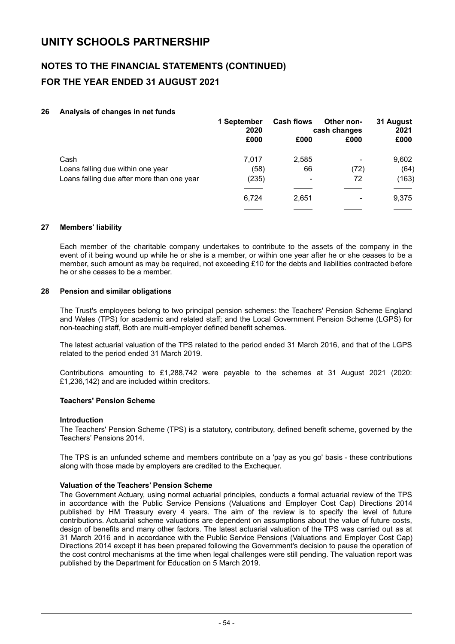### **NOTES TO THE FINANCIAL STATEMENTS (CONTINUED) FOR THE YEAR ENDED 31 AUGUST 2021**

#### **26 Analysis of changes in net funds**

|                                            | 1 September<br>2020 | <b>Cash flows</b><br>cash changes | 31 August<br>2021 |       |
|--------------------------------------------|---------------------|-----------------------------------|-------------------|-------|
|                                            | £000                | £000                              | £000              | £000  |
| Cash                                       | 7.017               | 2,585                             | -                 | 9,602 |
| Loans falling due within one year          | (58)                | 66                                | (72)              | (64)  |
| Loans falling due after more than one year | (235)               | ۰                                 | 72                | (163) |
|                                            |                     |                                   |                   |       |
|                                            | 6,724               | 2,651                             | ۰                 | 9,375 |
|                                            |                     |                                   |                   |       |

#### **27 Members' liability**

Each member of the charitable company undertakes to contribute to the assets of the company in the event of it being wound up while he or she is a member, or within one year after he or she ceases to be a member, such amount as may be required, not exceeding £10 for the debts and liabilities contracted before he or she ceases to be a member.

#### **28 Pension and similar obligations**

The Trust's employees belong to two principal pension schemes: the Teachers' Pension Scheme England and Wales (TPS) for academic and related staff; and the Local Government Pension Scheme (LGPS) for non-teaching staff, Both are multi-employer defined benefit schemes.

The latest actuarial valuation of the TPS related to the period ended 31 March 2016, and that of the LGPS related to the period ended 31 March 2019.

Contributions amounting to £1,288,742 were payable to the schemes at 31 August 2021 (2020: £1,236,142) and are included within creditors.

#### **Teachers' Pension Scheme**

#### **Introduction**

The Teachers' Pension Scheme (TPS) is a statutory, contributory, defined benefit scheme, governed by the Teachers' Pensions 2014.

The TPS is an unfunded scheme and members contribute on a 'pay as you go' basis - these contributions along with those made by employers are credited to the Exchequer.

#### **Valuation of the Teachers' Pension Scheme**

The Government Actuary, using normal actuarial principles, conducts a formal actuarial review of the TPS in accordance with the Public Service Pensions (Valuations and Employer Cost Cap) Directions 2014 published by HM Treasury every 4 years. The aim of the review is to specify the level of future contributions. Actuarial scheme valuations are dependent on assumptions about the value of future costs, design of benefits and many other factors. The latest actuarial valuation of the TPS was carried out as at 31 March 2016 and in accordance with the Public Service Pensions (Valuations and Employer Cost Cap) Directions 2014 except it has been prepared following the Government's decision to pause the operation of the cost control mechanisms at the time when legal challenges were still pending. The valuation report was published by the Department for Education on 5 March 2019.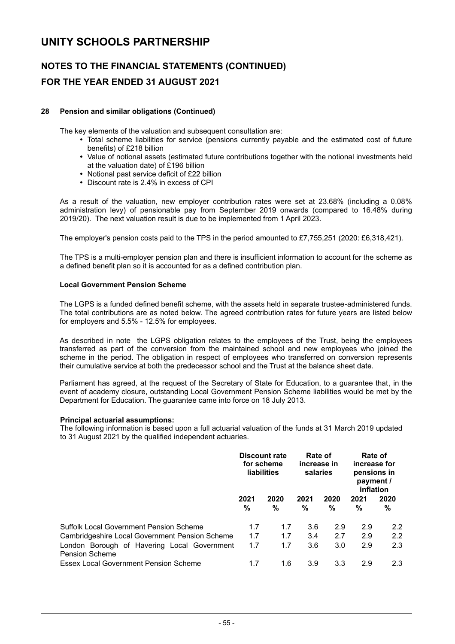# **NOTES TO THE FINANCIAL STATEMENTS (CONTINUED) FOR THE YEAR ENDED 31 AUGUST 2021**

#### **28 Pension and similar obligations (Continued)**

The key elements of the valuation and subsequent consultation are:

- Total scheme liabilities for service (pensions currently payable and the estimated cost of future benefits) of £218 billion
- Value of notional assets (estimated future contributions together with the notional investments held at the valuation date) of £196 billion
- Notional past service deficit of £22 billion
- Discount rate is 2.4% in excess of CPI

As a result of the valuation, new employer contribution rates were set at 23.68% (including a 0.08% administration levy) of pensionable pay from September 2019 onwards (compared to 16.48% during 2019/20). The next valuation result is due to be implemented from 1 April 2023.

The employer's pension costs paid to the TPS in the period amounted to £7,755,251 (2020: £6,318,421).

The TPS is a multi-employer pension plan and there is insufficient information to account for the scheme as a defined benefit plan so it is accounted for as a defined contribution plan.

#### **Local Government Pension Scheme**

The LGPS is a funded defined benefit scheme, with the assets held in separate trustee-administered funds. The total contributions are as noted below. The agreed contribution rates for future years are listed below for employers and 5.5% - 12.5% for employees.

As described in note the LGPS obligation relates to the employees of the Trust, being the employees transferred as part of the conversion from the maintained school and new employees who joined the scheme in the period. The obligation in respect of employees who transferred on conversion represents their cumulative service at both the predecessor school and the Trust at the balance sheet date.

Parliament has agreed, at the request of the Secretary of State for Education, to a guarantee that, in the event of academy closure, outstanding Local Government Pension Scheme liabilities would be met by the Department for Education. The guarantee came into force on 18 July 2013.

#### **Principal actuarial assumptions:**

The following information is based upon a full actuarial valuation of the funds at 31 March 2019 updated to 31 August 2021 by the qualified independent actuaries.

|                                                                      | <b>Discount rate</b><br>for scheme<br>liabilities |           | Rate of<br>increase in<br>salaries |           | Rate of<br>increase for<br>pensions in<br>payment /<br>inflation |               |
|----------------------------------------------------------------------|---------------------------------------------------|-----------|------------------------------------|-----------|------------------------------------------------------------------|---------------|
|                                                                      | 2021<br>%                                         | 2020<br>% | 2021<br>%                          | 2020<br>% | 2021<br>%                                                        | 2020<br>%     |
| <b>Suffolk Local Government Pension Scheme</b>                       | 1.7                                               | 1.7       | 3.6                                | 2.9       | 2.9                                                              | $2.2^{\circ}$ |
| Cambridgeshire Local Government Pension Scheme                       | 1.7                                               | 1.7       | 3.4                                | 2.7       | 2.9                                                              | $2.2^{\circ}$ |
| London Borough of Havering Local Government<br><b>Pension Scheme</b> | 1.7                                               | 1.7       | 3.6                                | 3.0       | 2.9                                                              | 2.3           |
| <b>Essex Local Government Pension Scheme</b>                         | 1.7                                               | 1.6       | 3.9                                | 3.3       | 2.9                                                              | 2.3           |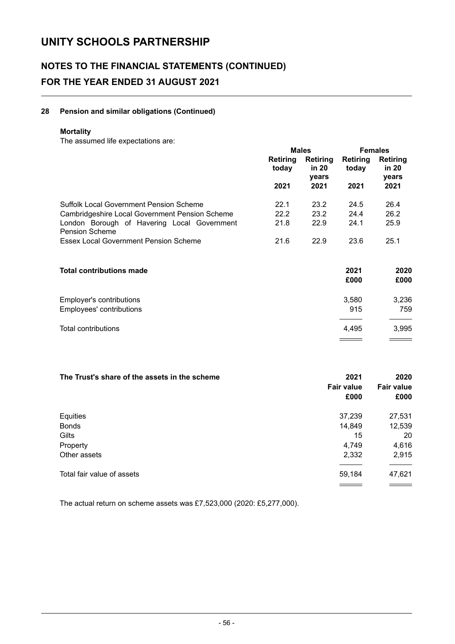# **NOTES TO THE FINANCIAL STATEMENTS (CONTINUED) FOR THE YEAR ENDED 31 AUGUST 2021**

#### **28 Pension and similar obligations (Continued)**

#### **Mortality**

The assumed life expectations are:

|                                                                      | <b>Males</b>             |                            | <b>Females</b>           |                            |
|----------------------------------------------------------------------|--------------------------|----------------------------|--------------------------|----------------------------|
|                                                                      | <b>Retiring</b><br>today | Retiring<br>in 20<br>years | <b>Retiring</b><br>today | Retiring<br>in 20<br>years |
|                                                                      | 2021                     | 2021                       | 2021                     | 2021                       |
| <b>Suffolk Local Government Pension Scheme</b>                       | 22.1                     | 23.2                       | 24.5                     | 26.4                       |
| Cambridgeshire Local Government Pension Scheme                       | 22.2                     | 23.2                       | 24.4                     | 26.2                       |
| London Borough of Havering Local Government<br><b>Pension Scheme</b> | 21.8                     | 22.9                       | 24.1                     | 25.9                       |
| <b>Essex Local Government Pension Scheme</b>                         | 21.6                     | 22.9                       | 23.6                     | 25.1                       |
| <b>Total contributions made</b>                                      |                          |                            | 2021                     | 2020                       |
|                                                                      |                          |                            | £000                     | £000                       |
| Employer's contributions                                             |                          |                            | 3,580                    | 3,236                      |
| Employees' contributions                                             |                          |                            | 915                      | 759                        |
| Total contributions                                                  |                          |                            | 4,495                    | 3,995                      |
|                                                                      |                          |                            |                          |                            |

| The Trust's share of the assets in the scheme | 2021<br><b>Fair value</b><br>£000 | 2020<br><b>Fair value</b><br>£000 |
|-----------------------------------------------|-----------------------------------|-----------------------------------|
| Equities                                      | 37,239                            | 27,531                            |
| <b>Bonds</b>                                  | 14,849                            | 12,539                            |
| Gilts                                         | 15                                | 20                                |
| Property                                      | 4,749                             | 4,616                             |
| Other assets                                  | 2,332                             | 2,915                             |
| Total fair value of assets                    | 59,184                            | 47,621                            |
|                                               |                                   |                                   |

The actual return on scheme assets was £7,523,000 (2020: £5,277,000).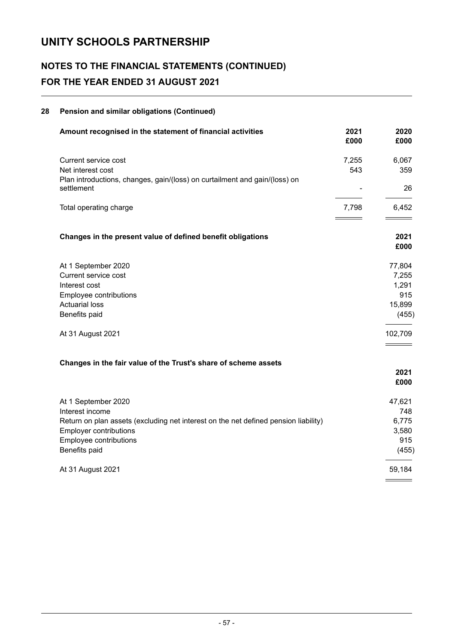# **NOTES TO THE FINANCIAL STATEMENTS (CONTINUED) FOR THE YEAR ENDED 31 AUGUST 2021**

### **28 Pension and similar obligations (Continued)**

| Amount recognised in the statement of financial activities                               | 2021<br>£000             | 2020<br>£000 |
|------------------------------------------------------------------------------------------|--------------------------|--------------|
| Current service cost                                                                     | 7,255                    | 6,067        |
| Net interest cost                                                                        | 543                      | 359          |
| Plan introductions, changes, gain/(loss) on curtailment and gain/(loss) on<br>settlement | ٠                        | 26           |
| Total operating charge                                                                   | 7,798                    | 6,452        |
|                                                                                          | $\overline{\phantom{a}}$ |              |
| Changes in the present value of defined benefit obligations                              |                          | 2021<br>£000 |
| At 1 September 2020                                                                      |                          | 77,804       |
| Current service cost                                                                     |                          | 7,255        |
| Interest cost                                                                            |                          | 1,291        |
| Employee contributions                                                                   |                          | 915          |
| <b>Actuarial loss</b>                                                                    |                          | 15,899       |
| Benefits paid                                                                            |                          | (455)        |
| At 31 August 2021                                                                        |                          | 102,709      |
| Changes in the fair value of the Trust's share of scheme assets                          |                          |              |
|                                                                                          |                          | 2021         |
|                                                                                          |                          | £000         |
| At 1 September 2020                                                                      |                          | 47,621       |
| Interest income                                                                          |                          | 748          |
| Return on plan assets (excluding net interest on the net defined pension liability)      |                          | 6,775        |
| <b>Employer contributions</b>                                                            |                          | 3,580        |
| Employee contributions                                                                   |                          | 915          |
| Benefits paid                                                                            |                          | (455)        |
| At 31 August 2021                                                                        |                          | 59,184       |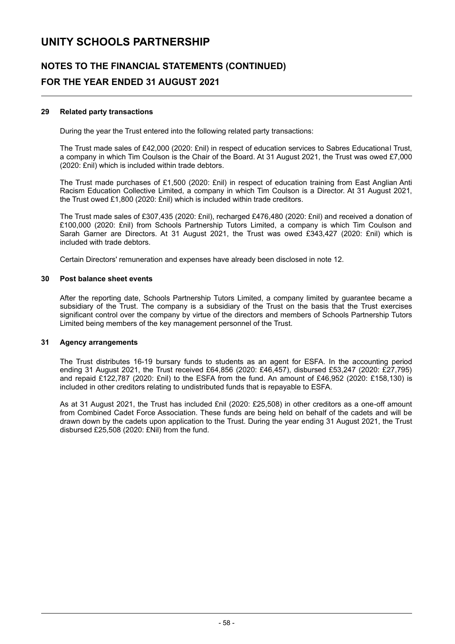# **NOTES TO THE FINANCIAL STATEMENTS (CONTINUED) FOR THE YEAR ENDED 31 AUGUST 2021**

#### **29 Related party transactions**

During the year the Trust entered into the following related party transactions:

The Trust made sales of £42,000 (2020: £nil) in respect of education services to Sabres Educational Trust, a company in which Tim Coulson is the Chair of the Board. At 31 August 2021, the Trust was owed £7,000 (2020: £nil) which is included within trade debtors.

The Trust made purchases of £1,500 (2020: £nil) in respect of education training from East Anglian Anti Racism Education Collective Limited, a company in which Tim Coulson is a Director. At 31 August 2021, the Trust owed £1,800 (2020: £nil) which is included within trade creditors.

The Trust made sales of £307,435 (2020: £nil), recharged £476,480 (2020: £nil) and received a donation of £100,000 (2020: £nil) from Schools Partnership Tutors Limited, a company is which Tim Coulson and Sarah Garner are Directors. At 31 August 2021, the Trust was owed £343,427 (2020: £nil) which is included with trade debtors.

Certain Directors' remuneration and expenses have already been disclosed in note 12.

#### **30 Post balance sheet events**

After the reporting date, Schools Partnership Tutors Limited, a company limited by guarantee became a subsidiary of the Trust. The company is a subsidiary of the Trust on the basis that the Trust exercises significant control over the company by virtue of the directors and members of Schools Partnership Tutors Limited being members of the key management personnel of the Trust.

#### **31 Agency arrangements**

The Trust distributes 16-19 bursary funds to students as an agent for ESFA. In the accounting period ending 31 August 2021, the Trust received £64,856 (2020: £46,457), disbursed £53,247 (2020: £27,795) and repaid £122,787 (2020: £nil) to the ESFA from the fund. An amount of £46,952 (2020: £158,130) is included in other creditors relating to undistributed funds that is repayable to ESFA.

As at 31 August 2021, the Trust has included £nil (2020: £25,508) in other creditors as a one-off amount from Combined Cadet Force Association. These funds are being held on behalf of the cadets and will be drawn down by the cadets upon application to the Trust. During the year ending 31 August 2021, the Trust disbursed £25,508 (2020: £Nil) from the fund.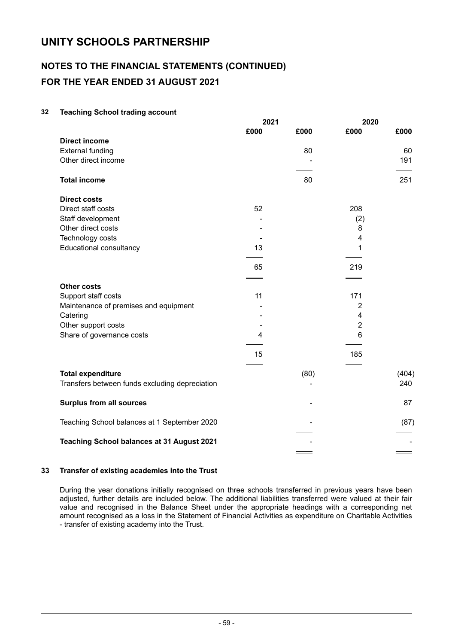### **NOTES TO THE FINANCIAL STATEMENTS (CONTINUED) FOR THE YEAR ENDED 31 AUGUST 2021**

#### **32 Teaching School trading account**

|                                                | 2021   |      | 2020           |       |
|------------------------------------------------|--------|------|----------------|-------|
|                                                | £000   | £000 | £000           | £000  |
| <b>Direct income</b>                           |        |      |                |       |
| <b>External funding</b>                        |        | 80   |                | 60    |
| Other direct income                            |        |      |                | 191   |
| <b>Total income</b>                            |        | 80   |                | 251   |
| <b>Direct costs</b>                            |        |      |                |       |
| Direct staff costs                             | 52     |      | 208            |       |
| Staff development                              |        |      | (2)            |       |
| Other direct costs                             |        |      | 8              |       |
| Technology costs                               |        |      | $\overline{4}$ |       |
| <b>Educational consultancy</b>                 | 13     |      | 1              |       |
|                                                |        |      |                |       |
|                                                | 65     |      | 219            |       |
|                                                |        |      |                |       |
| <b>Other costs</b>                             |        |      |                |       |
| Support staff costs                            | 11     |      | 171            |       |
| Maintenance of premises and equipment          |        |      | $\overline{2}$ |       |
| Catering                                       |        |      | 4              |       |
| Other support costs                            |        |      | $\overline{2}$ |       |
| Share of governance costs                      | 4      |      | 6              |       |
|                                                | 15     |      | 185            |       |
|                                                | $\sim$ |      |                |       |
| <b>Total expenditure</b>                       |        | (80) |                | (404) |
| Transfers between funds excluding depreciation |        |      |                | 240   |
| <b>Surplus from all sources</b>                |        |      |                | 87    |
| Teaching School balances at 1 September 2020   |        |      |                | (87)  |
| Teaching School balances at 31 August 2021     |        |      |                |       |

#### **33 Transfer of existing academies into the Trust**

During the year donations initially recognised on three schools transferred in previous years have been adjusted, further details are included below. The additional liabilities transferred were valued at their fair value and recognised in the Balance Sheet under the appropriate headings with a corresponding net amount recognised as a loss in the Statement of Financial Activities as expenditure on Charitable Activities - transfer of existing academy into the Trust.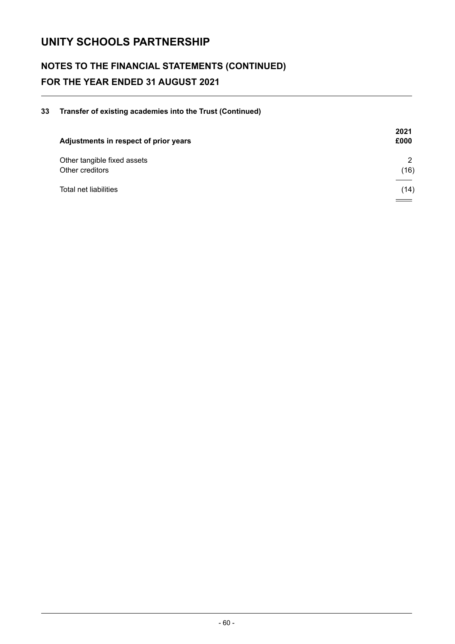# **NOTES TO THE FINANCIAL STATEMENTS (CONTINUED) FOR THE YEAR ENDED 31 AUGUST 2021**

| 33 | Transfer of existing academies into the Trust (Continued) |                |  |
|----|-----------------------------------------------------------|----------------|--|
|    | Adjustments in respect of prior years                     | 2021<br>£000   |  |
|    | Other tangible fixed assets                               | $\overline{2}$ |  |
|    | Other creditors                                           | (16)           |  |
|    | Total net liabilities                                     | (14)           |  |
|    |                                                           |                |  |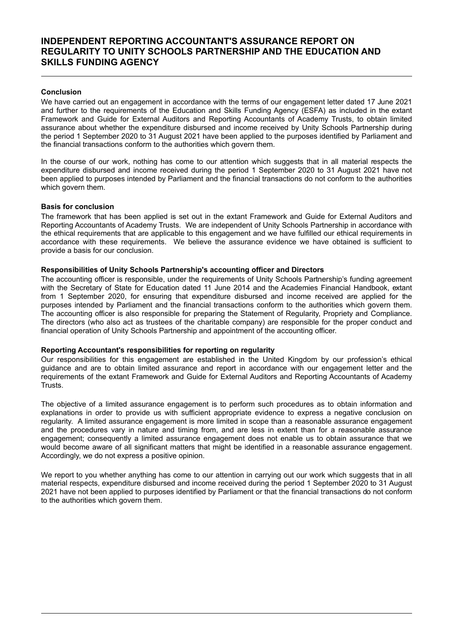### **INDEPENDENT REPORTING ACCOUNTANT'S ASSURANCE REPORT ON REGULARITY TO UNITY SCHOOLS PARTNERSHIP AND THE EDUCATION AND SKILLS FUNDING AGENCY**

#### **Conclusion**

We have carried out an engagement in accordance with the terms of our engagement letter dated 17 June 2021 and further to the requirements of the Education and Skills Funding Agency (ESFA) as included in the extant Framework and Guide for External Auditors and Reporting Accountants of Academy Trusts, to obtain limited assurance about whether the expenditure disbursed and income received by Unity Schools Partnership during the period 1 September 2020 to 31 August 2021 have been applied to the purposes identified by Parliament and the financial transactions conform to the authorities which govern them.

In the course of our work, nothing has come to our attention which suggests that in all material respects the expenditure disbursed and income received during the period 1 September 2020 to 31 August 2021 have not been applied to purposes intended by Parliament and the financial transactions do not conform to the authorities which govern them.

#### **Basis for conclusion**

The framework that has been applied is set out in the extant Framework and Guide for External Auditors and Reporting Accountants of Academy Trusts. We are independent of Unity Schools Partnership in accordance with the ethical requirements that are applicable to this engagement and we have fulfilled our ethical requirements in accordance with these requirements. We believe the assurance evidence we have obtained is sufficient to provide a basis for our conclusion.

#### **Responsibilities of Unity Schools Partnership's accounting officer and Directors**

The accounting officer is responsible, under the requirements of Unity Schools Partnership's funding agreement with the Secretary of State for Education dated 11 June 2014 and the Academies Financial Handbook, extant from 1 September 2020, for ensuring that expenditure disbursed and income received are applied for the purposes intended by Parliament and the financial transactions conform to the authorities which govern them. The accounting officer is also responsible for preparing the Statement of Regularity, Propriety and Compliance. The directors (who also act as trustees of the charitable company) are responsible for the proper conduct and financial operation of Unity Schools Partnership and appointment of the accounting officer.

#### **Reporting Accountant's responsibilities for reporting on regularity**

Our responsibilities for this engagement are established in the United Kingdom by our profession's ethical guidance and are to obtain limited assurance and report in accordance with our engagement letter and the requirements of the extant Framework and Guide for External Auditors and Reporting Accountants of Academy Trusts.

The objective of a limited assurance engagement is to perform such procedures as to obtain information and explanations in order to provide us with sufficient appropriate evidence to express a negative conclusion on regularity. A limited assurance engagement is more limited in scope than a reasonable assurance engagement and the procedures vary in nature and timing from, and are less in extent than for a reasonable assurance engagement; consequently a limited assurance engagement does not enable us to obtain assurance that we would become aware of all significant matters that might be identified in a reasonable assurance engagement. Accordingly, we do not express a positive opinion.

We report to you whether anything has come to our attention in carrying out our work which suggests that in all material respects, expenditure disbursed and income received during the period 1 September 2020 to 31 August 2021 have not been applied to purposes identified by Parliament or that the financial transactions do not conform to the authorities which govern them.